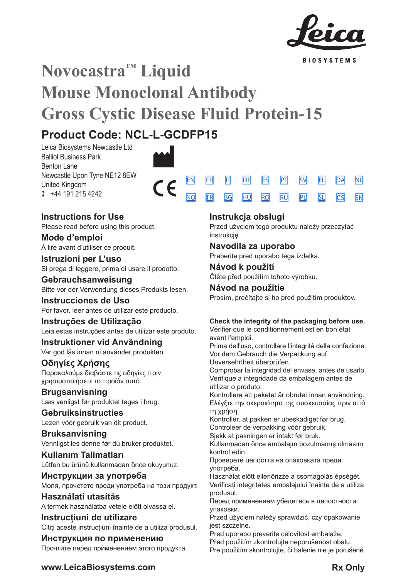

**BIOSYSTEMS** 

# **Novocastra™ Liquid Mouse Monoclonal Antibody Gross Cystic Disease Fluid Protein-15**

 $\epsilon$ 

## **Product Code: NCL-L-GCDFP15**

Leica Biosystems Newcastle Ltd Balliol Business Park Benton Lane Newcastle Upon Tyne NE12 8EW United Kingdom  $1 +44 191 215 4242$ 

**Instructions for Use** Please read before using this product.

**Mode d'emploi** Á lire avant d'utiliser ce produit.

**Istruzioni per L'uso** Si prega di leggere, prima di usare il prodotto.

**Gebrauchsanweisung** Bitte vor der Verwendung dieses Produkts lesen. **Instrucciones de Uso**

Por favor, leer antes de utilizar este producto.

**Instruções de Utilização** Leia estas instruções antes de utilizar este produto.

**Instruktioner vid Användning** Var god läs innan ni använder produkten.

## **Οδηγίες Χρήσης**

Παρακαλούμε διαβάστε τις οδηγίες πριν χρησιμοποιήσετε το προϊόν αυτό.

**Brugsanvisning** Læs venligst før produktet tages i brug.

**Gebruiksinstructies** Lezen vóór gebruik van dit product.

**Bruksanvisning** Vennligst les denne før du bruker produktet.

**Kullanım Talimatları** Lütfen bu ürünü kullanmadan önce okuyunuz.

**Инструкции за употреба** Моля, прочетете преди употреба на този продукт.

**Használati utasítás** A termék használatba vétele előtt olvassa el.

**Instrucțiuni de utilizare** Citiți aceste instrucțiuni înainte de a utiliza produsul.

**Инструкция по применению**

Прочтите перед применением этого продукта.

[EN](#page-2-0) [FR](#page-5-0) [IT](#page-8-0) [DE](#page-11-0) [ES](#page-14-0) [PT](#page-17-0) <u>[NO](#page-32-0) [TR](#page-35-0) [BG](#page-38-0) [HU](#page-41-0) [RO](#page-44-0) [RU](#page-47-0)</u> [SV](#page-20-0) [EL](#page-23-0) [DA](#page-26-0) [PL](#page-50-0) [SL](#page-53-0) [CS](#page-56-0) [NL](#page-29-0) [SK](#page-59-0)

> **Instrukcja obsługi** Przed użyciem tego produktu należy przeczytać instrukcie.

**Navodila za uporabo**

Preberite pred uporabo tega izdelka.

**Návod k použití** Čtěte před použitím tohoto výrobku.

**Návod na použitie** Prosím, prečítajte si ho pred použitím produktov.

## **Check the integrity of the packaging before use.**

Vérifier que le conditionnement est en bon état avant l'emploi.

Prima dell'uso, controllare l'integrità della confezione. Vor dem Gebrauch die Verpackung auf Unversehrtheit überprüfen.

Comprobar la integridad del envase, antes de usarlo. Verifique a integridade da embalagem antes de utilizar o produto.

Kontrollera att paketet är obrutet innan användning. Ελέγξτε την ακεραιότητα της συσκευασίας πριν από τη χρήση.

Kontroller, at pakken er ubeskadiget før brug.

Controleer de verpakking vóór gebruik.

Sjekk at pakningen er intakt før bruk.

Kullanmadan önce ambalajın bozulmamış olmasını kontrol edin.

Проверете целостта на опаковката преди употреба.

Használat előtt ellenőrizze a csomagolás épségét. Verificați integritatea ambalajului înainte de a utiliza produsul.

Перед применением убедитесь в целостности упаковки.

Przed użyciem należy sprawdzić, czy opakowanie jest szczelne.

Pred uporabo preverite celovitost embalaže.

Před použitím zkontrolujte neporušenost obalu. Pre použitím skontrolujte, či balenie nie je porušené.

## **www.LeicaBiosystems.com Rx Only**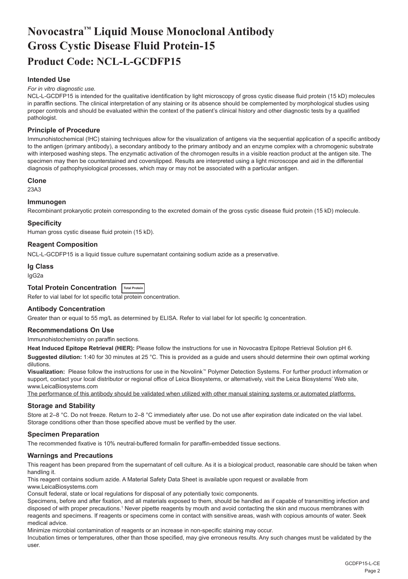## <span id="page-2-0"></span>**Novocastra™ Liquid Mouse Monoclonal Antibody Gross Cystic Disease Fluid Protein-15 Product Code: NCL-L-GCDFP15**

## **Intended Use**

#### *For in vitro diagnostic use.*

NCL-L-GCDFP15 is intended for the qualitative identification by light microscopy of gross cystic disease fluid protein (15 kD) molecules in paraffin sections. The clinical interpretation of any staining or its absence should be complemented by morphological studies using proper controls and should be evaluated within the context of the patient's clinical history and other diagnostic tests by a qualified pathologist.

## **Principle of Procedure**

Immunohistochemical (IHC) staining techniques allow for the visualization of antigens via the sequential application of a specific antibody to the antigen (primary antibody), a secondary antibody to the primary antibody and an enzyme complex with a chromogenic substrate with interposed washing steps. The enzymatic activation of the chromogen results in a visible reaction product at the antigen site. The specimen may then be counterstained and coverslipped. Results are interpreted using a light microscope and aid in the differential diagnosis of pathophysiological processes, which may or may not be associated with a particular antigen.

## **Clone**

23A3

#### **Immunogen**

Recombinant prokaryotic protein corresponding to the excreted domain of the gross cystic disease fluid protein (15 kD) molecule.

#### **Specificity**

Human gross cystic disease fluid protein (15 kD).

## **Reagent Composition**

NCL-L-GCDFP15 is a liquid tissue culture supernatant containing sodium azide as a preservative.

## **Ig Class**

IgG2a

## **Total Protein Concentration Total Protein**

Refer to vial label for lot specific total protein concentration.

## **Antibody Concentration**

Greater than or equal to 55 mg/L as determined by ELISA. Refer to vial label for lot specific Ig concentration.

#### **Recommendations On Use**

Immunohistochemistry on paraffin sections.

**Heat Induced Epitope Retrieval (HIER):** Please follow the instructions for use in Novocastra Epitope Retrieval Solution pH 6.

**Suggested dilution:** 1:40 for 30 minutes at 25 °C. This is provided as a guide and users should determine their own optimal working dilutions.

**Visualization:** Please follow the instructions for use in the Novolink™ Polymer Detection Systems. For further product information or support, contact your local distributor or regional office of Leica Biosystems, or alternatively, visit the Leica Biosystems' Web site, www.LeicaBiosystems.com

The performance of this antibody should be validated when utilized with other manual staining systems or automated platforms.

## **Storage and Stability**

Store at 2–8 °C. Do not freeze. Return to 2–8 °C immediately after use. Do not use after expiration date indicated on the vial label. Storage conditions other than those specified above must be verified by the user.

#### **Specimen Preparation**

The recommended fixative is 10% neutral-buffered formalin for paraffin-embedded tissue sections.

#### **Warnings and Precautions**

This reagent has been prepared from the supernatant of cell culture. As it is a biological product, reasonable care should be taken when handling it.

This reagent contains sodium azide. A Material Safety Data Sheet is available upon request or available from www.LeicaBiosystems.com

Consult federal, state or local regulations for disposal of any potentially toxic components.

Specimens, before and after fixation, and all materials exposed to them, should be handled as if capable of transmitting infection and disposed of with proper precautions.1 Never pipette reagents by mouth and avoid contacting the skin and mucous membranes with reagents and specimens. If reagents or specimens come in contact with sensitive areas, wash with copious amounts of water. Seek medical advice.

Minimize microbial contamination of reagents or an increase in non-specific staining may occur.

Incubation times or temperatures, other than those specified, may give erroneous results. Any such changes must be validated by the user.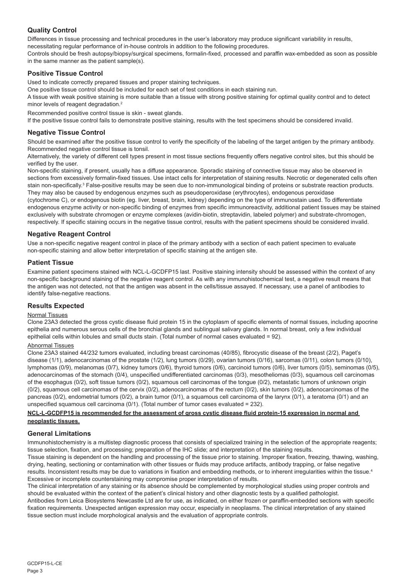## **Quality Control**

Differences in tissue processing and technical procedures in the user's laboratory may produce significant variability in results, necessitating regular performance of in-house controls in addition to the following procedures.

Controls should be fresh autopsy/biopsy/surgical specimens, formalin-fixed, processed and paraffin wax-embedded as soon as possible in the same manner as the patient sample(s).

## **Positive Tissue Control**

Used to indicate correctly prepared tissues and proper staining techniques.

One positive tissue control should be included for each set of test conditions in each staining run.

A tissue with weak positive staining is more suitable than a tissue with strong positive staining for optimal quality control and to detect minor levels of reagent degradation.<sup>2</sup>

Recommended positive control tissue is skin - sweat glands.

If the positive tissue control fails to demonstrate positive staining, results with the test specimens should be considered invalid.

## **Negative Tissue Control**

Should be examined after the positive tissue control to verify the specificity of the labeling of the target antigen by the primary antibody. Recommended negative control tissue is tonsil.

Alternatively, the variety of different cell types present in most tissue sections frequently offers negative control sites, but this should be verified by the user.

Non-specific staining, if present, usually has a diffuse appearance. Sporadic staining of connective tissue may also be observed in sections from excessively formalin-fixed tissues. Use intact cells for interpretation of staining results. Necrotic or degenerated cells often stain non-specifically.<sup>3</sup> False-positive results may be seen due to non-immunological binding of proteins or substrate reaction products. They may also be caused by endogenous enzymes such as pseudoperoxidase (erythrocytes), endogenous peroxidase

(cytochrome C), or endogenous biotin (eg. liver, breast, brain, kidney) depending on the type of immunostain used. To differentiate endogenous enzyme activity or non-specific binding of enzymes from specific immunoreactivity, additional patient tissues may be stained exclusively with substrate chromogen or enzyme complexes (avidin-biotin, streptavidin, labeled polymer) and substrate-chromogen, respectively. If specific staining occurs in the negative tissue control, results with the patient specimens should be considered invalid.

## **Negative Reagent Control**

Use a non-specific negative reagent control in place of the primary antibody with a section of each patient specimen to evaluate non-specific staining and allow better interpretation of specific staining at the antigen site.

## **Patient Tissue**

Examine patient specimens stained with NCL-L-GCDFP15 last. Positive staining intensity should be assessed within the context of any non-specific background staining of the negative reagent control. As with any immunohistochemical test, a negative result means that the antigen was not detected, not that the antigen was absent in the cells/tissue assayed. If necessary, use a panel of antibodies to identify false-negative reactions.

## **Results Expected**

## Normal Tissues

Clone 23A3 detected the gross cystic disease fluid protein 15 in the cytoplasm of specific elements of normal tissues, including apocrine epithelia and numerous serous cells of the bronchial glands and sublingual salivary glands. In normal breast, only a few individual epithelial cells within lobules and small ducts stain. (Total number of normal cases evaluated = 92).

## Abnormal Tissues

Clone 23A3 stained 44/232 tumors evaluated, including breast carcinomas (40/85), fibrocystic disease of the breast (2/2), Paget's disease (1/1), adenocarcinomas of the prostate (1/2), lung tumors (0/29), ovarian tumors (0/16), sarcomas (0/11), colon tumors (0/10), lymphomas (0/9), melanomas (0/7), kidney tumors (0/6), thyroid tumors (0/6), carcinoid tumors (0/6), liver tumors (0/5), seminomas (0/5), adenocarcinomas of the stomach (0/4), unspecified undifferentiated carcinomas (0/3), mesotheliomas (0/3), squamous cell carcinomas of the esophagus (0/2), soft tissue tumors (0/2), squamous cell carcinomas of the tongue (0/2), metastatic tumors of unknown origin (0/2), squamous cell carcinomas of the cervix (0/2), adenocarcinomas of the rectum (0/2), skin tumors (0/2), adenocarcinomas of the pancreas (0/2), endometrial tumors (0/2), a brain tumor (0/1), a squamous cell carcinoma of the larynx (0/1), a teratoma (0/1) and an unspecified squamous cell carcinoma  $(0/1)$ . (Total number of tumor cases evaluated = 232).

#### **NCL-L-GCDFP15 is recommended for the assessment of gross cystic disease fluid protein-15 expression in normal and neoplastic tissues.**

## **General Limitations**

Immunohistochemistry is a multistep diagnostic process that consists of specialized training in the selection of the appropriate reagents; tissue selection, fixation, and processing; preparation of the IHC slide; and interpretation of the staining results.

Tissue staining is dependent on the handling and processing of the tissue prior to staining. Improper fixation, freezing, thawing, washing, drying, heating, sectioning or contamination with other tissues or fluids may produce artifacts, antibody trapping, or false negative results. Inconsistent results may be due to variations in fixation and embedding methods, or to inherent irregularities within the tissue.<sup>4</sup> Excessive or incomplete counterstaining may compromise proper interpretation of results.

The clinical interpretation of any staining or its absence should be complemented by morphological studies using proper controls and should be evaluated within the context of the patient's clinical history and other diagnostic tests by a qualified pathologist.

Antibodies from Leica Biosystems Newcastle Ltd are for use, as indicated, on either frozen or paraffin-embedded sections with specific fixation requirements. Unexpected antigen expression may occur, especially in neoplasms. The clinical interpretation of any stained tissue section must include morphological analysis and the evaluation of appropriate controls.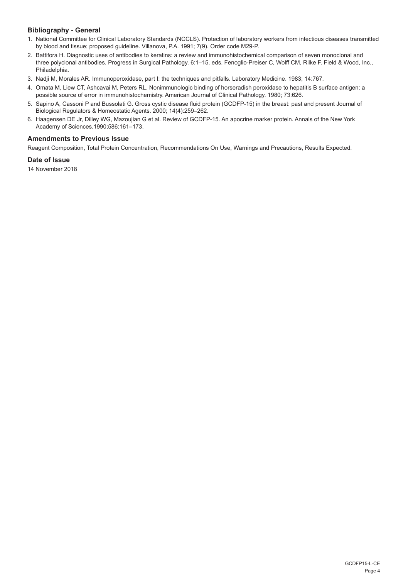## **Bibliography - General**

- 1. National Committee for Clinical Laboratory Standards (NCCLS). Protection of laboratory workers from infectious diseases transmitted by blood and tissue; proposed guideline. Villanova, P.A. 1991; 7(9). Order code M29-P.
- 2. Battifora H. Diagnostic uses of antibodies to keratins: a review and immunohistochemical comparison of seven monoclonal and three polyclonal antibodies. Progress in Surgical Pathology. 6:1–15. eds. Fenoglio-Preiser C, Wolff CM, Rilke F. Field & Wood, Inc., Philadelphia.
- 3. Nadji M, Morales AR. Immunoperoxidase, part I: the techniques and pitfalls. Laboratory Medicine. 1983; 14:767.
- 4. Omata M, Liew CT, Ashcavai M, Peters RL. Nonimmunologic binding of horseradish peroxidase to hepatitis B surface antigen: a possible source of error in immunohistochemistry. American Journal of Clinical Pathology. 1980; 73:626.
- 5. Sapino A, Cassoni P and Bussolati G. Gross cystic disease fluid protein (GCDFP-15) in the breast: past and present Journal of Biological Regulators & Homeostatic Agents. 2000; 14(4):259–262.
- 6. Haagensen DE Jr, Dilley WG, Mazoujian G et al. Review of GCDFP-15. An apocrine marker protein. Annals of the New York Academy of Sciences.1990;586:161–173.

## **Amendments to Previous Issue**

Reagent Composition, Total Protein Concentration, Recommendations On Use, Warnings and Precautions, Results Expected.

#### **Date of Issue**

14 November 2018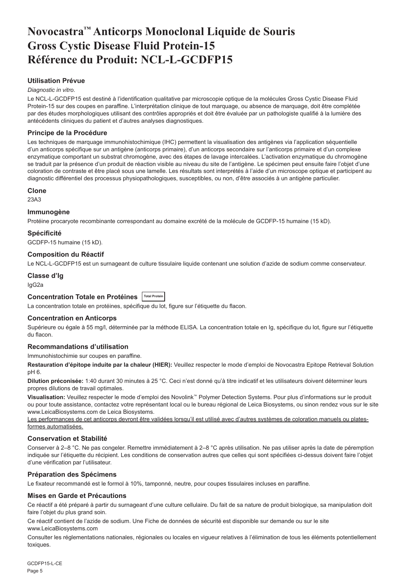## <span id="page-5-0"></span>**Novocastra™ Anticorps Monoclonal Liquide de Souris Gross Cystic Disease Fluid Protein-15 Référence du Produit: NCL-L-GCDFP15**

## **Utilisation Prévue**

#### *Diagnostic in vitro*.

Le NCL-L-GCDFP15 est destiné à l'identification qualitative par microscopie optique de la molécules Gross Cystic Disease Fluid Protein-15 sur des coupes en paraffine. L'interprétation clinique de tout marquage, ou absence de marquage, doit être complétée par des études morphologiques utilisant des contrôles appropriés et doit être évaluée par un pathologiste qualifié à la lumière des antécédents cliniques du patient et d'autres analyses diagnostiques.

## **Principe de la Procédure**

Les techniques de marquage immunohistochimique (IHC) permettent la visualisation des antigènes via l'application séquentielle d'un anticorps spécifique sur un antigène (anticorps primaire), d'un anticorps secondaire sur l'anticorps primaire et d'un complexe enzymatique comportant un substrat chromogène, avec des étapes de lavage intercalées. L'activation enzymatique du chromogène se traduit par la présence d'un produit de réaction visible au niveau du site de l'antigène. Le spécimen peut ensuite faire l'objet d'une coloration de contraste et être placé sous une lamelle. Les résultats sont interprétés à l'aide d'un microscope optique et participent au diagnostic différentiel des processus physiopathologiques, susceptibles, ou non, d'être associés à un antigène particulier.

#### **Clone**

23A3

## **Immunogène**

Protéine procaryote recombinante correspondant au domaine excrété de la molécule de GCDFP-15 humaine (15 kD).

## **Spécificité**

GCDFP-15 humaine (15 kD).

## **Composition du Réactif**

Le NCL-L-GCDFP15 est un surnageant de culture tissulaire liquide contenant une solution d'azide de sodium comme conservateur.

## **Classe d'Ig**

IgG2a

## **Concentration Totale en Protéines Total Protein**

La concentration totale en protéines, spécifique du lot, figure sur l'étiquette du flacon.

## **Concentration en Anticorps**

Supérieure ou égale à 55 mg/l, déterminée par la méthode ELISA. La concentration totale en Ig, spécifique du lot, figure sur l'étiquette du flacon.

## **Recommandations d'utilisation**

Immunohistochimie sur coupes en paraffine.

**Restauration d'épitope induite par la chaleur (HIER):** Veuillez respecter le mode d'emploi de Novocastra Epitope Retrieval Solution pH 6.

**Dilution préconisée:** 1:40 durant 30 minutes à 25 °C. Ceci n'est donné qu'à titre indicatif et les utilisateurs doivent déterminer leurs propres dilutions de travail optimales.

**Visualisation:** Veuillez respecter le mode d'emploi des Novolink™ Polymer Detection Systems. Pour plus d'informations sur le produit ou pour toute assistance, contactez votre représentant local ou le bureau régional de Leica Biosystems, ou sinon rendez vous sur le site www.LeicaBiosystems.com de Leica Biosystems.

Les performances de cet anticorps devront être validées lorsqu'il est utilisé avec d'autres systèmes de coloration manuels ou platesformes automatisées.

## **Conservation et Stabilité**

Conserver à 2–8 °C. Ne pas congeler. Remettre immédiatement à 2–8 °C après utilisation. Ne pas utiliser après la date de péremption indiquée sur l'étiquette du récipient. Les conditions de conservation autres que celles qui sont spécifiées ci-dessus doivent faire l'objet d'une vérification par l'utilisateur.

## **Préparation des Spécimens**

Le fixateur recommandé est le formol à 10%, tamponné, neutre, pour coupes tissulaires incluses en paraffine.

## **Mises en Garde et Précautions**

Ce réactif a été préparé à partir du surnageant d'une culture cellulaire. Du fait de sa nature de produit biologique, sa manipulation doit faire l'objet du plus grand soin.

Ce réactif contient de l'azide de sodium. Une Fiche de données de sécurité est disponible sur demande ou sur le site www.LeicaBiosystems.com

Consulter les réglementations nationales, régionales ou locales en vigueur relatives à l'élimination de tous les éléments potentiellement toxiques.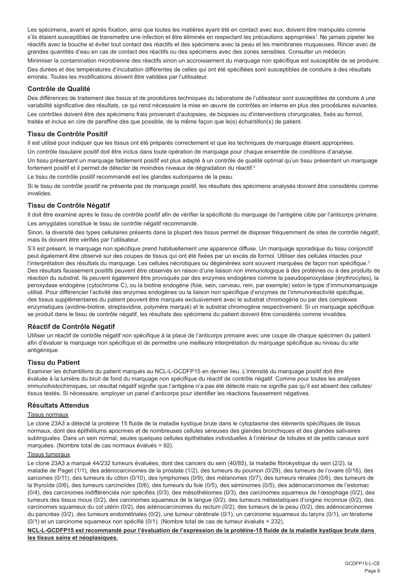Les spécimens, avant et après fixation, ainsi que toutes les matières ayant été en contact avec eux, doivent être manipulés comme s'ils étaient susceptibles de transmettre une infection et être éliminés en respectant les précautions appropriées<sup>1</sup>. Ne jamais pipeter les réactifs avec la bouche et éviter tout contact des réactifs et des spécimens avec la peau et les membranes muqueuses. Rincer avec de grandes quantités d'eau en cas de contact des réactifs ou des spécimens avec des zones sensibles. Consulter un médecin.

Minimiser la contamination microbienne des réactifs sinon un accroissement du marquage non spécifique est susceptible de se produire. Des durées et des températures d'incubation différentes de celles qui ont été spécifiées sont susceptibles de conduire à des résultats erronés. Toutes les modifications doivent être validées par l'utilisateur.

## **Contrôle de Qualité**

Des différences de traitement des tissus et de procédures techniques du laboratoire de l'utilisateur sont susceptibles de conduire à une variabilité significative des résultats, ce qui rend nécessaire la mise en œuvre de contrôles en interne en plus des procédures suivantes.

Les contrôles doivent être des spécimens frais provenant d'autopsies, de biopsies ou d'interventions chirurgicales, fixés au formol, traités et inclus en cire de paraffine dès que possible, de la même façon que le(s) échantillon(s) de patient.

## **Tissu de Contrôle Positif**

Il est utilisé pour indiquer que les tissus ont été préparés correctement et que les techniques de marquage étaient appropriées. Un contrôle tissulaire positif doit être inclus dans toute opération de marquage pour chaque ensemble de conditions d'analyse.

Un tissu présentant un marquage faiblement positif est plus adapté à un contrôle de qualité optimal qu'un tissu présentant un marquage fortement positif et il permet de détecter de moindres niveaux de dégradation du réactif.<sup>2</sup>

Le tissu de contrôle positif recommandé est les glandes sudoripares de la peau.

Si le tissu de contrôle positif ne présente pas de marquage positif, les résultats des spécimens analysés doivent être considérés comme invalides.

## **Tissu de Contrôle Négatif**

Il doit être examiné après le tissu de contrôle positif afin de vérifier la spécificité du marquage de l'antigène cible par l'anticorps primaire. Les amygdales constitue le tissu de contrôle négatif recommandé.

Sinon, la diversité des types cellulaires présents dans la plupart des tissus permet de disposer fréquemment de sites de contrôle négatif, mais ils doivent être vérifiés par l'utilisateur.

S'il est présent, le marquage non spécifique prend habituellement une apparence diffuse. Un marquage sporadique du tissu conjonctif peut également être observé sur des coupes de tissus qui ont été fixées par un excès de formol. Utiliser des cellules intactes pour l'interprétation des résultats du marquage. Les cellules nécrotiques ou dégénérées sont souvent marquées de façon non spécifique.<sup>3</sup> Des résultats faussement positifs peuvent être observés en raison d'une liaison non immunologique à des protéines ou à des produits de réaction du substrat. Ils peuvent également être provoqués par des enzymes endogènes comme la pseudoperoxydase (érythrocytes), la peroxydase endogène (cytochrome C), ou la biotine endogène (foie, sein, cerveau, rein, par exemple) selon le type d'immunomarquage utilisé. Pour différencier l'activité des enzymes endogènes ou la liaison non spécifique d'enzymes de l'immunoréactivité spécifique, des tissus supplémentaires du patient peuvent être marqués exclusivement avec le substrat chromogène ou par des complexes enzymatiques (avidine-biotine, streptavidine, polymère marqué) et le substrat chromogène respectivement. Si un marquage spécifique se produit dans le tissu de contrôle négatif, les résultats des spécimens du patient doivent être considérés comme invalides.

## **Réactif de Contrôle Négatif**

Utiliser un réactif de contrôle négatif non spécifique à la place de l'anticorps primaire avec une coupe de chaque spécimen du patient afin d'évaluer le marquage non spécifique et de permettre une meilleure interprétation du marquage spécifique au niveau du site antigénique.

## **Tissu du Patient**

Examiner les échantillons du patient marqués au NCL-L-GCDFP15 en dernier lieu. L'intensité du marquage positif doit être évaluée à la lumière du bruit de fond du marquage non spécifique du réactif de contrôle négatif. Comme pour toutes les analyses immunohistochimiques, un résultat négatif signifie que l'antigène n'a pas été détecté mais ne signifie pas qu'il est absent des cellules/ tissus testés. Si nécessaire, employer un panel d'anticorps pour identifier les réactions faussement négatives.

## **Résultats Attendus**

#### Tissus normaux

Le clone 23A3 a détecté la protéine 15 fluide de la maladie kystique brute dans le cytoplasme des éléments spécifiques de tissus normaux, dont des épithéliums apocrines et de nombreuses cellules séreuses des glandes bronchiques et des glandes salivaires sublinguales. Dans un sein normal, seules quelques cellules épithéliales individuelles à l'intérieur de lobules et de petits canaux sont marquées. (Nombre total de cas normaux évalués = 92).

## Tissus tumoraux

Le clone 23A3 a marqué 44/232 tumeurs évaluées, dont des cancers du sein (40/85), la maladie fibrokystique du sein (2/2), la maladie de Paget (1/1), des adénocarcinomes de la prostate (1/2), des tumeurs du poumon (0/29), des tumeurs de l'ovaire (0/16), des sarcomes (0/11), des tumeurs du côlon (0/10), des lymphomes (0/9), des mélanomes (0/7), des tumeurs rénales (0/6), des tumeurs de la thyroïde (0/6), des tumeurs carcinoïdes (0/6), des tumeurs du foie (0/5), des séminomes (0/5), des adénocarcinomes de l'estomac (0/4), des carcinomes indifférenciés non spécifiés (0/3), des mésothéliomes (0/3), des carcinomes squameux de l'œsophage (0/2), des tumeurs des tissus mous (0/2), des carcinomes squameux de la langue (0/2), des tumeurs métastatiques d'origine inconnue (0/2), des carcinomes squameux du col utérin (0/2), des adénocarcinomes du rectum (0/2), des tumeurs de la peau (0/2), des adénocarcinomes du pancréas (0/2), des tumeurs endométriales (0/2), une tumeur cérébrale (0/1), un carcinome squameux du larynx (0/1), un tératome (0/1) et un carcinome squameux non spécifié (0/1). (Nombre total de cas de tumeur évalués = 232).

**NCL-L-GCDFP15 est recommandé pour l'évaluation de l'expression de la protéine-15 fluide de la maladie kystique brute dans les tissus sains et néoplasiques.**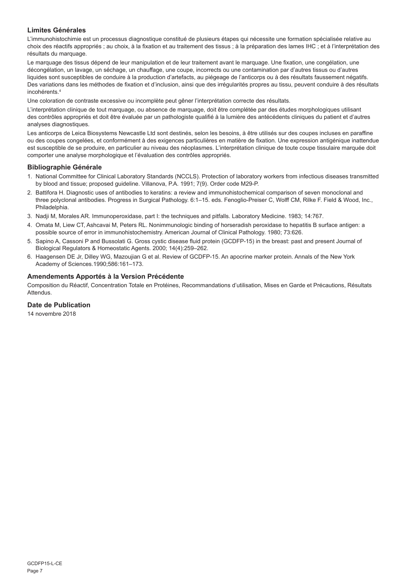## **Limites Générales**

L'immunohistochimie est un processus diagnostique constitué de plusieurs étapes qui nécessite une formation spécialisée relative au choix des réactifs appropriés ; au choix, à la fixation et au traitement des tissus ; à la préparation des lames IHC ; et à l'interprétation des résultats du marquage.

Le marquage des tissus dépend de leur manipulation et de leur traitement avant le marquage. Une fixation, une congélation, une décongélation, un lavage, un séchage, un chauffage, une coupe, incorrects ou une contamination par d'autres tissus ou d'autres liquides sont susceptibles de conduire à la production d'artefacts, au piégeage de l'anticorps ou à des résultats faussement négatifs. Des variations dans les méthodes de fixation et d'inclusion, ainsi que des irrégularités propres au tissu, peuvent conduire à des résultats incohérents<sup>4</sup>

Une coloration de contraste excessive ou incomplète peut gêner l'interprétation correcte des résultats.

L'interprétation clinique de tout marquage, ou absence de marquage, doit être complétée par des études morphologiques utilisant des contrôles appropriés et doit être évaluée par un pathologiste qualifié à la lumière des antécédents cliniques du patient et d'autres analyses diagnostiques.

Les anticorps de Leica Biosystems Newcastle Ltd sont destinés, selon les besoins, à être utilisés sur des coupes incluses en paraffine ou des coupes congelées, et conformément à des exigences particulières en matière de fixation. Une expression antigénique inattendue est susceptible de se produire, en particulier au niveau des néoplasmes. L'interprétation clinique de toute coupe tissulaire marquée doit comporter une analyse morphologique et l'évaluation des contrôles appropriés.

#### **Bibliographie Générale**

- 1. National Committee for Clinical Laboratory Standards (NCCLS). Protection of laboratory workers from infectious diseases transmitted by blood and tissue; proposed guideline. Villanova, P.A. 1991; 7(9). Order code M29-P.
- 2. Battifora H. Diagnostic uses of antibodies to keratins: a review and immunohistochemical comparison of seven monoclonal and three polyclonal antibodies. Progress in Surgical Pathology. 6:1–15. eds. Fenoglio-Preiser C, Wolff CM, Rilke F. Field & Wood, Inc., Philadelphia.
- 3. Nadji M, Morales AR. Immunoperoxidase, part I: the techniques and pitfalls. Laboratory Medicine. 1983; 14:767.
- 4. Omata M, Liew CT, Ashcavai M, Peters RL. Nonimmunologic binding of horseradish peroxidase to hepatitis B surface antigen: a possible source of error in immunohistochemistry. American Journal of Clinical Pathology. 1980; 73:626.
- 5. Sapino A, Cassoni P and Bussolati G. Gross cystic disease fluid protein (GCDFP-15) in the breast: past and present Journal of Biological Regulators & Homeostatic Agents. 2000; 14(4):259–262.
- 6. Haagensen DE Jr, Dilley WG, Mazoujian G et al. Review of GCDFP-15. An apocrine marker protein. Annals of the New York Academy of Sciences.1990;586:161–173.

#### **Amendements Apportés à la Version Précédente**

Composition du Réactif, Concentration Totale en Protéines, Recommandations d'utilisation, Mises en Garde et Précautions, Résultats **Attendue** 

## **Date de Publication**

14 novembre 2018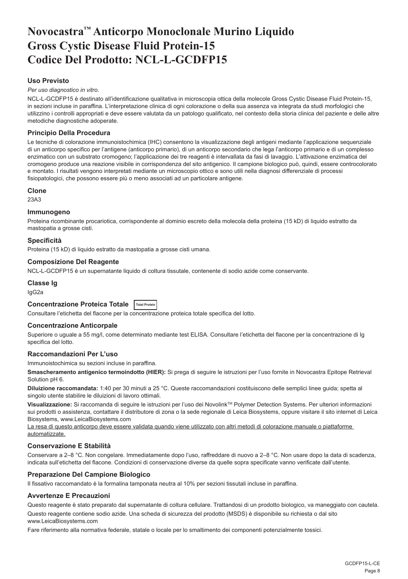## <span id="page-8-0"></span>**Novocastra™ Anticorpo Monoclonale Murino Liquido Gross Cystic Disease Fluid Protein-15 Codice Del Prodotto: NCL-L-GCDFP15**

## **Uso Previsto**

*Per uso diagnostico in vitro*.

NCL-L-GCDFP15 è destinato all'identificazione qualitativa in microscopia ottica della molecole Gross Cystic Disease Fluid Protein-15, in sezioni incluse in paraffina. L'interpretazione clinica di ogni colorazione o della sua assenza va integrata da studi morfologici che utilizzino i controlli appropriati e deve essere valutata da un patologo qualificato, nel contesto della storia clinica del paziente e delle altre metodiche diagnostiche adoperate.

## **Principio Della Procedura**

Le tecniche di colorazione immunoistochimica (IHC) consentono la visualizzazione degli antigeni mediante l'applicazione sequenziale di un anticorpo specifico per l'antigene (anticorpo primario), di un anticorpo secondario che lega l'anticorpo primario e di un complesso enzimatico con un substrato cromogeno; l'applicazione dei tre reagenti è intervallata da fasi di lavaggio. L'attivazione enzimatica del cromogeno produce una reazione visibile in corrispondenza del sito antigenico. Il campione biologico può, quindi, essere controcolorato e montato. I risultati vengono interpretati mediante un microscopio ottico e sono utili nella diagnosi differenziale di processi fisiopatologici, che possono essere più o meno associati ad un particolare antigene.

#### **Clone**

23A3

## **Immunogeno**

Proteina ricombinante procariotica, corrispondente al dominio escreto della molecola della proteina (15 kD) di liquido estratto da mastopatia a grosse cisti.

#### **Specificità**

Proteina (15 kD) di liquido estratto da mastopatia a grosse cisti umana.

#### **Composizione Del Reagente**

NCL-L-GCDFP15 è un supernatante liquido di coltura tissutale, contenente di sodio azide come conservante.

#### **Classe Ig**

IgG2a

## **Concentrazione Proteica Totale Total Protein**

Consultare l'etichetta del flacone per la concentrazione proteica totale specifica del lotto.

#### **Concentrazione Anticorpale**

Superiore o uguale a 55 mg/l, come determinato mediante test ELISA. Consultare l'etichetta del flacone per la concentrazione di Ig specifica del lotto.

### **Raccomandazioni Per L'uso**

Immunoistochimica su sezioni incluse in paraffina.

**Smascheramento antigenico termoindotto (HIER):** Si prega di seguire le istruzioni per l'uso fornite in Novocastra Epitope Retrieval Solution pH 6.

**Diluizione raccomandata:** 1:40 per 30 minuti a 25 °C. Queste raccomandazioni costituiscono delle semplici linee guida; spetta al singolo utente stabilire le diluizioni di lavoro ottimali.

Visualizzazione: Si raccomanda di seguire le istruzioni per l'uso dei Novolink™ Polymer Detection Systems. Per ulteriori informazioni sui prodotti o assistenza, contattare il distributore di zona o la sede regionale di Leica Biosystems, oppure visitare il sito internet di Leica Biosystems, www.LeicaBiosystems.com

La resa di questo anticorpo deve essere validata quando viene utilizzato con altri metodi di colorazione manuale o piattaforme automatizzate.

#### **Conservazione E Stabilità**

Conservare a 2–8 °C. Non congelare. Immediatamente dopo l'uso, raffreddare di nuovo a 2–8 °C. Non usare dopo la data di scadenza, indicata sull'etichetta del flacone. Condizioni di conservazione diverse da quelle sopra specificate vanno verificate dall'utente.

## **Preparazione Del Campione Biologico**

Il fissativo raccomandato è la formalina tamponata neutra al 10% per sezioni tissutali incluse in paraffina.

## **Avvertenze E Precauzioni**

Questo reagente è stato preparato dal supernatante di coltura cellulare. Trattandosi di un prodotto biologico, va maneggiato con cautela. Questo reagente contiene sodio azide. Una scheda di sicurezza del prodotto (MSDS) è disponibile su richiesta o dal sito www.LeicaBiosystems.com

Fare riferimento alla normativa federale, statale o locale per lo smaltimento dei componenti potenzialmente tossici.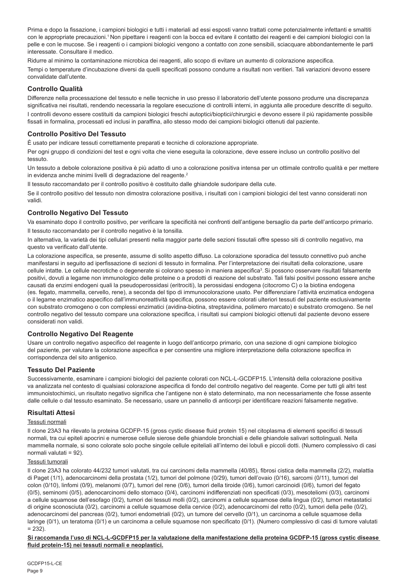Prima e dopo la fissazione, i campioni biologici e tutti i materiali ad essi esposti vanno trattati come potenzialmente infettanti e smaltiti con le appropriate precauzioni.<sup>1</sup> Non pipettare i reagenti con la bocca ed evitare il contatto dei reagenti e dei campioni biologici con la pelle e con le mucose. Se i reagenti o i campioni biologici vengono a contatto con zone sensibili, sciacquare abbondantemente le parti interessate. Consultare il medico.

Ridurre al minimo la contaminazione microbica dei reagenti, allo scopo di evitare un aumento di colorazione aspecifica.

Tempi o temperature d'incubazione diversi da quelli specificati possono condurre a risultati non veritieri. Tali variazioni devono essere convalidate dall'utente.

## **Controllo Qualità**

Differenze nella processazione del tessuto e nelle tecniche in uso presso il laboratorio dell'utente possono produrre una discrepanza significativa nei risultati, rendendo necessaria la regolare esecuzione di controlli interni, in aggiunta alle procedure descritte di seguito.

I controlli devono essere costituiti da campioni biologici freschi autoptici/bioptici/chirurgici e devono essere il più rapidamente possibile fissati in formalina, processati ed inclusi in paraffina, allo stesso modo dei campioni biologici ottenuti dal paziente.

## **Controllo Positivo Del Tessuto**

È usato per indicare tessuti correttamente preparati e tecniche di colorazione appropriate.

Per ogni gruppo di condizioni del test e ogni volta che viene eseguita la colorazione, deve essere incluso un controllo positivo del tessuto.

Un tessuto a debole colorazione positiva è più adatto di uno a colorazione positiva intensa per un ottimale controllo qualità e per mettere in evidenza anche minimi livelli di degradazione del reagente.<sup>2</sup>

Il tessuto raccomandato per il controllo positivo è costituito dalle ghiandole sudoripare della cute.

Se il controllo positivo del tessuto non dimostra colorazione positiva, i risultati con i campioni biologici del test vanno considerati non validi.

## **Controllo Negativo Del Tessuto**

Va esaminato dopo il controllo positivo, per verificare la specificità nei confronti dell'antigene bersaglio da parte dell'anticorpo primario. Il tessuto raccomandato per il controllo negativo è la tonsilla.

In alternativa, la varietà dei tipi cellulari presenti nella maggior parte delle sezioni tissutali offre spesso siti di controllo negativo, ma questo va verificato dall'utente.

La colorazione aspecifica, se presente, assume di solito aspetto diffuso. La colorazione sporadica del tessuto connettivo può anche manifestarsi in seguito ad iperfissazione di sezioni di tessuto in formalina. Per l'interpretazione dei risultati della colorazione, usare cellule intatte. Le cellule necrotiche o degenerate si colorano spesso in maniera aspecifica<sup>3</sup>. Si possono osservare risultati falsamente positivi, dovuti a legame non immunologico delle proteine o a prodotti di reazione del substrato. Tali falsi positivi possono essere anche causati da enzimi endogeni quali la pseudoperossidasi (eritrociti), la perossidasi endogena (citocromo C) o la biotina endogena (es. fegato, mammella, cervello, rene), a seconda del tipo di immunocolorazione usato. Per differenziare l'attività enzimatica endogena o il legame enzimatico aspecifico dall'immunoreattività specifica, possono essere colorati ulteriori tessuti del paziente esclusivamente con substrato cromogeno o con complessi enzimatici (avidina-biotina, streptavidina, polimero marcato) e substrato cromogeno. Se nel controllo negativo del tessuto compare una colorazione specifica, i risultati sui campioni biologici ottenuti dal paziente devono essere considerati non validi.

## **Controllo Negativo Del Reagente**

Usare un controllo negativo aspecifico del reagente in luogo dell'anticorpo primario, con una sezione di ogni campione biologico del paziente, per valutare la colorazione aspecifica e per consentire una migliore interpretazione della colorazione specifica in corrispondenza del sito antigenico.

## **Tessuto Del Paziente**

Successivamente, esaminare i campioni biologici del paziente colorati con NCL-L-GCDFP15. L'intensità della colorazione positiva va analizzata nel contesto di qualsiasi colorazione aspecifica di fondo del controllo negativo del reagente. Come per tutti gli altri test immunoistochimici, un risultato negativo significa che l'antigene non è stato determinato, ma non necessariamente che fosse assente dalle cellule o dal tessuto esaminato. Se necessario, usare un pannello di anticorpi per identificare reazioni falsamente negative.

#### **Risultati Attesi**

#### Tessuti normali

Il clone 23A3 ha rilevato la proteina GCDFP-15 (gross cystic disease fluid protein 15) nel citoplasma di elementi specifici di tessuti normali, tra cui epiteli apocrini e numerose cellule sierose delle ghiandole bronchiali e delle ghiandole salivari sottolinguali. Nella mammella normale, si sono colorate solo poche singole cellule epiteliali all'interno dei lobuli e piccoli dotti. (Numero complessivo di casi normali valutati = 92).

#### Tessuti tumorali

Il clone 23A3 ha colorato 44/232 tumori valutati, tra cui carcinomi della mammella (40/85), fibrosi cistica della mammella (2/2), malattia di Paget (1/1), adenocarcinomi della prostata (1/2), tumori del polmone (0/29), tumori dell'ovaio (0/16), sarcomi (0/11), tumori del colon (0/10), linfomi (0/9), melanomi (0/7), tumori del rene (0/6), tumori della tiroide (0/6), tumori carcinoidi (0/6), tumori del fegato (0/5), seminomi (0/5), adenocarcinomi dello stomaco (0/4), carcinomi indifferenziati non specificati (0/3), mesoteliomi (0/3), carcinomi a cellule squamose dell'esofago (0/2), tumori dei tessuti molli (0/2), carcinomi a cellule squamose della lingua (0/2), tumori metastatici di origine sconosciuta (0/2), carcinomi a cellule squamose della cervice (0/2), adenocarcinomi del retto (0/2), tumori della pelle (0/2), adenocarcinomi del pancreas (0/2), tumori endometriali (0/2), un tumore del cervello (0/1), un carcinoma a cellule squamose della laringe (0/1), un teratoma (0/1) e un carcinoma a cellule squamose non specificato (0/1). (Numero complessivo di casi di tumore valutati  $= 232$ ).

**Si raccomanda l'uso di NCL-L-GCDFP15 per la valutazione della manifestazione della proteina GCDFP-15 (gross cystic disease fluid protein-15) nei tessuti normali e neoplastici.**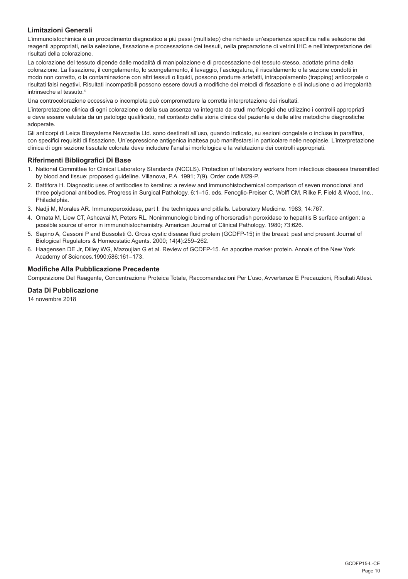## **Limitazioni Generali**

L'immunoistochimica è un procedimento diagnostico a più passi (multistep) che richiede un'esperienza specifica nella selezione dei reagenti appropriati, nella selezione, fissazione e processazione dei tessuti, nella preparazione di vetrini IHC e nell'interpretazione dei risultati della colorazione.

La colorazione del tessuto dipende dalle modalità di manipolazione e di processazione del tessuto stesso, adottate prima della colorazione. La fissazione, il congelamento, lo scongelamento, il lavaggio, l'asciugatura, il riscaldamento o la sezione condotti in modo non corretto, o la contaminazione con altri tessuti o liquidi, possono produrre artefatti, intrappolamento (trapping) anticorpale o risultati falsi negativi. Risultati incompatibili possono essere dovuti a modifiche dei metodi di fissazione e di inclusione o ad irregolarità intrinseche al tessuto.<sup>4</sup>

Una controcolorazione eccessiva o incompleta può compromettere la corretta interpretazione dei risultati.

L'interpretazione clinica di ogni colorazione o della sua assenza va integrata da studi morfologici che utilizzino i controlli appropriati e deve essere valutata da un patologo qualificato, nel contesto della storia clinica del paziente e delle altre metodiche diagnostiche adoperate.

Gli anticorpi di Leica Biosystems Newcastle Ltd. sono destinati all'uso, quando indicato, su sezioni congelate o incluse in paraffina, con specifici requisiti di fissazione. Un'espressione antigenica inattesa può manifestarsi in particolare nelle neoplasie. L'interpretazione clinica di ogni sezione tissutale colorata deve includere l'analisi morfologica e la valutazione dei controlli appropriati.

## **Riferimenti Bibliografici Di Base**

- 1. National Committee for Clinical Laboratory Standards (NCCLS). Protection of laboratory workers from infectious diseases transmitted by blood and tissue; proposed guideline. Villanova, P.A. 1991; 7(9). Order code M29-P.
- 2. Battifora H. Diagnostic uses of antibodies to keratins: a review and immunohistochemical comparison of seven monoclonal and three polyclonal antibodies. Progress in Surgical Pathology. 6:1–15. eds. Fenoglio-Preiser C, Wolff CM, Rilke F. Field & Wood, Inc., Philadelphia.
- 3. Nadji M, Morales AR. Immunoperoxidase, part I: the techniques and pitfalls. Laboratory Medicine. 1983; 14:767.
- 4. Omata M, Liew CT, Ashcavai M, Peters RL. Nonimmunologic binding of horseradish peroxidase to hepatitis B surface antigen: a possible source of error in immunohistochemistry. American Journal of Clinical Pathology. 1980; 73:626.
- 5. Sapino A, Cassoni P and Bussolati G. Gross cystic disease fluid protein (GCDFP-15) in the breast: past and present Journal of Biological Regulators & Homeostatic Agents. 2000; 14(4):259–262.
- 6. Haagensen DE Jr, Dilley WG, Mazoujian G et al. Review of GCDFP-15. An apocrine marker protein. Annals of the New York Academy of Sciences.1990;586:161–173.

## **Modifiche Alla Pubblicazione Precedente**

Composizione Del Reagente, Concentrazione Proteica Totale, Raccomandazioni Per L'uso, Avvertenze E Precauzioni, Risultati Attesi.

## **Data Di Pubblicazione**

14 novembre 2018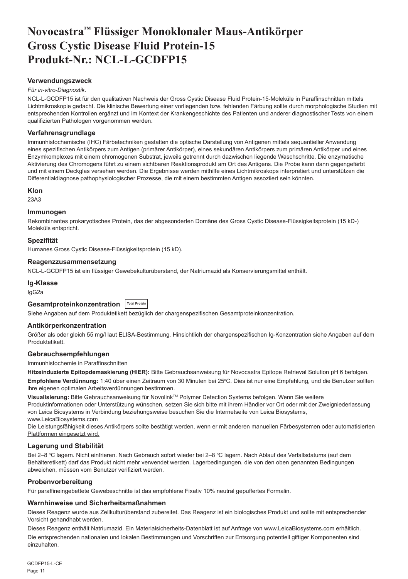## <span id="page-11-0"></span>**Novocastra™ Flüssiger Monoklonaler Maus-Antikörper Gross Cystic Disease Fluid Protein-15 Produkt-Nr.: NCL-L-GCDFP15**

## **Verwendungszweck**

#### *Für in-vitro-Diagnostik*.

NCL-L-GCDFP15 ist für den qualitativen Nachweis der Gross Cystic Disease Fluid Protein-15-Moleküle in Paraffinschnitten mittels Lichtmikroskopie gedacht. Die klinische Bewertung einer vorliegenden bzw. fehlenden Färbung sollte durch morphologische Studien mit entsprechenden Kontrollen ergänzt und im Kontext der Krankengeschichte des Patienten und anderer diagnostischer Tests von einem qualifizierten Pathologen vorgenommen werden.

## **Verfahrensgrundlage**

Immunhistochemische (IHC) Färbetechniken gestatten die optische Darstellung von Antigenen mittels sequentieller Anwendung eines spezifischen Antikörpers zum Antigen (primärer Antikörper), eines sekundären Antikörpers zum primären Antikörper und eines Enzymkomplexes mit einem chromogenen Substrat, jeweils getrennt durch dazwischen liegende Waschschritte. Die enzymatische Aktivierung des Chromogens führt zu einem sichtbaren Reaktionsprodukt am Ort des Antigens. Die Probe kann dann gegengefärbt und mit einem Deckglas versehen werden. Die Ergebnisse werden mithilfe eines Lichtmikroskops interpretiert und unterstützen die Differentialdiagnose pathophysiologischer Prozesse, die mit einem bestimmten Antigen assoziiert sein könnten.

#### **Klon**

23A3

#### **Immunogen**

Rekombinantes prokaryotisches Protein, das der abgesonderten Domäne des Gross Cystic Disease-Flüssigkeitsprotein (15 kD-) Moleküls entspricht.

#### **Spezifität**

Humanes Gross Cystic Disease-Flüssigkeitsprotein (15 kD).

#### **Reagenzzusammensetzung**

NCL-L-GCDFP15 ist ein flüssiger Gewebekulturüberstand, der Natriumazid als Konservierungsmittel enthält.

#### **Ig-Klasse**

IgG2a

## **Gesamtproteinkonzentration Total Protein**

Siehe Angaben auf dem Produktetikett bezüglich der chargenspezifischen Gesamtproteinkonzentration.

#### **Antikörperkonzentration**

Größer als oder gleich 55 mg/l laut ELISA-Bestimmung. Hinsichtlich der chargenspezifischen Ig-Konzentration siehe Angaben auf dem Produktetikett.

## **Gebrauchsempfehlungen**

Immunhistochemie in Paraffinschnitten

**Hitzeinduzierte Epitopdemaskierung (HIER):** Bitte Gebrauchsanweisung für Novocastra Epitope Retrieval Solution pH 6 befolgen. **Empfohlene Verdünnung:** 1:40 über einen Zeitraum von 30 Minuten bei 25°C. Dies ist nur eine Empfehlung, und die Benutzer sollten ihre eigenen optimalen Arbeitsverdünnungen bestimmen.

Visualisierung: Bitte Gebrauchsanweisung für Novolink<sup>™</sup> Polymer Detection Systems befolgen. Wenn Sie weitere Produktinformationen oder Unterstützung wünschen, setzen Sie sich bitte mit ihrem Händler vor Ort oder mit der Zweigniederlassung von Leica Biosystems in Verbindung beziehungsweise besuchen Sie die Internetseite von Leica Biosystems, www.LeicaBiosystems.com

Die Leistungsfähigkeit dieses Antikörpers sollte bestätigt werden, wenn er mit anderen manuellen Färbesystemen oder automatisierten Plattformen eingesetzt wird.

## **Lagerung und Stabilität**

Bei 2–8 °C lagern. Nicht einfrieren. Nach Gebrauch sofort wieder bei 2–8 °C lagern. Nach Ablauf des Verfallsdatums (auf dem Behälteretikett) darf das Produkt nicht mehr verwendet werden. Lagerbedingungen, die von den oben genannten Bedingungen abweichen, müssen vom Benutzer verifiziert werden.

#### **Probenvorbereitung**

Für paraffineingebettete Gewebeschnitte ist das empfohlene Fixativ 10% neutral gepuffertes Formalin.

#### **Warnhinweise und Sicherheitsmaßnahmen**

Dieses Reagenz wurde aus Zellkulturüberstand zubereitet. Das Reagenz ist ein biologisches Produkt und sollte mit entsprechender Vorsicht gehandhabt werden.

Dieses Reagenz enthält Natriumazid. Ein Materialsicherheits-Datenblatt ist auf Anfrage von www.LeicaBiosystems.com erhältlich.

Die entsprechenden nationalen und lokalen Bestimmungen und Vorschriften zur Entsorgung potentiell giftiger Komponenten sind einzuhalten.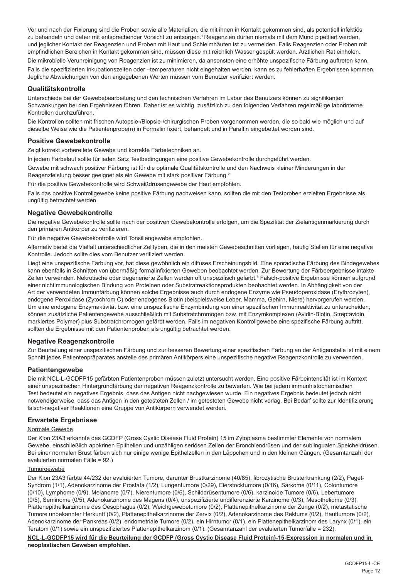Vor und nach der Fixierung sind die Proben sowie alle Materialien, die mit ihnen in Kontakt gekommen sind, als potentiell infektiös zu behandeln und daher mit entsprechender Vorsicht zu entsorgen.<sup>1</sup> Reagenzien dürfen niemals mit dem Mund pipettiert werden, und jeglicher Kontakt der Reagenzien und Proben mit Haut und Schleimhäuten ist zu vermeiden. Falls Reagenzien oder Proben mit empfindlichen Bereichen in Kontakt gekommen sind, müssen diese mit reichlich Wasser gespült werden. Ärztlichen Rat einholen.

Die mikrobielle Verunreinigung von Reagenzien ist zu minimieren, da ansonsten eine erhöhte unspezifische Färbung auftreten kann. Falls die spezifizierten Inkubationszeiten oder –temperaturen nicht eingehalten werden, kann es zu fehlerhaften Ergebnissen kommen. Jegliche Abweichungen von den angegebenen Werten müssen vom Benutzer verifiziert werden.

## **Qualitätskontrolle**

Unterschiede bei der Gewebebearbeitung und den technischen Verfahren im Labor des Benutzers können zu signifikanten Schwankungen bei den Ergebnissen führen. Daher ist es wichtig, zusätzlich zu den folgenden Verfahren regelmäßige laborinterne Kontrollen durchzuführen.

Die Kontrollen sollten mit frischen Autopsie-/Biopsie-/chirurgischen Proben vorgenommen werden, die so bald wie möglich und auf dieselbe Weise wie die Patientenprobe(n) in Formalin fixiert, behandelt und in Paraffin eingebettet worden sind.

## **Positive Gewebekontrolle**

Zeigt korrekt vorbereitete Gewebe und korrekte Färbetechniken an.

In jedem Färbelauf sollte für jeden Satz Testbedingungen eine positive Gewebekontrolle durchgeführt werden.

Gewebe mit schwach positiver Färbung ist für die optimale Qualitätskontrolle und den Nachweis kleiner Minderungen in der Reagenzleistung besser geeignet als ein Gewebe mit stark positiver Färbung.<sup>2</sup>

Für die positive Gewebekontrolle wird Schweißdrüsengewebe der Haut empfohlen.

Falls das positive Kontrollgewebe keine positive Färbung nachweisen kann, sollten die mit den Testproben erzielten Ergebnisse als ungültig betrachtet werden.

## **Negative Gewebekontrolle**

Die negative Gewebekontrolle sollte nach der positiven Gewebekontrolle erfolgen, um die Spezifität der Zielantigenmarkierung durch den primären Antikörper zu verifizieren.

Für die negative Gewebekontrolle wird Tonsillengewebe empfohlen.

Alternativ bietet die Vielfalt unterschiedlicher Zelltypen, die in den meisten Gewebeschnitten vorliegen, häufig Stellen für eine negative Kontrolle. Jedoch sollte dies vom Benutzer verifiziert werden.

Liegt eine unspezifische Färbung vor, hat diese gewöhnlich ein diffuses Erscheinungsbild. Eine sporadische Färbung des Bindegewebes kann ebenfalls in Schnitten von übermäßig formalinfixierten Geweben beobachtet werden. Zur Bewertung der Färbeergebnisse intakte Zellen verwenden. Nekrotische oder degenerierte Zellen werden oft unspezifisch gefärbt.<sup>3</sup> Falsch-positive Ergebnisse können aufgrund einer nichtimmunologischen Bindung von Proteinen oder Substratreaktionsprodukten beobachtet werden. In Abhängigkeit von der Art der verwendeten Immunfärbung können solche Ergebnisse auch durch endogene Enzyme wie Pseudoperoxidase (Erythrozyten), endogene Peroxidase (Zytochrom C) oder endogenes Biotin (beispielsweise Leber, Mamma, Gehirn, Niere) hervorgerufen werden. Um eine endogene Enzymaktivität bzw. eine unspezifische Enzymbindung von einer spezifischen Immunreaktivität zu unterscheiden, können zusätzliche Patientengewebe ausschließlich mit Substratchromogen bzw. mit Enzymkomplexen (Avidin-Biotin, Streptavidin, markiertes Polymer) plus Substratchromogen gefärbt werden. Falls im negativen Kontrollgewebe eine spezifische Färbung auftritt, sollten die Ergebnisse mit den Patientenproben als ungültig betrachtet werden.

## **Negative Reagenzkontrolle**

Zur Beurteilung einer unspezifischen Färbung und zur besseren Bewertung einer spezifischen Färbung an der Antigenstelle ist mit einem Schnitt jedes Patientenpräparates anstelle des primären Antikörpers eine unspezifische negative Reagenzkontrolle zu verwenden.

## **Patientengewebe**

Die mit NCL-L-GCDFP15 gefärbten Patientenproben müssen zuletzt untersucht werden. Eine positive Färbeintensität ist im Kontext einer unspezifischen Hintergrundfärbung der negativen Reagenzkontrolle zu bewerten. Wie bei jedem immunhistochemischen Test bedeutet ein negatives Ergebnis, dass das Antigen nicht nachgewiesen wurde. Ein negatives Ergebnis bedeutet jedoch nicht notwendigerweise, dass das Antigen in den getesteten Zellen / im getesteten Gewebe nicht vorlag. Bei Bedarf sollte zur Identifizierung falsch-negativer Reaktionen eine Gruppe von Antikörpern verwendet werden.

## **Erwartete Ergebnisse**

## Normale Gewebe

Der Klon 23A3 erkannte das GCDFP (Gross Cystic Disease Fluid Protein) 15 im Zytoplasma bestimmter Elemente von normalem Gewebe, einschließlich apokrinen Epithelien und unzähligen seriösen Zellen der Bronchiendrüsen und der sublingualen Speicheldrüsen. Bei einer normalen Brust färben sich nur einige wenige Epithelzellen in den Läppchen und in den kleinen Gängen. (Gesamtanzahl der evaluierten normalen Fälle = 92.)

## Tumorgewebe

Der Klon 23A3 färbte 44/232 der evaluierten Tumore, darunter Brustkarzinome (40/85), fibrozytische Brusterkrankung (2/2), Paget-Syndrom (1/1), Adenokarzinome der Prostata (1/2), Lungentumore (0/29), Eierstocktumore (0/16), Sarkome (0/11), Colontumore (0/10), Lymphome (0/9), Melanome (0/7), Nierentumore (0/6), Schilddrüsentumore (0/6), karzinoide Tumore (0/6), Lebertumore (0/5), Seminome (0/5), Adenokarzinome des Magens (0/4), unspezifizierte undifferenzierte Karzinome (0/3), Mesotheliome (0/3), Plattenepithelkarzinome des Oesophagus (0/2), Weichgewebetumore (0/2), Plattenepithelkarzinome der Zunge (0/2), metastatische Tumore unbekannter Herkunft (0/2), Plattenepithelkarzinome der Zervix (0/2), Adenokarzinome des Rektums (0/2), Hauttumore (0/2), Adenokarzinome der Pankreas (0/2), endometriale Tumore (0/2), ein Hirntumor (0/1), ein Plattenepithelkarzinom des Larynx (0/1), ein Teratom (0/1) sowie ein unspezifiziertes Plattenepithelkarzinom (0/1). (Gesamtanzahl der evaluierten Tumorfälle = 232).

**NCL-L-GCDFP15 wird für die Beurteilung der GCDFP (Gross Cystic Disease Fluid Protein)-15-Expression in normalen und in neoplastischen Geweben empfohlen.**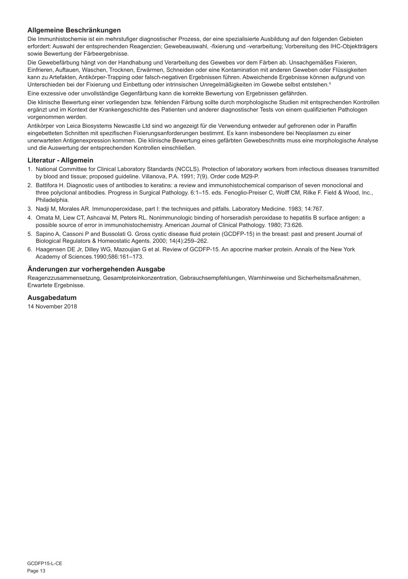## **Allgemeine Beschränkungen**

Die Immunhistochemie ist ein mehrstufiger diagnostischer Prozess, der eine spezialisierte Ausbildung auf den folgenden Gebieten erfordert: Auswahl der entsprechenden Reagenzien; Gewebeauswahl, -fixierung und -verarbeitung; Vorbereitung des IHC-Objektträgers sowie Bewertung der Färbeergebnisse.

Die Gewebefärbung hängt von der Handhabung und Verarbeitung des Gewebes vor dem Färben ab. Unsachgemäßes Fixieren, Einfrieren, Auftauen, Waschen, Trocknen, Erwärmen, Schneiden oder eine Kontamination mit anderen Geweben oder Flüssigkeiten kann zu Artefakten, Antikörper-Trapping oder falsch-negativen Ergebnissen führen. Abweichende Ergebnisse können aufgrund von Unterschieden bei der Fixierung und Einbettung oder intrinsischen Unregelmäßigkeiten im Gewebe selbst entstehen.<sup>4</sup>

Eine exzessive oder unvollständige Gegenfärbung kann die korrekte Bewertung von Ergebnissen gefährden.

Die klinische Bewertung einer vorliegenden bzw. fehlenden Färbung sollte durch morphologische Studien mit entsprechenden Kontrollen ergänzt und im Kontext der Krankengeschichte des Patienten und anderer diagnostischer Tests von einem qualifizierten Pathologen vorgenommen werden.

Antikörper von Leica Biosystems Newcastle Ltd sind wo angezeigt für die Verwendung entweder auf gefrorenen oder in Paraffin eingebetteten Schnitten mit spezifischen Fixierungsanforderungen bestimmt. Es kann insbesondere bei Neoplasmen zu einer unerwarteten Antigenexpression kommen. Die klinische Bewertung eines gefärbten Gewebeschnitts muss eine morphologische Analyse und die Auswertung der entsprechenden Kontrollen einschließen.

#### **Literatur - Allgemein**

- 1. National Committee for Clinical Laboratory Standards (NCCLS). Protection of laboratory workers from infectious diseases transmitted by blood and tissue; proposed guideline. Villanova, P.A. 1991; 7(9). Order code M29-P.
- 2. Battifora H. Diagnostic uses of antibodies to keratins: a review and immunohistochemical comparison of seven monoclonal and three polyclonal antibodies. Progress in Surgical Pathology. 6:1–15. eds. Fenoglio-Preiser C, Wolff CM, Rilke F. Field & Wood, Inc., Philadelphia.
- 3. Nadji M, Morales AR. Immunoperoxidase, part I: the techniques and pitfalls. Laboratory Medicine. 1983; 14:767.
- 4. Omata M, Liew CT, Ashcavai M, Peters RL. Nonimmunologic binding of horseradish peroxidase to hepatitis B surface antigen: a possible source of error in immunohistochemistry. American Journal of Clinical Pathology. 1980; 73:626.
- 5. Sapino A, Cassoni P and Bussolati G. Gross cystic disease fluid protein (GCDFP-15) in the breast: past and present Journal of Biological Regulators & Homeostatic Agents. 2000; 14(4):259–262.
- 6. Haagensen DE Jr, Dilley WG, Mazoujian G et al. Review of GCDFP-15. An apocrine marker protein. Annals of the New York Academy of Sciences.1990;586:161–173.

#### **Änderungen zur vorhergehenden Ausgabe**

Reagenzzusammensetzung, Gesamtproteinkonzentration, Gebrauchsempfehlungen, Warnhinweise und Sicherheitsmaßnahmen, Erwartete Ergebnisse.

#### **Ausgabedatum**

14 November 2018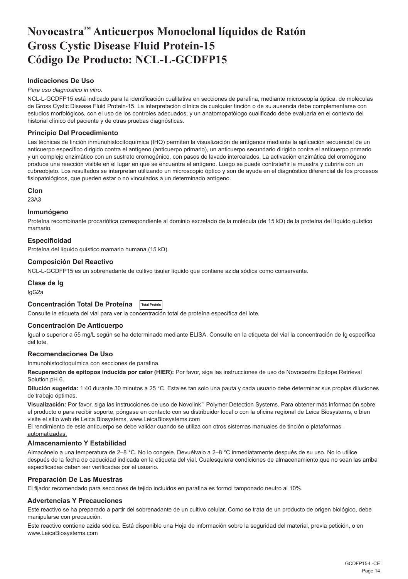## <span id="page-14-0"></span>**Novocastra™ Anticuerpos Monoclonal líquidos de Ratón Gross Cystic Disease Fluid Protein-15 Código De Producto: NCL-L-GCDFP15**

## **Indicaciones De Uso**

#### *Para uso diagnóstico in vitro*.

NCL-L-GCDFP15 está indicado para la identificación cualitativa en secciones de parafina, mediante microscopía óptica, de moléculas de Gross Cystic Disease Fluid Protein-15. La interpretación clínica de cualquier tinción o de su ausencia debe complementarse con estudios morfológicos, con el uso de los controles adecuados, y un anatomopatólogo cualificado debe evaluarla en el contexto del historial clínico del paciente y de otras pruebas diagnósticas.

## **Principio Del Procedimiento**

Las técnicas de tinción inmunohistocitoquímica (IHQ) permiten la visualización de antígenos mediante la aplicación secuencial de un anticuerpo específico dirigido contra el antígeno (anticuerpo primario), un anticuerpo secundario dirigido contra el anticuerpo primario y un complejo enzimático con un sustrato cromogénico, con pasos de lavado intercalados. La activación enzimática del cromógeno produce una reacción visible en el lugar en que se encuentra el antígeno. Luego se puede contrateñir la muestra y cubrirla con un cubreobjeto. Los resultados se interpretan utilizando un microscopio óptico y son de ayuda en el diagnóstico diferencial de los procesos fisiopatológicos, que pueden estar o no vinculados a un determinado antígeno.

#### **Clon**

23A3

#### **Inmunógeno**

Proteína recombinante procariótica correspondiente al dominio excretado de la molécula (de 15 kD) de la proteína del líquido quístico mamario.

## **Especificidad**

Proteína del líquido quístico mamario humana (15 kD).

## **Composición Del Reactivo**

NCL-L-GCDFP15 es un sobrenadante de cultivo tisular líquido que contiene azida sódica como conservante.

#### **Clase de Ig**

IgG2a

## **Concentración Total De Proteína Total Protein**

Consulte la etiqueta del vial para ver la concentración total de proteína específica del lote.

#### **Concentración De Anticuerpo**

Igual o superior a 55 mg/L según se ha determinado mediante ELISA. Consulte en la etiqueta del vial la concentración de Ig específica del lote.

### **Recomendaciones De Uso**

Inmunohistocitoquímica con secciones de parafina.

**Recuperación de epítopos inducida por calor (HIER):** Por favor, siga las instrucciones de uso de Novocastra Epitope Retrieval Solution pH 6.

**Dilución sugerida:** 1:40 durante 30 minutos a 25 °C. Esta es tan solo una pauta y cada usuario debe determinar sus propias diluciones de trabajo óptimas.

**Visualización:** Por favor, siga las instrucciones de uso de Novolink™ Polymer Detection Systems. Para obtener más información sobre el producto o para recibir soporte, póngase en contacto con su distribuidor local o con la oficina regional de Leica Biosystems, o bien visite el sitio web de Leica Biosystems, www.LeicaBiosystems.com

El rendimiento de este anticuerpo se debe validar cuando se utiliza con otros sistemas manuales de tinción o plataformas automatizadas.

#### **Almacenamiento Y Estabilidad**

Almacénelo a una temperatura de 2–8 °C. No lo congele. Devuélvalo a 2–8 °C inmediatamente después de su uso. No lo utilice después de la fecha de caducidad indicada en la etiqueta del vial. Cualesquiera condiciones de almacenamiento que no sean las arriba especificadas deben ser verificadas por el usuario.

## **Preparación De Las Muestras**

El fijador recomendado para secciones de tejido incluidos en parafina es formol tamponado neutro al 10%.

## **Advertencias Y Precauciones**

Este reactivo se ha preparado a partir del sobrenadante de un cultivo celular. Como se trata de un producto de origen biológico, debe manipularse con precaución.

Este reactivo contiene azida sódica. Está disponible una Hoja de información sobre la seguridad del material, previa petición, o en www.LeicaBiosystems.com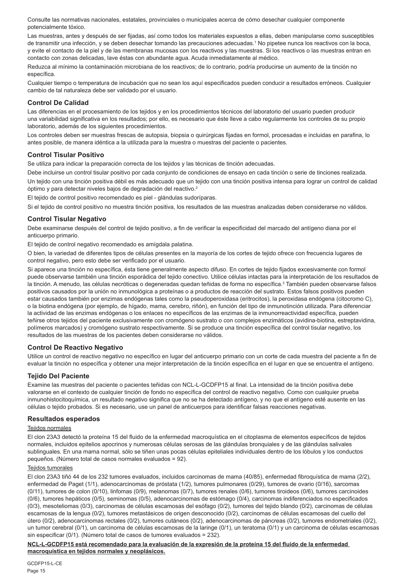Consulte las normativas nacionales, estatales, provinciales o municipales acerca de cómo desechar cualquier componente potencialmente tóxico.

Las muestras, antes y después de ser fijadas, así como todos los materiales expuestos a ellas, deben manipularse como susceptibles de transmitir una infección, y se deben desechar tomando las precauciones adecuadas.<sup>1</sup> No pipetee nunca los reactivos con la boca, y evite el contacto de la piel y de las membranas mucosas con los reactivos y las muestras. Si los reactivos o las muestras entran en contacto con zonas delicadas, lave éstas con abundante agua. Acuda inmediatamente al médico.

Reduzca al mínimo la contaminación microbiana de los reactivos; de lo contrario, podría producirse un aumento de la tinción no específica.

Cualquier tiempo o temperatura de incubación que no sean los aquí especificados pueden conducir a resultados erróneos. Cualquier cambio de tal naturaleza debe ser validado por el usuario.

## **Control De Calidad**

Las diferencias en el procesamiento de los tejidos y en los procedimientos técnicos del laboratorio del usuario pueden producir una variabilidad significativa en los resultados; por ello, es necesario que éste lleve a cabo regularmente los controles de su propio laboratorio, además de los siguientes procedimientos.

Los controles deben ser muestras frescas de autopsia, biopsia o quirúrgicas fijadas en formol, procesadas e incluidas en parafina, lo antes posible, de manera idéntica a la utilizada para la muestra o muestras del paciente o pacientes.

#### **Control Tisular Positivo**

Se utiliza para indicar la preparación correcta de los tejidos y las técnicas de tinción adecuadas.

Debe incluirse un control tisular positivo por cada conjunto de condiciones de ensayo en cada tinción o serie de tinciones realizada.

Un tejido con una tinción positiva débil es más adecuado que un tejido con una tinción positiva intensa para lograr un control de calidad óptimo y para detectar niveles bajos de degradación del reactivo.<sup>2</sup>

El tejido de control positivo recomendado es piel - glándulas sudoríparas.

Si el tejido de control positivo no muestra tinción positiva, los resultados de las muestras analizadas deben considerarse no válidos.

#### **Control Tisular Negativo**

Debe examinarse después del control de tejido positivo, a fin de verificar la especificidad del marcado del antígeno diana por el anticuerpo primario.

El tejido de control negativo recomendado es amígdala palatina.

O bien, la variedad de diferentes tipos de células presentes en la mayoría de los cortes de tejido ofrece con frecuencia lugares de control negativo, pero esto debe ser verificado por el usuario.

Si aparece una tinción no específica, ésta tiene generalmente aspecto difuso. En cortes de tejido fijados excesivamente con formol puede observarse también una tinción esporádica del tejido conectivo. Utilice células intactas para la interpretación de los resultados de la tinción. A menudo, las células necróticas o degeneradas quedan teñidas de forma no específica.<sup>3</sup> También pueden observarse falsos positivos causados por la unión no inmunológica a proteínas o a productos de reacción del sustrato. Estos falsos positivos pueden estar causados también por enzimas endógenas tales como la pseudoperoxidasa (eritrocitos), la peroxidasa endógena (citocromo C), o la biotina endógena (por ejemplo, de hígado, mama, cerebro, riñón), en función del tipo de inmunotinción utilizada. Para diferenciar la actividad de las enzimas endógenas o los enlaces no específicos de las enzimas de la inmunorreactividad específica, pueden teñirse otros tejidos del paciente exclusivamente con cromógeno sustrato o con complejos enzimáticos (avidina-biotina, estreptavidina, polímeros marcados) y cromógeno sustrato respectivamente. Si se produce una tinción específica del control tisular negativo, los resultados de las muestras de los pacientes deben considerarse no válidos.

## **Control De Reactivo Negativo**

Utilice un control de reactivo negativo no específico en lugar del anticuerpo primario con un corte de cada muestra del paciente a fin de evaluar la tinción no específica y obtener una mejor interpretación de la tinción específica en el lugar en que se encuentra el antígeno.

## **Tejido Del Paciente**

Examine las muestras del paciente o pacientes teñidas con NCL-L-GCDFP15 al final. La intensidad de la tinción positiva debe valorarse en el contexto de cualquier tinción de fondo no específica del control de reactivo negativo. Como con cualquier prueba inmunohistocitoquímica, un resultado negativo significa que no se ha detectado antígeno, y no que el antígeno esté ausente en las células o tejido probados. Si es necesario, use un panel de anticuerpos para identificar falsas reacciones negativas.

#### **Resultados esperados**

#### Tejidos normales

El clon 23A3 detectó la proteína 15 del fluido de la enfermedad macroquística en el citoplasma de elementos específicos de tejidos normales, incluidos epitelios apocrinos y numerosas células serosas de las glándulas bronquiales y de las glándulas salivales sublinguales. En una mama normal, sólo se tiñen unas pocas células epiteliales individuales dentro de los lóbulos y los conductos pequeños. (Número total de casos normales evaluados = 92).

#### Tejidos tumorales

El clon 23A3 tiñó 44 de los 232 tumores evaluados, incluidos carcinomas de mama (40/85), enfermedad fibroquística de mama (2/2), enfermedad de Paget (1/1), adenocarcinomas de próstata (1/2), tumores pulmonares (0/29), tumores de ovario (0/16), sarcomas (0/11), tumores de colon (0/10), linfomas (0/9), melanomas (0/7), tumores renales (0/6), tumores tiroideos (0/6), tumores carcinoides (0/6), tumores hepáticos (0/5), seminomas (0/5), adenocarcinomas de estómago (0/4), carcinomas indiferenciados no especificados (0/3), mesoteliomas (0/3), carcinomas de células escamosas del esófago (0/2), tumores del tejido blando (0/2), carcinomas de células escamosas de la lengua (0/2), tumores metastásicos de origen desconocido (0/2), carcinomas de células escamosas del cuello del útero (0/2), adenocarcinomas rectales (0/2), tumores cutáneos (0/2), adenocarcinomas de páncreas (0/2), tumores endometriales (0/2), un tumor cerebral (0/1), un carcinoma de células escamosas de la laringe (0/1), un teratoma (0/1) y un carcinoma de células escamosas sin especificar (0/1). (Número total de casos de tumores evaluados = 232).

**NCL-L-GCDFP15 está recomendado para la evaluación de la expresión de la proteína 15 del fluido de la enfermedad macroquística en tejidos normales y neoplásicos.**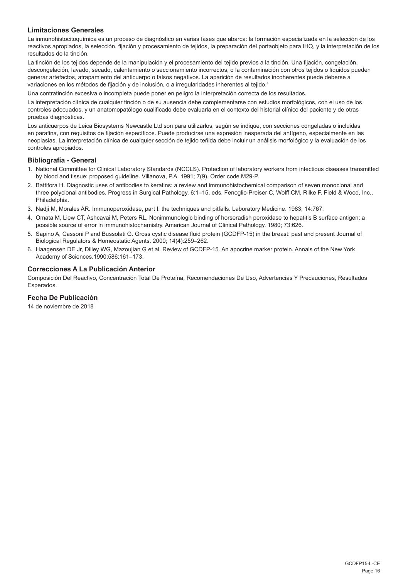## **Limitaciones Generales**

La inmunohistocitoquímica es un proceso de diagnóstico en varias fases que abarca: la formación especializada en la selección de los reactivos apropiados, la selección, fijación y procesamiento de tejidos, la preparación del portaobjeto para IHQ, y la interpretación de los resultados de la tinción.

La tinción de los tejidos depende de la manipulación y el procesamiento del tejido previos a la tinción. Una fijación, congelación, descongelación, lavado, secado, calentamiento o seccionamiento incorrectos, o la contaminación con otros tejidos o líquidos pueden generar artefactos, atrapamiento del anticuerpo o falsos negativos. La aparición de resultados incoherentes puede deberse a variaciones en los métodos de fijación y de inclusión, o a irregularidades inherentes al tejido.<sup>4</sup>

Una contratinción excesiva o incompleta puede poner en peligro la interpretación correcta de los resultados.

La interpretación clínica de cualquier tinción o de su ausencia debe complementarse con estudios morfológicos, con el uso de los controles adecuados, y un anatomopatólogo cualificado debe evaluarla en el contexto del historial clínico del paciente y de otras pruebas diagnósticas.

Los anticuerpos de Leica Biosystems Newcastle Ltd son para utilizarlos, según se indique, con secciones congeladas o incluidas en parafina, con requisitos de fijación específicos. Puede producirse una expresión inesperada del antígeno, especialmente en las neoplasias. La interpretación clínica de cualquier sección de tejido teñida debe incluir un análisis morfológico y la evaluación de los controles apropiados.

#### **Bibliografía - General**

- 1. National Committee for Clinical Laboratory Standards (NCCLS). Protection of laboratory workers from infectious diseases transmitted by blood and tissue; proposed guideline. Villanova, P.A. 1991; 7(9). Order code M29-P.
- 2. Battifora H. Diagnostic uses of antibodies to keratins: a review and immunohistochemical comparison of seven monoclonal and three polyclonal antibodies. Progress in Surgical Pathology. 6:1–15. eds. Fenoglio-Preiser C, Wolff CM, Rilke F. Field & Wood, Inc., Philadelphia.
- 3. Nadji M, Morales AR. Immunoperoxidase, part I: the techniques and pitfalls. Laboratory Medicine. 1983; 14:767.
- 4. Omata M, Liew CT, Ashcavai M, Peters RL. Nonimmunologic binding of horseradish peroxidase to hepatitis B surface antigen: a possible source of error in immunohistochemistry. American Journal of Clinical Pathology. 1980; 73:626.
- 5. Sapino A, Cassoni P and Bussolati G. Gross cystic disease fluid protein (GCDFP-15) in the breast: past and present Journal of Biological Regulators & Homeostatic Agents. 2000; 14(4):259–262.
- 6. Haagensen DE Jr, Dilley WG, Mazoujian G et al. Review of GCDFP-15. An apocrine marker protein. Annals of the New York Academy of Sciences.1990;586:161–173.

## **Correcciones A La Publicación Anterior**

Composición Del Reactivo, Concentración Total De Proteína, Recomendaciones De Uso, Advertencias Y Precauciones, Resultados Esperados.

## **Fecha De Publicación**

14 de noviembre de 2018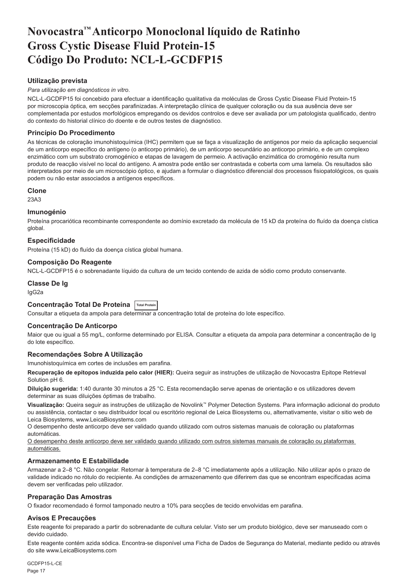## <span id="page-17-0"></span>**Novocastra™ Anticorpo Monoclonal líquido de Ratinho Gross Cystic Disease Fluid Protein-15 Código Do Produto: NCL-L-GCDFP15**

## **Utilização prevista**

#### *Para utilização em diagnósticos in vitro*.

NCL-L-GCDFP15 foi concebido para efectuar a identificação qualitativa da moléculas de Gross Cystic Disease Fluid Protein-15 por microscopia óptica, em secções parafinizadas. A interpretação clínica de qualquer coloração ou da sua ausência deve ser complementada por estudos morfológicos empregando os devidos controlos e deve ser avaliada por um patologista qualificado, dentro do contexto do historial clínico do doente e de outros testes de diagnóstico.

## **Princípio Do Procedimento**

As técnicas de coloração imunohistoquímica (IHC) permitem que se faça a visualização de antígenos por meio da aplicação sequencial de um anticorpo específico do antígeno (o anticorpo primário), de um anticorpo secundário ao anticorpo primário, e de um complexo enzimático com um substrato cromogénico e etapas de lavagem de permeio. A activação enzimática do cromogénio resulta num produto de reacção visível no local do antígeno. A amostra pode então ser contrastada e coberta com uma lamela. Os resultados são interpretados por meio de um microscópio óptico, e ajudam a formular o diagnóstico diferencial dos processos fisiopatológicos, os quais podem ou não estar associados a antígenos específicos.

#### **Clone**

23A3

## **Imunogénio**

Proteína procariótica recombinante correspondente ao domínio excretado da molécula de 15 kD da proteína do fluído da doença cística global.

## **Especificidade**

Proteína (15 kD) do fluído da doença cística global humana.

## **Composição Do Reagente**

NCL-L-GCDFP15 é o sobrenadante líquido da cultura de um tecido contendo de azida de sódio como produto conservante.

#### **Classe De Ig**

IgG2a

## **Concentração Total De Proteína Total Protein**

Consultar a etiqueta da ampola para determinar a concentração total de proteína do lote específico.

## **Concentração De Anticorpo**

Maior que ou igual a 55 mg/L, conforme determinado por ELISA. Consultar a etiqueta da ampola para determinar a concentração de Ig do lote específico.

## **Recomendações Sobre A Utilização**

Imunohistoquímica em cortes de inclusões em parafina.

**Recuperação de epítopos induzida pelo calor (HIER):** Queira seguir as instruções de utilização de Novocastra Epitope Retrieval Solution pH 6.

**Diluição sugerida:** 1:40 durante 30 minutos a 25 °C. Esta recomendação serve apenas de orientação e os utilizadores devem determinar as suas diluições óptimas de trabalho.

**Visualização:** Queira seguir as instruções de utilização de Novolink™ Polymer Detection Systems. Para informação adicional do produto ou assistência, contactar o seu distribuidor local ou escritório regional de Leica Biosystems ou, alternativamente, visitar o sitio web de Leica Biosystems, www.LeicaBiosystems.com

O desempenho deste anticorpo deve ser validado quando utilizado com outros sistemas manuais de coloração ou plataformas automáticas.

O desempenho deste anticorpo deve ser validado quando utilizado com outros sistemas manuais de coloração ou plataformas automáticas.

## **Armazenamento E Estabilidade**

Armazenar a 2–8 °C. Não congelar. Retornar à temperatura de 2–8 °C imediatamente após a utilização. Não utilizar após o prazo de validade indicado no rótulo do recipiente. As condições de armazenamento que diferirem das que se encontram especificadas acima devem ser verificadas pelo utilizador.

## **Preparação Das Amostras**

O fixador recomendado é formol tamponado neutro a 10% para secções de tecido envolvidas em parafina.

#### **Avisos E Precauções**

Este reagente foi preparado a partir do sobrenadante de cultura celular. Visto ser um produto biológico, deve ser manuseado com o devido cuidado.

Este reagente contém azida sódica. Encontra-se disponível uma Ficha de Dados de Segurança do Material, mediante pedido ou através do site www.LeicaBiosystems.com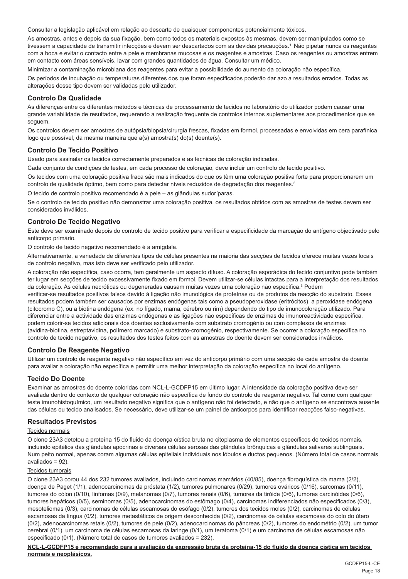Consultar a legislação aplicável em relação ao descarte de quaisquer componentes potencialmente tóxicos.

As amostras, antes e depois da sua fixação, bem como todos os materiais expostos às mesmas, devem ser manipulados como se tivessem a capacidade de transmitir infecções e devem ser descartados com as devidas precauções.<sup>1</sup> Não pipetar nunca os reagentes com a boca e evitar o contacto entre a pele e membranas mucosas e os reagentes e amostras. Caso os reagentes ou amostras entrem em contacto com áreas sensíveis, lavar com grandes quantidades de água. Consultar um médico.

Minimizar a contaminação microbiana dos reagentes para evitar a possibilidade do aumento da coloração não específica. Os períodos de incubação ou temperaturas diferentes dos que foram especificados poderão dar azo a resultados errados. Todas as alterações desse tipo devem ser validadas pelo utilizador.

## **Controlo Da Qualidade**

As diferenças entre os diferentes métodos e técnicas de processamento de tecidos no laboratório do utilizador podem causar uma grande variabilidade de resultados, requerendo a realização frequente de controlos internos suplementares aos procedimentos que se sequem.

Os controlos devem ser amostras de autópsia/biopsia/cirurgia frescas, fixadas em formol, processadas e envolvidas em cera parafínica logo que possível, da mesma maneira que a(s) amostra(s) do(s) doente(s).

#### **Controlo De Tecido Positivo**

Usado para assinalar os tecidos correctamente preparados e as técnicas de coloração indicadas.

Cada conjunto de condições de testes, em cada processo de coloração, deve incluir um controlo de tecido positivo.

Os tecidos com uma coloração positiva fraca são mais indicados do que os têm uma coloração positiva forte para proporcionarem um controlo de qualidade óptimo, bem como para detectar níveis reduzidos de degradação dos reagentes.<sup>2</sup>

O tecido de controlo positivo recomendado é a pele – as glândulas sudoríparas.

Se o controlo de tecido positivo não demonstrar uma coloração positiva, os resultados obtidos com as amostras de testes devem ser considerados inválidos.

## **Controlo De Tecido Negativo**

Este deve ser examinado depois do controlo de tecido positivo para verificar a especificidade da marcação do antígeno objectivado pelo anticorpo primário.

O controlo de tecido negativo recomendado é a amígdala.

Alternativamente, a variedade de diferentes tipos de células presentes na maioria das secções de tecidos oferece muitas vezes locais de controlo negativo, mas isto deve ser verificado pelo utilizador.

A coloração não específica, caso ocorra, tem geralmente um aspecto difuso. A coloração esporádica do tecido conjuntivo pode também ter lugar em secções de tecido excessivamente fixado em formol. Devem utilizar-se células intactas para a interpretação dos resultados da coloração. As células necróticas ou degeneradas causam muitas vezes uma coloração não específica.<sup>3</sup> Podem verificar-se resultados positivos falsos devido à ligação não imunológica de proteínas ou de produtos da reacção do substrato. Esses

resultados podem também ser causados por enzimas endógenas tais como a pseudoperoxidase (eritrócitos), a peroxidase endógena (citocromo C), ou a biotina endógena (ex. no fígado, mama, cérebro ou rim) dependendo do tipo de imunocoloração utilizado. Para diferenciar entre a actividade das enzimas endógenas e as ligações não específicas de enzimas de imunoreactividade específica, podem colorir-se tecidos adicionais dos doentes exclusivamente com substrato cromogénio ou com complexos de enzimas (avidina-biotina, estreptavidina, polímero marcado) e substrato-cromogénio, respectivamente. Se ocorrer a coloração específica no controlo de tecido negativo, os resultados dos testes feitos com as amostras do doente devem ser considerados inválidos.

## **Controlo De Reagente Negativo**

Utilizar um controlo de reagente negativo não específico em vez do anticorpo primário com uma secção de cada amostra de doente para avaliar a coloração não específica e permitir uma melhor interpretação da coloração específica no local do antígeno.

## **Tecido Do Doente**

Examinar as amostras do doente coloridas com NCL-L-GCDFP15 em último lugar. A intensidade da coloração positiva deve ser avaliada dentro do contexto de qualquer coloração não específica de fundo do controlo de reagente negativo. Tal como com qualquer teste imunohistoquímico, um resultado negativo significa que o antígeno não foi detectado, e não que o antígeno se encontrava ausente das células ou tecido analisados. Se necessário, deve utilizar-se um painel de anticorpos para identificar reacções falso-negativas.

#### **Resultados Previstos**

## Tecidos normais

O clone 23A3 detetou a proteína 15 do fluido da doença cística bruta no citoplasma de elementos específicos de tecidos normais, incluindo epitélios das glândulas apócrinas e diversas células serosas das glândulas brônquicas e glândulas salivares sublinguais. Num peito normal, apenas coram algumas células epiteliais individuais nos lóbulos e ductos pequenos. (Número total de casos normais avaliados = 92).

#### Tecidos tumorais

O clone 23A3 corou 44 dos 232 tumores avaliados, incluindo carcinomas mamários (40/85), doença fibroquística da mama (2/2), doença de Paget (1/1), adenocarcinomas da próstata (1/2), tumores pulmonares (0/29), tumores ováricos (0/16), sarcomas (0/11), tumores do cólon (0/10), linfomas (0/9), melanomas (0/7), tumores renais (0/6), tumores da tiróide (0/6), tumores carcinóides (0/6), tumores hepáticos (0/5), seminomas (0/5), adenocarcinomas do estômago (0/4), carcinomas indiferenciados não especificados (0/3), mesoteliomas (0/3), carcinomas de células escamosas do esófago (0/2), tumores dos tecidos moles (0/2), carcinomas de células escamosas da língua (0/2), tumores metastáticos de origem desconhecida (0/2), carcinomas de células escamosas do colo do útero (0/2), adenocarcinomas retais (0/2), tumores de pele (0/2), adenocarcinomas do pâncreas (0/2), tumores do endométrio (0/2), um tumor cerebral (0/1), um carcinoma de células escamosas da laringe (0/1), um teratoma (0/1) e um carcinoma de células escamosas não especificado (0/1). (Número total de casos de tumores avaliados = 232).

**NCL-L-GCDFP15 é recomendado para a avaliação da expressão bruta da proteína-15 do fluido da doença cística em tecidos normais e neoplásicos.**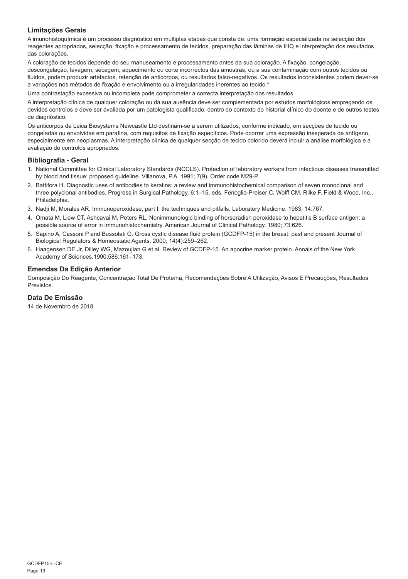## **Limitações Gerais**

A imunohistoquímica é um processo diagnóstico em múltiplas etapas que consta de: uma formação especializada na selecção dos reagentes apropriados, selecção, fixação e processamento de tecidos, preparação das lâminas de IHQ e interpretação dos resultados das colorações.

A coloração de tecidos depende do seu manuseamento e processamento antes da sua coloração. A fixação, congelação, descongelação, lavagem, secagem, aquecimento ou corte incorrectos das amostras, ou a sua contaminação com outros tecidos ou fluidos, podem produzir artefactos, retenção de anticorpos, ou resultados falso-negativos. Os resultados inconsistentes podem dever-se a variações nos métodos de fixação e envolvimento ou a irregularidades inerentes ao tecido.<sup>4</sup>

Uma contrastação excessiva ou incompleta pode comprometer a correcta interpretação dos resultados.

A interpretação clínica de qualquer coloração ou da sua ausência deve ser complementada por estudos morfológicos empregando os devidos controlos e deve ser avaliada por um patologista qualificado, dentro do contexto do historial clínico do doente e de outros testes de diagnóstico.

Os anticorpos da Leica Biosystems Newcastle Ltd destinam-se a serem utilizados, conforme indicado, em secções de tecido ou congeladas ou envolvidas em parafina, com requisitos de fixação específicos. Pode ocorrer uma expressão inesperada de antígeno, especialmente em neoplasmas. A interpretação clínica de qualquer secção de tecido colorido deverá incluir a análise morfológica e a avaliação de controlos apropriados.

#### **Bibliografia - Geral**

- 1. National Committee for Clinical Laboratory Standards (NCCLS). Protection of laboratory workers from infectious diseases transmitted by blood and tissue; proposed guideline. Villanova, P.A. 1991; 7(9). Order code M29-P.
- 2. Battifora H. Diagnostic uses of antibodies to keratins: a review and immunohistochemical comparison of seven monoclonal and three polyclonal antibodies. Progress in Surgical Pathology. 6:1–15. eds. Fenoglio-Preiser C, Wolff CM, Rilke F. Field & Wood, Inc., Philadelphia.
- 3. Nadji M, Morales AR. Immunoperoxidase, part I: the techniques and pitfalls. Laboratory Medicine. 1983; 14:767.
- 4. Omata M, Liew CT, Ashcavai M, Peters RL. Nonimmunologic binding of horseradish peroxidase to hepatitis B surface antigen: a possible source of error in immunohistochemistry. American Journal of Clinical Pathology. 1980; 73:626.
- 5. Sapino A, Cassoni P and Bussolati G. Gross cystic disease fluid protein (GCDFP-15) in the breast: past and present Journal of Biological Regulators & Homeostatic Agents. 2000; 14(4):259–262.
- 6. Haagensen DE Jr, Dilley WG, Mazoujian G et al. Review of GCDFP-15. An apocrine marker protein. Annals of the New York Academy of Sciences.1990;586:161–173.

## **Emendas Da Edição Anterior**

Composição Do Reagente, Concentração Total De Proteína, Recomendações Sobre A Utilização, Avisos E Precauções, Resultados Previstos.

**Data De Emissão**

14 de Novembro de 2018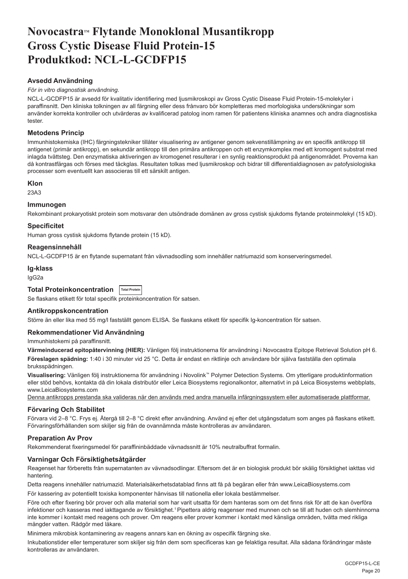## <span id="page-20-0"></span>Novocastra™ Flytande Monoklonal Musantikropp **Gross Cystic Disease Fluid Protein-15 Produktkod: NCL-L-GCDFP15**

## **Avsedd Användning**

## *För in vitro diagnostisk användning*.

NCL-L-GCDFP15 är avsedd för kvalitativ identifiering med ljusmikroskopi av Gross Cystic Disease Fluid Protein-15-molekyler i paraffinsnitt. Den kliniska tolkningen av all färgning eller dess frånvaro bör kompletteras med morfologiska undersökningar som använder korrekta kontroller och utvärderas av kvalificerad patolog inom ramen för patientens kliniska anamnes och andra diagnostiska tester

## **Metodens Princip**

Immunhistokemiska (IHC) färgningstekniker tillåter visualisering av antigener genom sekvenstillämpning av en specifik antikropp till antigenet (primär antikropp), en sekundär antikropp till den primära antikroppen och ett enzymkomplex med ett kromogent substrat med inlagda tvättsteg. Den enzymatiska aktiveringen av kromogenet resulterar i en synlig reaktionsprodukt på antigenområdet. Proverna kan då kontrastfärgas och förses med täckglas. Resultaten tolkas med ljusmikroskop och bidrar till differentialdiagnosen av patofysiologiska processer som eventuellt kan associeras till ett särskilt antigen.

#### **Klon**

23A3

#### **Immunogen**

Rekombinant prokaryotiskt protein som motsvarar den utsöndrade domänen av gross cystisk sjukdoms flytande proteinmolekyl (15 kD).

#### **Specificitet**

Human gross cystisk sjukdoms flytande protein (15 kD).

## **Reagensinnehåll**

NCL-L-GCDFP15 är en flytande supernatant från vävnadsodling som innehåller natriumazid som konserveringsmedel.

#### **Ig-klass**

IgG2a

**Total Proteinkoncentration Total Protein**

Se flaskans etikett för total specifik proteinkoncentration för satsen.

## **Antikroppskoncentration**

Större än eller lika med 55 mg/l fastställt genom ELISA. Se flaskans etikett för specifik Ig-koncentration för satsen.

## **Rekommendationer Vid Användning**

Immunhistokemi på paraffinsnitt.

**Värmeinducerad epitopåtervinning (HIER):** Vänligen följ instruktionerna för användning i Novocastra Epitope Retrieval Solution pH 6. **Föreslagen spädning:** 1:40 i 30 minuter vid 25 °C. Detta är endast en riktlinje och användare bör själva fastställa den optimala bruksspädningen.

**Visualisering:** Vänligen följ instruktionerna för användning i Novolink™ Polymer Detection Systems. Om ytterligare produktinformation eller stöd behövs, kontakta då din lokala distributör eller Leica Biosystems regionalkontor, alternativt in på Leica Biosystems webbplats, www.LeicaBiosystems.com

Denna antikropps prestanda ska valideras när den används med andra manuella infärgningssystem eller automatiserade plattformar.

#### **Förvaring Och Stabilitet**

Förvara vid 2–8 °C. Frys ej. Återgå till 2–8 °C direkt efter användning. Använd ej efter det utgångsdatum som anges på flaskans etikett. Förvaringsförhållanden som skiljer sig från de ovannämnda måste kontrolleras av användaren.

## **Preparation Av Prov**

Rekommenderat fixeringsmedel för paraffininbäddade vävnadssnitt är 10% neutralbuffrat formalin.

## **Varningar Och Försiktighetsåtgärder**

Reagenset har förberetts från supernatanten av vävnadsodlingar. Eftersom det är en biologisk produkt bör skälig försiktighet iakttas vid hantering.

Detta reagens innehåller natriumazid. Materialsäkerhetsdatablad finns att få på begäran eller från www.LeicaBiosystems.com

För kassering av potentiellt toxiska komponenter hänvisas till nationella eller lokala bestämmelser.

Före och efter fixering bör prover och alla material som har varit utsatta för dem hanteras som om det finns risk för att de kan överföra infektioner och kasseras med iakttagande av försiktighet.<sup>1</sup> Pipettera aldrig reagenser med munnen och se till att huden och slemhinnorna inte kommer i kontakt med reagens och prover. Om reagens eller prover kommer i kontakt med känsliga områden, tvätta med rikliga mängder vatten. Rådgör med läkare.

Minimera mikrobisk kontaminering av reagens annars kan en ökning av ospecifik färgning ske.

Inkubationstider eller temperaturer som skiljer sig från dem som specificeras kan ge felaktiga resultat. Alla sådana förändringar måste kontrolleras av användaren.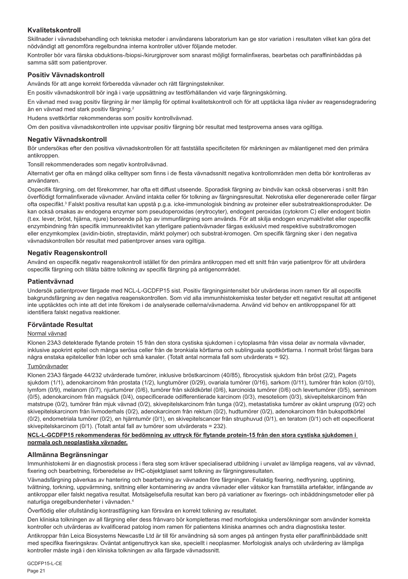## **Kvalitetskontroll**

Skillnader i vävnadsbehandling och tekniska metoder i användarens laboratorium kan ge stor variation i resultaten vilket kan göra det nödvändigt att genomföra regelbundna interna kontroller utöver följande metoder.

Kontroller bör vara färska obduktions-/biopsi-/kirurgiprover som snarast möjligt formalinfixeras, bearbetas och paraffininbäddas på samma sätt som patientprover.

## **Positiv Vävnadskontroll**

Används för att ange korrekt förberedda vävnader och rätt färgningstekniker.

En positiv vävnadskontroll bör ingå i varje uppsättning av testförhållanden vid varje färgningskörning.

En vävnad med svag positiv färgning är mer lämplig för optimal kvalitetskontroll och för att upptäcka låga nivåer av reagensdegradering än en vävnad med stark positiv färgning.<sup>2</sup>

Hudens svettkörtlar rekommenderas som positiv kontrollvävnad.

Om den positiva vävnadskontrollen inte uppvisar positiv färgning bör resultat med testproverna anses vara ogiltiga.

#### **Negativ Vävnadskontroll**

Bör undersökas efter den positiva vävnadskontrollen för att fastställa specificiteten för märkningen av målantigenet med den primära antikroppen.

Tonsill rekommenderades som negativ kontrollvävnad.

Alternativt ger ofta en mängd olika celltyper som finns i de flesta vävnadssnitt negativa kontrollområden men detta bör kontrolleras av användaren.

Ospecifik färgning, om det förekommer, har ofta ett diffust utseende. Sporadisk färgning av bindväv kan också observeras i snitt från överflödigt formalinfixerade vävnader. Använd intakta celler för tolkning av färgningsresultat. Nekrotiska eller degenererade celler färgar ofta ospecifikt.<sup>3</sup> Falskt positiva resultat kan uppstå p.g.a. icke-immunologisk bindning av proteiner eller substratreaktionsprodukter. De kan också orsakas av endogena enzymer som pseudoperoxidas (erytrocyter), endogent peroxidas (cytokrom C) eller endogent biotin (t.ex. lever, bröst, hjärna, njure) beroende på typ av immunfärgning som används. För att skilja endogen enzymaktivitet eller ospecifik enzymbindning från specifik immunreaktivitet kan ytterligare patientvävnader färgas exklusivt med respektive substratkromogen eller enzymkomplex (avidin-biotin, streptavidin, märkt polymer) och substrat-kromogen. Om specifik färgning sker i den negativa vävnadskontrollen bör resultat med patientprover anses vara ogiltiga.

## **Negativ Reagenskontroll**

Använd en ospecifik negativ reagenskontroll istället för den primära antikroppen med ett snitt från varje patientprov för att utvärdera ospecifik färgning och tillåta bättre tolkning av specifik färgning på antigenområdet.

#### **Patientvävnad**

Undersök patientprover färgade med NCL-L-GCDFP15 sist. Positiv färgningsintensitet bör utvärderas inom ramen för all ospecifik bakgrundsfärgning av den negativa reagenskontrollen. Som vid alla immunhistokemiska tester betyder ett negativt resultat att antigenet inte upptäcktes och inte att det inte förekom i de analyserade cellerna/vävnaderna. Använd vid behov en antikroppspanel för att identifiera falskt negativa reaktioner.

#### **Förväntade Resultat**

#### Normal vävnad

Klonen 23A3 detekterade flytande protein 15 från den stora cystiska sjukdomen i cytoplasma från vissa delar av normala vävnader, inklusive apokrint epitel och många serösa celler från de bronkiala körtlarna och sublinguala spottkörtlarna. I normalt bröst färgas bara några enstaka epitelceller från lober och små kanaler. (Totalt antal normala fall som utvärderats = 92).

#### Tumörvävnader

Klonen 23A3 färgade 44/232 utvärderade tumörer, inklusive bröstkarcinom (40/85), fibrocystisk sjukdom från bröst (2/2), Pagets sjukdom (1/1), adenokarcinom från prostata (1/2), lungtumörer (0/29), ovariala tumörer (0/16), sarkom (0/11), tumörer från kolon (0/10), lymfom (0/9), melanom (0/7), njurtumörer (0/6), tumörer från sköldkörtel (0/6), karcinoida tumörer (0/6) och levertumörer (0/5), seminom (0/5), adenokarcinom från magsäck (0/4), ospecificerade odifferentierade karcinom (0/3), mesoteliom (0/3), skivepitelskarcinom från matstrupe (0/2), tumörer från mjuk vävnad (0/2), skivepitelskarcinom från tunga (0/2), metastatiska tumörer av okänt ursprung (0/2) och skivepitelskarcinom från livmoderhals (0/2), adenokarcinom från rektum (0/2), hudtumörer (0/2), adenokarcinom från bukspottkörtel (0/2), endometriala tumörer (0/2), en hjärntumör (0/1), en skivepitelscancer från struphuvud (0/1), en teratom (0/1) och ett ospecificerat skivepitelskarcinom (0/1). (Totalt antal fall av tumörer som utvärderats = 232).

#### **NCL-L-GCDFP15 rekommenderas för bedömning av uttryck för flytande protein-15 från den stora cystiska sjukdomen i normala och neoplastiska vävnader.**

## **Allmänna Begränsningar**

Immunhistokemi är en diagnostisk process i flera steg som kräver specialiserad utbildning i urvalet av lämpliga reagens, val av vävnad, fixering och bearbetning, förberedelse av IHC-objektglaset samt tolkning av färgningsresultaten.

Vävnadsfärgning påverkas av hantering och bearbetning av vävnaden före färgningen. Felaktig fixering, nedfrysning, upptining, tvättning, torkning, uppvärmning, snittning eller kontaminering av andra vävnader eller vätskor kan framställa artefakter, infångande av antikroppar eller falskt negativa resultat. Motsägelsefulla resultat kan bero på variationer av fixerings- och inbäddningsmetoder eller på naturliga oregelbundenheter i vävnaden.<sup>4</sup>

Överflödig eller ofullständig kontrastfägning kan försvåra en korrekt tolkning av resultatet.

Den kliniska tolkningen av all färgning eller dess frånvaro bör kompletteras med morfologiska undersökningar som använder korrekta kontroller och utvärderas av kvalificerad patolog inom ramen för patientens kliniska anamnes och andra diagnostiska tester.

Antikroppar från Leica Biosystems Newcastle Ltd är till för användning så som anges på antingen frysta eller paraffininbäddade snitt med specifika fixeringskrav. Oväntat antigenuttryck kan ske, speciellt i neoplasmer. Morfologisk analys och utvärdering av lämpliga kontroller måste ingå i den kliniska tolkningen av alla färgade vävnadssnitt.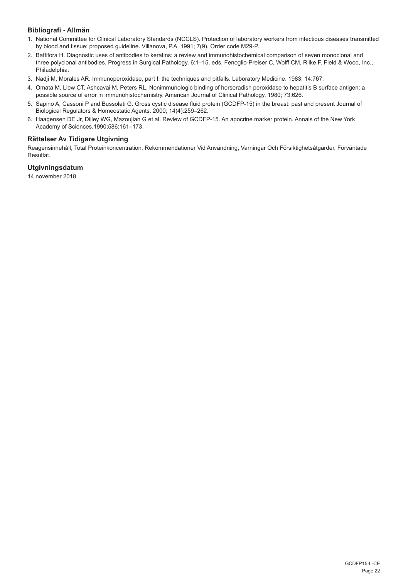## **Bibliografi - Allmän**

- 1. National Committee for Clinical Laboratory Standards (NCCLS). Protection of laboratory workers from infectious diseases transmitted by blood and tissue; proposed guideline. Villanova, P.A. 1991; 7(9). Order code M29-P.
- 2. Battifora H. Diagnostic uses of antibodies to keratins: a review and immunohistochemical comparison of seven monoclonal and three polyclonal antibodies. Progress in Surgical Pathology. 6:1–15. eds. Fenoglio-Preiser C, Wolff CM, Rilke F. Field & Wood, Inc., Philadelphia.
- 3. Nadji M, Morales AR. Immunoperoxidase, part I: the techniques and pitfalls. Laboratory Medicine. 1983; 14:767.
- 4. Omata M, Liew CT, Ashcavai M, Peters RL. Nonimmunologic binding of horseradish peroxidase to hepatitis B surface antigen: a possible source of error in immunohistochemistry. American Journal of Clinical Pathology. 1980; 73:626.
- 5. Sapino A, Cassoni P and Bussolati G. Gross cystic disease fluid protein (GCDFP-15) in the breast: past and present Journal of Biological Regulators & Homeostatic Agents. 2000; 14(4):259–262.
- 6. Haagensen DE Jr, Dilley WG, Mazoujian G et al. Review of GCDFP-15. An apocrine marker protein. Annals of the New York Academy of Sciences.1990;586:161–173.

## **Rättelser Av Tidigare Utgivning**

Reagensinnehåll, Total Proteinkoncentration, Rekommendationer Vid Användning, Varningar Och Försiktighetsåtgärder, Förväntade Resultat.

## **Utgivningsdatum**

14 november 2018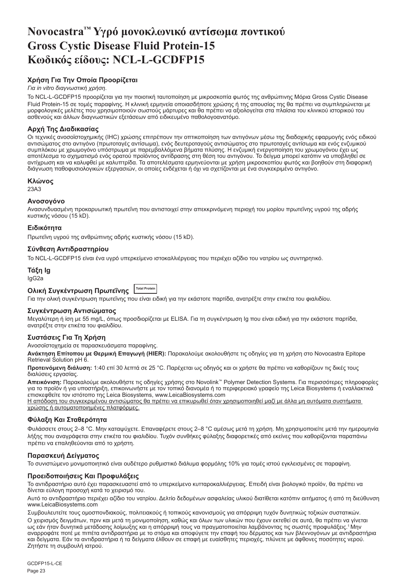## <span id="page-23-0"></span>**Novocastra™ Υγρό μονοκλωνικό αντίσωμα ποντικού Gross Cystic Disease Fluid Protein-15 Κωδικός είδους: NCL-L-GCDFP15**

## **Χρήση Για Την Οποία Προορίζεται**

## *Για in vitro διαγνωστική χρήση*.

Το NCL-L-GCDFP15 προορίζεται για την ποιοτική ταυτοποίηση με μικροσκοπία φωτός της ανθρώπινης Μόρια Gross Cystic Disease Fluid Protein-15 σε τομές παραφίνης. Η κλινική ερμηνεία οποιασδήποτε χρώσης ή της απουσίας της θα πρέπει να συμπληρώνεται με<br>μορφολογικές μελέτες που χρησιμοποιούν σωστούς μάρτυρες και θα πρέπει να αξιολογείται στα πλαίσι ασθενούς και άλλων διαγνωστικών εξετάσεων από ειδικευμένο παθολογοανατόμο.

## **Αρχή Της Διαδικασίας**

Οι τεχνικές ανοσοϊστοχημικής (IHC) χρώσης επιτρέπουν την οπτικοποίηση των αντιγόνων μέσω της διαδοχικής εφαρμογής ενός ειδικού αντισώματος στο αντιγόνο (πρωτοταγές αντίσωμα), ενός δευτεροταγούς αντισώματος στο πρωτοταγές αντίσωμα και ενός ενζυμικού συμπλόκου με χρωμογόνο υπόστρωμα με παρεμβαλλόμενα βήματα πλύσης. Η ενζυμική ενεργοποίηση του χρωμογόνου έχει ως αποτέλεσμα το σχηματισμό ενός ορατού προϊόντος αντίδρασης στη θέση του αντιγόνου. Το δείγμα μπορεί κατόπιν να υποβληθεί σε αντίχρωση και να καλυφθεί με καλυπτρίδα. Τα αποτελέσματα ερμηνεύονται με χρήση μικροσκοπίου φωτός και βοηθούν στη διαφορική διάγνωση παθοφυσιολογικών εξεργασιών, οι οποίες ενδέχεται ή όχι να σχετίζονται με ένα συγκεκριμένο αντιγόνο.

## **Κλώνος**

23A3

## **Ανοσογόνο**

Ανασυνδυασμένη προκαρυωτική πρωτεΐνη που αντιστοιχεί στην απεκκρινόμενη περιοχή του μορίου πρωτεΐνης υγρού της αδρής κυστικής νόσου (15 kD).

#### **Ειδικότητα**

Πρωτεΐνη υγρού της ανθρώπινης αδρής κυστικής νόσου (15 kD).

## **Σύνθεση Αντιδραστηρίου**

Το NCL-L-GCDFP15 είναι ένα υγρό υπερκείμενο ιστοκαλλιέργειας που περιέχει αζίδιο του νατρίου ως συντηρητικό.

## **Τάξη Ig**

IgG2a

**Ολική Συγκέντρωση Πρωτεΐνης Total Protein**

Για την ολική συγκέντρωση πρωτεΐνης που είναι ειδική για την εκάστοτε παρτίδα, ανατρέξτε στην ετικέτα του φιαλιδίου.

#### **Συγκέντρωση Αντισώματος**

Μεγαλύτερη ή ίση με 55 mg/L, όπως προσδιορίζεται με ELISA. Για τη συγκέντρωση Ig που είναι ειδική για την εκάστοτε παρτίδα, ανατρέξτε στην ετικέτα του φιαλιδίου.

## **Συστάσεις Για Τη Χρήση**

Ανοσοϊστοχημεία σε παρασκευάσματα παραφίνης.

**Ανάκτηση Επίτοπου με Θερμική Επαγωγή (HIER):** Παρακαλούμε ακολουθήστε τις οδηγίες για τη χρήση στο Novocastra Epitope Retrieval Solution pH 6.

**Προτεινόμενη διάλυση:** 1:40 επί 30 λεπτά σε 25 °C. Παρέχεται ως οδηγός και οι χρήστε θα πρέπει να καθορίζουν τις δικές τους διαλύσεις εργασίας.

**Απεικόνιση:** Παρακαλούμε ακολουθήστε τις οδηγίες χρήσης στο Novolink™ Polymer Detection Systems. Για περισσότερες πληροφορίες για το προϊόν ή για υποστήριξη, επικοινωνήστε με τον τοπικό διανομέα ή το περιφερειακό γραφείο της Leica Biosystems ή εναλλακτικά επισκεφθείτε τον ιστότοπο της Leica Biosystems, www.LeicaBiosystems.com

Η απόδοση του συγκεκριμένου αντισώματος θα πρέπει να επικυρωθεί όταν χρησιμοποιηθεί μαζί με άλλα μη αυτόματα συστήματα χρώσης ή αυτοματοποιημένες πλατφόρμες.

## **Φύλαξη Και Σταθερότητα**

Φυλάσσετε στους 2–8 °C. Μην καταψύχετε. Επαναφέρετε στους 2–8 °C αμέσως μετά τη χρήση. Μη χρησιμοποιείτε μετά την ημερομηνία λήξης που αναγράφεται στην ετικέτα του φιαλιδίου. Τυχόν συνθήκες φύλαξης διαφορετικές από εκείνες που καθορίζονται παραπάνω πρέπει να επαληθεύονται από το χρήστη.

## **Παρασκευή Δείγματος**

Το συνιστώμενο μονιμοποιητικό είναι ουδέτερο ρυθμιστικό διάλυμα φορμόλης 10% για τομές ιστού εγκλεισμένες σε παραφίνη.

## **Προειδοποιήσεις Και Προφυλάξεις**

Το αντιδραστήριο αυτό έχει παρασκευαστεί από το υπερκείμενο κυτταροκαλλιέργειας. Επειδή είναι βιολογικό προϊόν, θα πρέπει να δίνεται εύλογη προσοχή κατά το χειρισμό του.

Αυτό το αντιδραστήριο περιέχει αζίδιο του νατρίου. Δελτίο δεδομένων ασφαλείας υλικού διατίθεται κατόπιν αιτήματος ή από τη διεύθυνση www.LeicaBiosystems.com

Συμβουλευτείτε τους ομοσπονδιακούς, πολιτειακούς ή τοπικούς κανονισμούς για απόρριψη τυχόν δυνητικώς τοξικών συστατικών. Ο χειρισμός δειγμάτων, πριν και μετά τη μονιμοποίηση, καθώς και όλων των υλικών που έχουν εκτεθεί σε αυτά, θα πρέπει να γίνεται ως εάν ήταν δυνητικά μετάδοσης λοίμωξης και η απόρριψή τους να πραγματοποιείται λαμβάνοντας τις σωστές προφυλάξεις.<sup>1</sup>Μην αναρροφάτε ποτέ με πιπέτα αντιδραστήρια με το στόμα και αποφύγετε την επαφή του δέρματος και των βλεννογόνων με αντιδραστήρια και δείγματα. Εάν τα αντιδραστήρια ή τα δείγματα έλθουν σε επαφή με ευαίσθητες περιοχές, πλύνετε με άφθονες ποσότητες νερού. Ζητήστε τη συμβουλή ιατρού.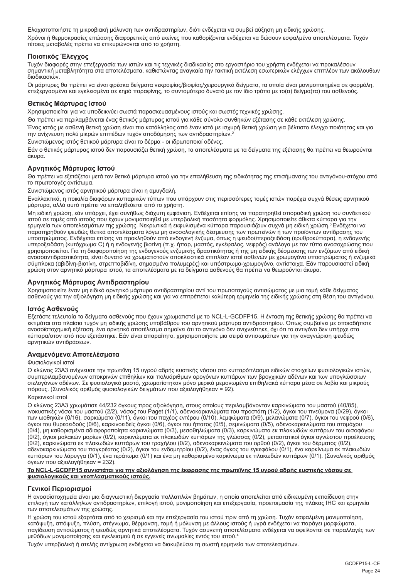Ελαχιστοποιήστε τη μικροβιακή μόλυνση των αντιδραστηρίων, διότι ενδέχεται να συμβεί αύξηση μη ειδικής χρώσης. Χρόνοι ή θερμοκρασίες επώασης διαφορετικές από εκείνες που καθορίζονται ενδέχεται να δώσουν εσφαλμένα αποτελέσματα. Τυχόν τέτοιες μεταβολές πρέπει να επικυρώνονται από το χρήστη.

## **Ποιοτικός Έλεγχος**

Τυχόν διαφορές στην επεξεργασία των ιστών και τις τεχνικές διαδικασίες στο εργαστήριο του χρήστη ενδέχεται να προκαλέσουν σημαντική μεταβλητότητα στα αποτελέσματα, καθιστώντας αναγκαία την τακτική εκτέλεση εσωτερικών ελέγχων επιπλέον των ακόλουθων διαδικασιών.

Οι μάρτυρες θα πρέπει να είναι φρέσκα δείγματα νεκροψίας/βιοψίας/χειρουργικά δείγματα, τα οποία είναι μονιμοποιημένα σε φορμόλη, επεξεργασμένα και εγκλεισμένα σε κηρό παραφίνης, το συντομότερο δυνατό με τον ίδιο τρόπο με το(α) δείγμα(τα) του ασθενούς.

## **Θετικός Μάρτυρας Ιστού**

Χρησιμοποιείται για να υποδεικνύει σωστά παρασκευασμένους ιστούς και σωστές τεχνικές χρώσης.

Θα πρέπει να περιλαμβάνεται ένας θετικός μάρτυρας ιστού για κάθε σύνολο συνθηκών εξέτασης σε κάθε εκτέλεση χρώσης.

Ένας ιστός με ασθενή θετική χρώση είναι πιο κατάλληλος από έναν ιστό με ισχυρή θετική χρώση για βέλτιστο έλεγχο ποιότητας και για την ανίχνευση πολύ μικρών επιπέδων τυχόν αποδόμησης των αντιδραστηρίων.<sup>2</sup>

Συνιστώμενος ιστός θετικού μάρτυρα είναι το δέρμα - οι ιδρωτοποιοί αδένες.

Εάν ο θετικός μάρτυρας ιστού δεν παρουσιάζει θετική χρώση, τα αποτελέσματα με τα δείγματα της εξέτασης θα πρέπει να θεωρούνται άκυρα.

## **Αρνητικός Μάρτυρας Ιστού**

Θα πρέπει να εξετάζεται μετά τον θετικό μάρτυρα ιστού για την επαλήθευση της ειδικότητας της επισήμανσης του αντιγόνου-στόχου από το πρωτοταγές αντίσωμα.

Συνιστώμενος ιστός αρνητικού μάρτυρα είναι η αμυγδαλή.

Εναλλακτικά, η ποικιλία διαφόρων κυτταρικών τύπων που υπάρχουν στις περισσότερες τομές ιστών παρέχει συχνά θέσεις αρνητικού μάρτυρα, αλλά αυτό πρέπει να επαληθεύεται από το χρήστη.

Μη ειδική χρώση, εάν υπάρχει, έχει συνήθως διάχυτη εμφάνιση. Ενδέχεται επίσης να παρατηρηθεί σποραδική χρώση του συνδετικού ιστού σε τομές από ιστούς που έχουν μονιμοποιηθεί με υπερβολική ποσότητα φορμόλης. Χρησιμοποιείτε άθικτα κύτταρα για την<br>ερμηνεία των αποτελεσμάτων της χρώσης. Νεκρωτικά ή εκφυλισμένα κύτταρα παρουσιάζουν συχνά μη ειδική παρατηρηθούν ψευδώς θετικά αποτελέσματα λόγω μη ανοσολογικής δέσμευσης των πρωτεϊνών ή των προϊόντων αντίδρασης του υποστρώματος. Ενδέχεται επίσης να προκληθούν από ενδογενή ένζυμα, όπως η ψευδοϋπεροξειδάση (ερυθροκύτταρα), η ενδογενής<br>υπεροξειδάση (κυτόχρωμα C) ή η ενδογενής βιοτίνη (π.χ. ήπαρ, μαστός, εγκέφαλος, νεφρός) ανάλογα με το χρησιμοποιείται. Για τη διαφοροποίηση της ενδογενούς ενζυμικής δραστικότητας ή της μη ειδικής δέσμευσης των ενζύμων από ειδική ανοσοαντιδραστικότητα, είναι δυνατό να χρωματιστούν αποκλειστικά επιπλέον ιστοί ασθενών με χρωμογόνο υποστρώματος ή ενζυμικά σύμπλοκα (αβιδίνη-βιοτίνη, στρεπταβιδίνη, σημασμένο πολυμερές) και υπόστρωμα-χρωμογόνο, αντίστοιχα. Εάν παρουσιαστεί ειδική χρώση στον αρνητικό μάρτυρα ιστού, τα αποτελέσματα με τα δείγματα ασθενούς θα πρέπει να θεωρούνται άκυρα.

## **Αρνητικός Μάρτυρας Αντιδραστηρίου**

Χρησιμοποιείτε έναν μη ειδικό αρνητικό μάρτυρα αντιδραστηρίου αντί του πρωτοταγούς αντισώματος με μια τομή κάθε δείγματος<br>ασθενούς για την αξιολόγηση μη ειδικής χρώσης και για να επιτρέπεται καλύτερη ερμηνεία της ειδικής

## **Ιστός Ασθενούς**

Εξετάστε τελευταία τα δείγματα ασθενούς που έχουν χρωματιστεί με το NCL-L-GCDFP15. Η ένταση της θετικής χρώσης θα πρέπει να εκτιμάται στα πλαίσια τυχόν μη ειδικής χρώσης υποβάθρου του αρνητικού μάρτυρα αντιδραστηρίου. Όπως συμβαίνει με οποιαδήποτε ανοσοϊστοχημική εξέταση, ένα αρνητικό αποτέλεσμα σημαίνει ότι το αντιγόνο δεν ανιχνεύτηκε, όχι ότι το αντιγόνο δεν υπήρχε στα κύτταρα/στον ιστό που εξετάστηκε. Εάν είναι απαραίτητο, χρησιμοποιήστε μια σειρά αντισωμάτων για την αναγνώριση ψευδώς αρνητικών αντιδράσεων.

## **Αναμενόμενα Αποτελέσματα**

#### Φυσιολογικοί ιστοί

Ο κλώνος 23A3 ανίχνευσε την πρωτεΐνη 15 υγρού αδρής κυστικής νόσου στο κυτταρόπλασμα ειδικών στοιχείων φυσιολογικών ιστών, συμπεριλαμβανομένων αποκρινών επιθηλίων και πολυάριθμων ορογόνων κυττάρων των βρογχικών αδένων και των υπογλώσσιων σιελογόνων αδένων. Σε φυσιολογικό μαστό, χρωματίστηκαν μόνο μερικά μεμονωμένα επιθηλιακά κύτταρα μέσα σε λοβία και μικρούς πόρους. (Συνολικός αριθμός φυσιολογικών δειγμάτων που αξιολογήθηκαν = 92).

## Καρκινικοί ιστοί

Ο κλώνος 23Α3 χρωμάτισε 44/232 όγκους προς αξιολόγηση, στους οποίους περιλαμβάνονταν καρκινώματα του μαστού (40/85),<br>ινοκυστικές νόσοι του μαστού (2/2), νόσος του Paget (1/1), αδενοκαρκινώματα του προστάτη (1/2), όγκοι το των ωοθηκών (0/16), σαρκώματα (0/11), όγκοι του παχέος εντέρου (0/10), λεμφώματα (0/9), μελανώματα (0/7), όγκοι του νεφρού (0/6), όγκοι του θυρεοειδούς (0/6), καρκινοειδείς όγκοι (0/6), όγκοι του ήπατος (0/5), σεμινώματα (0/5), αδενοκαρκινώματα του στομάχου (0/4), μη καθορισμένα αδιαφοροποίητα καρκινώματα (0/3), μεσοθηλιώματα (0/3), καρκινώματα εκ πλακωδών κυττάρων του οισοφάγου (0/2), όγκοι μαλακών μορίων (0/2), καρκινώματα εκ πλακωδών κυττάρων της γλώσσας (0/2), μεταστατικοί όγκοι αγνώστου προέλευσης (0/2), καρκινώματα εκ πλακωδών κυττάρων του τραχήλου (0/2), αδενοκαρκινώματα του ορθού (0/2), όγκοι του δέρματος (0/2), αδενοκαρκινώματα του παγκρέατος (0/2), όγκοι του ενδομητρίου (0/2), ένας όγκος του εγκεφάλου (0/1), ένα καρκίνωμα εκ πλακωδών κυττάρων του λάρυγγα (0/1), ένα τεράτωμα (0/1) και ένα μη καθορισμένο καρκίνωμα εκ πλακωδών κυττάρων (0/1). (Συνολικός αριθμός όγκων που αξιολογήθηκαν = 232).

#### **Το NCL-L-GCDFP15 συνιστάται για την αξιολόγηση της έκφρασης της πρωτεΐνης 15 υγρού αδρής κυστικής νόσου σε φυσιολογικούς και νεοπλασματικούς ιστούς.**

## **Γενικοί Περιορισμοί**

Η ανοσοϊστοχημεία είναι μια διαγνωστική διεργασία πολλαπλών βημάτων, η οποία αποτελείται από ειδικευμένη εκπαίδευση στην επιλογή των κατάλληλων αντιδραστηρίων, επιλογή ιστού, μονιμοποίηση και επεξεργασία, προετοιμασία της πλάκας IHC και ερμηνεία των αποτελεσμάτων της χρώσης.

Η χρώση του ιστού εξαρτάται από το χειρισμό και την επεξεργασία του ιστού πριν από τη χρώση. Τυχόν εσφαλμένη μονιμοποίηση, κατάψυξη, απόψυξη, πλύση, στέγνωμα, θέρμανση, τομή ή μόλυνση με άλλους ιστούς ή υγρά ενδέχεται να παράγει μορφώματα, παγίδευση αντισώματος ή ψευδώς αρνητικά αποτελέσματα. Τυχόν ασυνεπή αποτελέσματα ενδέχεται να οφείλονται σε παραλλαγές των μεθόδων μονιμοποίησης και εγκλεισμού ή σε εγγενείς ανωμαλίες εντός του ιστού.<sup>4</sup>

Τυχόν υπερβολική ή ατελής αντίχρωση ενδέχεται να διακυβεύσει τη σωστή ερμηνεία των αποτελεσμάτων.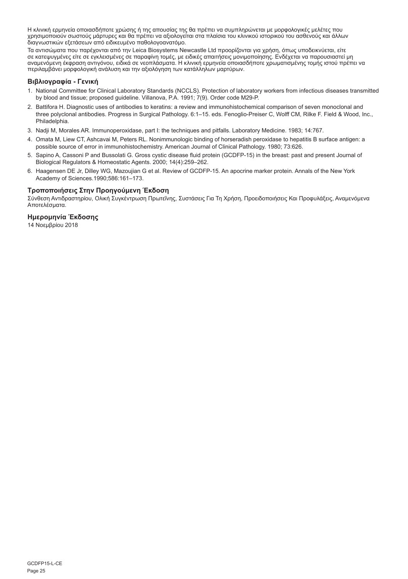Η κλινική ερμηνεία οποιασδήποτε χρώσης ή της απουσίας της θα πρέπει να συμπληρώνεται με μορφολογικές μελέτες που χρησιμοποιούν σωστούς μάρτυρες και θα πρέπει να αξιολογείται στα πλαίσια του κλινικού ιστορικού του ασθενούς και άλλων διαγνωστικών εξετάσεων από ειδικευμένο παθολογοανατόμο.

Τα αντισώματα που παρέχονται από την Leica Biosystems Newcastle Ltd προορίζονται για χρήση, όπως υποδεικνύεται, είτε σε κατεψυγμένες είτε σε εγκλεισμένες σε παραφίνη τομές, με ειδικές απαιτήσεις μονιμοποίησης. Ενδέχεται να παρουσιαστεί μη<br>αναμενόμενη έκφραση αντιγόνου, ειδικά σε νεοπλάσματα. Η κλινική ερμηνεία οποιασδήποτε χρωματισμένης περιλαμβάνει μορφολογική ανάλυση και την αξιολόγηση των κατάλληλων μαρτύρων.

### **Βιβλιογραφία - Γενική**

- 1. National Committee for Clinical Laboratory Standards (NCCLS). Protection of laboratory workers from infectious diseases transmitted by blood and tissue; proposed guideline. Villanova, P.A. 1991; 7(9). Order code M29-P.
- 2. Battifora H. Diagnostic uses of antibodies to keratins: a review and immunohistochemical comparison of seven monoclonal and three polyclonal antibodies. Progress in Surgical Pathology. 6:1–15. eds. Fenoglio-Preiser C, Wolff CM, Rilke F. Field & Wood, Inc., Philadelphia.
- 3. Nadji M, Morales AR. Immunoperoxidase, part I: the techniques and pitfalls. Laboratory Medicine. 1983; 14:767.
- 4. Omata M, Liew CT, Ashcavai M, Peters RL. Nonimmunologic binding of horseradish peroxidase to hepatitis B surface antigen: a possible source of error in immunohistochemistry. American Journal of Clinical Pathology. 1980; 73:626.
- 5. Sapino A, Cassoni P and Bussolati G. Gross cystic disease fluid protein (GCDFP-15) in the breast: past and present Journal of Biological Regulators & Homeostatic Agents. 2000; 14(4):259–262.
- 6. Haagensen DE Jr, Dilley WG, Mazoujian G et al. Review of GCDFP-15. An apocrine marker protein. Annals of the New York Academy of Sciences.1990;586:161–173.

#### **Τροποποιήσεις Στην Προηγούμενη Έκδοση**

Σύνθεση Αντιδραστηρίου, Ολική Συγκέντρωση Πρωτεΐνης, Συστάσεις Για Τη Χρήση, Προειδοποιήσεις Και Προφυλάξεις, Αναμενόμενα Αποτελέσματα.

#### **Ημερομηνία Έκδοσης**

14 Νοεμβρίου 2018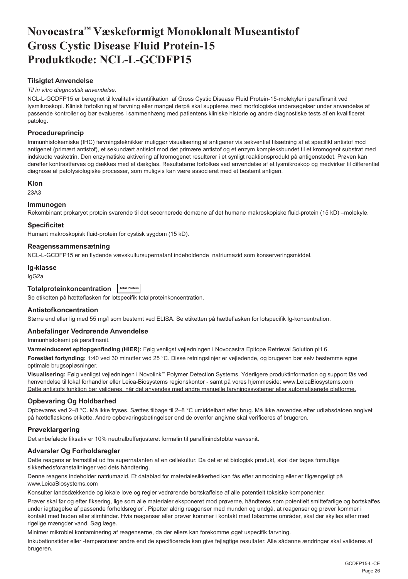## <span id="page-26-0"></span>**Novocastra™ Væskeformigt Monoklonalt Museantistof Gross Cystic Disease Fluid Protein-15 Produktkode: NCL-L-GCDFP15**

## **Tilsigtet Anvendelse**

#### *Til in vitro diagnostisk anvendelse*.

NCL-L-GCDFP15 er beregnet til kvalitativ identifikation af Gross Cystic Disease Fluid Protein-15-molekyler i paraffinsnit ved lysmikroskopi. Klinisk fortolkning af farvning eller mangel derpå skal suppleres med morfologiske undersøgelser under anvendelse af passende kontroller og bør evalueres i sammenhæng med patientens kliniske historie og andre diagnostiske tests af en kvalificeret patolog.

## **Procedureprincip**

Immunhistokemiske (IHC) farvningsteknikker muliggør visualisering af antigener via sekventiel tilsætning af et specifikt antistof mod antigenet (primært antistof), et sekundært antistof mod det primære antistof og et enzym kompleksbundet til et kromogent substrat med indskudte vasketrin. Den enzymatiske aktivering af kromogenet resulterer i et synligt reaktionsprodukt på antigenstedet. Prøven kan derefter kontrastfarves og dækkes med et dækglas. Resultaterne fortolkes ved anvendelse af et lysmikroskop og medvirker til differentiel diagnose af patofysiologiske processer, som muligvis kan være associeret med et bestemt antigen.

#### **Klon**

23A3

#### **Immunogen**

Rekombinant prokaryot protein svarende til det secernerede domæne af det humane makroskopiske fluid-protein (15 kD) –molekyle.

#### **Specificitet**

Humant makroskopisk fluid-protein for cystisk sygdom (15 kD).

#### **Reagenssammensætning**

NCL-L-GCDFP15 er en flydende vævskultursupernatant indeholdende natriumazid som konserveringsmiddel.

#### **Ig-klasse**

IgG2a

## **Totalproteinkoncentration Total Protein**

Se etiketten på hætteflasken for lotspecifik totalproteinkoncentration.

#### **Antistofkoncentration**

Større end eller lig med 55 mg/l som bestemt ved ELISA. Se etiketten på hætteflasken for lotspecifik Ig-koncentration.

## **Anbefalinger Vedrørende Anvendelse**

Immunhistokemi på paraffinsnit.

**Varmeinduceret epitopgenfinding (HIER):** Følg venligst vejledningen i Novocastra Epitope Retrieval Solution pH 6.

**Foreslået fortynding:** 1:40 ved 30 minutter ved 25 °C. Disse retningslinjer er vejledende, og brugeren bør selv bestemme egne optimale brugsopløsninger.

**Visualisering:** Følg venligst vejledningen i Novolink™ Polymer Detection Systems. Yderligere produktinformation og support fås ved henvendelse til lokal forhandler eller Leica-Biosystems regionskontor - samt på vores hjemmeside: www.LeicaBiosystems.com Dette antistofs funktion bør valideres, når det anvendes med andre manuelle farvningssystemer eller automatiserede platforme.

## **Opbevaring Og Holdbarhed**

Opbevares ved 2–8 °C. Må ikke fryses. Sættes tilbage til 2–8 °C umiddelbart efter brug. Må ikke anvendes efter udløbsdatoen angivet på hætteflaskens etikette. Andre opbevaringsbetingelser end de ovenfor angivne skal verificeres af brugeren.

## **Prøveklargøring**

Det anbefalede fiksativ er 10% neutralbufferjusteret formalin til paraffinindstøbte vævssnit.

## **Advarsler Og Forholdsregler**

Dette reagens er fremstillet ud fra supernatanten af en cellekultur. Da det er et biologisk produkt, skal der tages fornuftige sikkerhedsforanstaltninger ved dets håndtering.

Denne reagens indeholder natriumazid. Et datablad for materialesikkerhed kan fås efter anmodning eller er tilgængeligt på www.LeicaBiosystems.com

Konsulter landsdækkende og lokale love og regler vedrørende bortskaffelse af alle potentielt toksiske komponenter.

Prøver skal før og efter fiksering, lige som alle materialer eksponeret mod prøverne, håndteres som potentielt smittefarlige og bortskaffes under iagttagelse af passende forholdsregler<sup>ı</sup>. Pipetter aldrig reagenser med munden og undgå, at reagenser og prøver kommer i kontakt med huden eller slimhinder. Hvis reagenser eller prøver kommer i kontakt med følsomme områder, skal der skylles efter med rigelige mængder vand. Søg læge.

Minimer mikrobiel kontaminering af reagenserne, da der ellers kan forekomme øget uspecifik farvning.

Inkubationstider eller -temperaturer andre end de specificerede kan give fejlagtige resultater. Alle sådanne ændringer skal valideres af brugeren.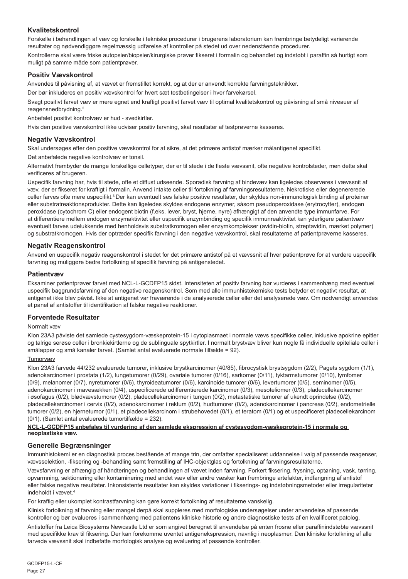## **Kvalitetskontrol**

Forskelle i behandlingen af væv og forskelle i tekniske procedurer i brugerens laboratorium kan frembringe betydeligt varierende resultater og nødvendiggøre regelmæssig udførelse af kontroller på stedet ud over nedenstående procedurer. Kontrollerne skal være friske autopsier/biopsier/kirurgiske prøver fikseret i formalin og behandlet og indstøbt i paraffin så hurtigt som muligt på samme måde som patientprøver.

## **Positiv Vævskontrol**

Anvendes til påvisning af, at vævet er fremstillet korrekt, og at der er anvendt korrekte farvningsteknikker.

Der bør inkluderes en positiv vævskontrol for hvert sæt testbetingelser i hver farvekørsel.

Svagt positivt farvet væv er mere egnet end kraftigt positivt farvet væv til optimal kvalitetskontrol og påvisning af små niveauer af reagensnedbrydning.<sup>2</sup>

Anbefalet positivt kontrolvæv er hud - svedkirtler.

Hvis den positive vævskontrol ikke udviser positiv farvning, skal resultater af testprøverne kasseres.

## **Negativ Vævskontrol**

Skal undersøges efter den positive vævskontrol for at sikre, at det primære antistof mærker målantigenet specifikt.

Det anbefalede negative kontrolvæv er tonsil.

Alternativt frembyder de mange forskellige celletyper, der er til stede i de fleste vævssnit, ofte negative kontrolsteder, men dette skal verificeres af brugeren.

Uspecifik farvning har, hvis til stede, ofte et diffust udseende. Sporadisk farvning af bindevæv kan ligeledes observeres i vævssnit af væv, der er fikseret for kraftigt i formalin. Anvend intakte celler til fortolkning af farvningsresultaterne. Nekrotiske eller degenererede celler farves ofte mere uspecifikt.<sup>3</sup> Der kan eventuelt ses falske positive resultater, der skyldes non-immunologisk binding af proteiner eller substratreaktionsprodukter. Dette kan ligeledes skyldes endogene enzymer, såsom pseudoperoxidase (erytrocytter), endogen peroxidase (cytochrom C) eller endogent biotin (f.eks. lever, bryst, hjerne, nyre) afhængigt af den anvendte type immunfarve. For at differentiere mellem endogen enzymaktivitet eller uspecifik enzymbinding og specifik immunreaktivitet kan yderligere patientvæv eventuelt farves udelukkende med henholdsvis substratkromogen eller enzymkomplekser (avidin-biotin, streptavidin, mærket polymer) og substratkromogen. Hvis der optræder specifik farvning i den negative vævskontrol, skal resultaterne af patientprøverne kasseres.

## **Negativ Reagenskontrol**

Anvend en uspecifik negativ reagenskontrol i stedet for det primære antistof på et vævssnit af hver patientprøve for at vurdere uspecifik farvning og muliggøre bedre fortolkning af specifik farvning på antigenstedet.

## **Patientvæv**

Eksaminer patientprøver farvet med NCL-L-GCDFP15 sidst. Intensiteten af positiv farvning bør vurderes i sammenhæng med eventuel uspecifik baggrundsfarvning af den negative reagenskontrol. Som med alle immunhistokemiske tests betyder et negativt resultat, at antigenet ikke blev påvist. Ikke at antigenet var fraværende i de analyserede celler eller det analyserede væv. Om nødvendigt anvendes et panel af antistoffer til identifikation af falske negative reaktioner.

## **Forventede Resultater**

## Normalt væv

Klon 23A3 påviste det samlede cystesygdom-væskeprotein-15 i cytoplasmaet i normale vævs specifikke celler, inklusive apokrine epitler og talrige serøse celler i bronkiekirtlerne og de sublinguale spytkirtler. I normalt brystvæv bliver kun nogle få individuelle epiteliale celler i smålapper og små kanaler farvet. (Samlet antal evaluerede normale tilfælde = 92).

## Tumorvæv

Klon 23A3 farvede 44/232 evaluerede tumorer, inklusive brystkarcinomer (40/85), fibrocystisk brystsygdom (2/2), Pagets sygdom (1/1), adenokarcinomer i prostata (1/2), lungetumorer (0/29), ovariale tumorer (0/16), sarkomer (0/11), tyktarmstumorer (0/10), lymfomer (0/9), melanomer (0/7), nyretumorer (0/6), thyroideatumorer (0/6), karcinoide tumorer (0/6), levertumorer (0/5), seminomer (0/5), adenokarcinomer i mavesækken (0/4), uspecificerede udifferentierede karcinomer (0/3), mesoteliomer (0/3), pladecellekarcinomer i øsofagus (0/2), blødvævstumorer (0/2), pladecellekarcinomer i tungen (0/2), metastatiske tumorer af ukendt oprindelse (0/2), pladecellekarcinomer i cervix (0/2), adenokarcinomer i rektum (0/2), hudtumorer (0/2), adenokarcinomer i pancreas (0/2), endometrielle tumorer (0/2), en hjernetumor (0/1), et pladecellekarcinom i strubehovedet (0/1), et teratom (0/1) og et uspecificeret pladecellekarcinom (0/1). (Samlet antal evaluerede tumortilfælde = 232).

#### **NCL-L-GCDFP15 anbefales til vurdering af den samlede ekspression af cystesygdom-væskeprotein-15 i normale og neoplastiske væv.**

## **Generelle Begrænsninger**

Immunhistokemi er en diagnostisk proces bestående af mange trin, der omfatter specialiseret uddannelse i valg af passende reagenser, vævsselektion, -fiksering og -behandling samt fremstilling af IHC-objektglas og fortolkning af farvningsresultaterne.

Vævsfarvning er afhængig af håndteringen og behandlingen af vævet inden farvning. Forkert fiksering, frysning, optøning, vask, tørring, opvarmning, sektionering eller kontaminering med andet væv eller andre væsker kan frembringe artefakter, indfangning af antistof eller falske negative resultater. Inkonsistente resultater kan skyldes variationer i fikserings- og indstøbningsmetoder eller irregulariteter indeholdt i vævet<sup>4</sup>

For kraftig eller ukomplet kontrastfarvning kan gøre korrekt fortolkning af resultaterne vanskelig.

Klinisk fortolkning af farvning eller mangel derpå skal suppleres med morfologiske undersøgelser under anvendelse af passende kontroller og bør evalueres i sammenhæng med patientens kliniske historie og andre diagnostiske tests af en kvalificeret patolog.

Antistoffer fra Leica Biosystems Newcastle Ltd er som angivet beregnet til anvendelse på enten frosne eller paraffinindstøbte vævssnit med specifikke krav til fiksering. Der kan forekomme uventet antigenekspression, navnlig i neoplasmer. Den kliniske fortolkning af alle farvede vævssnit skal indbefatte morfologisk analyse og evaluering af passende kontroller.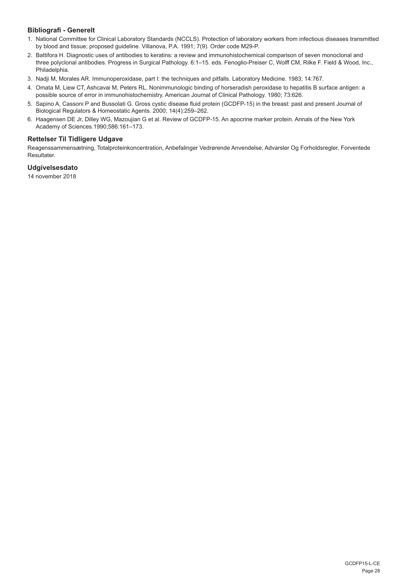## **Bibliografi - Generelt**

- 1. National Committee for Clinical Laboratory Standards (NCCLS). Protection of laboratory workers from infectious diseases transmitted by blood and tissue; proposed guideline. Villanova, P.A. 1991; 7(9). Order code M29-P.
- 2. Battifora H. Diagnostic uses of antibodies to keratins: a review and immunohistochemical comparison of seven monoclonal and three polyclonal antibodies. Progress in Surgical Pathology. 6:1–15. eds. Fenoglio-Preiser C, Wolff CM, Rilke F. Field & Wood, Inc., Philadelphia.
- 3. Nadji M, Morales AR. Immunoperoxidase, part I: the techniques and pitfalls. Laboratory Medicine. 1983; 14:767.
- 4. Omata M, Liew CT, Ashcavai M, Peters RL. Nonimmunologic binding of horseradish peroxidase to hepatitis B surface antigen: a possible source of error in immunohistochemistry. American Journal of Clinical Pathology. 1980; 73:626.
- 5. Sapino A, Cassoni P and Bussolati G. Gross cystic disease fluid protein (GCDFP-15) in the breast: past and present Journal of Biological Regulators & Homeostatic Agents. 2000; 14(4):259–262.
- 6. Haagensen DE Jr, Dilley WG, Mazoujian G et al. Review of GCDFP-15. An apocrine marker protein. Annals of the New York Academy of Sciences.1990;586:161–173.

## **Rettelser Til Tidligere Udgave**

Reagenssammensætning, Totalproteinkoncentration, Anbefalinger Vedrørende Anvendelse, Advarsler Og Forholdsregler, Forventede Resultater.

## **Udgivelsesdato**

14 november 2018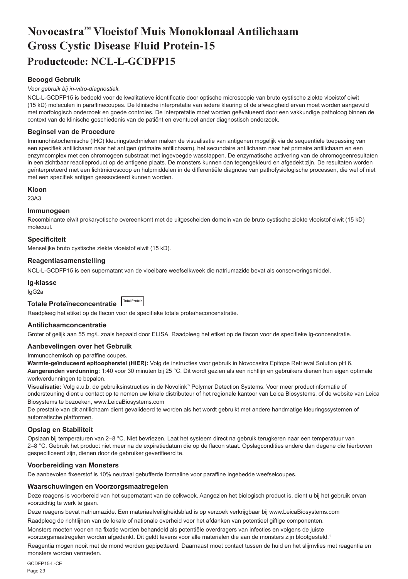## <span id="page-29-0"></span>**Novocastra™ Vloeistof Muis Monoklonaal Antilichaam Gross Cystic Disease Fluid Protein-15 Productcode: NCL-L-GCDFP15**

## **Beoogd Gebruik**

#### *Voor gebruik bij in-vitro-diagnostiek.*

NCL-L-GCDFP15 is bedoeld voor de kwalitatieve identificatie door optische microscopie van bruto cystische ziekte vloeistof eiwit (15 kD) moleculen in paraffinecoupes. De klinische interpretatie van iedere kleuring of de afwezigheid ervan moet worden aangevuld met morfologisch onderzoek en goede controles. De interpretatie moet worden geëvalueerd door een vakkundige patholoog binnen de context van de klinische geschiedenis van de patiënt en eventueel ander diagnostisch onderzoek.

## **Beginsel van de Procedure**

Immunohistochemische (IHC) kleuringstechnieken maken de visualisatie van antigenen mogelijk via de sequentiële toepassing van een specifiek antilichaam naar het antigen (primaire antilichaam), het secundaire antilichaam naar het primaire antilichaam en een enzymcomplex met een chromogeen substraat met ingevoegde wasstappen. De enzymatische activering van de chromogeenresultaten in een zichtbaar reactieproduct op de antigene plaats. De monsters kunnen dan tegengekleurd en afgedekt zijn. De resultaten worden geïnterpreteerd met een lichtmicroscoop en hulpmiddelen in de differentiële diagnose van pathofysiologische processen, die wel of niet met een specifiek antigen geassocieerd kunnen worden.

#### **Kloon**

23A3

#### **Immunogeen**

Recombinante eiwit prokaryotische overeenkomt met de uitgescheiden domein van de bruto cystische ziekte vloeistof eiwit (15 kD) molecuul.

### **Specificiteit**

Menselijke bruto cystische ziekte vloeistof eiwit (15 kD).

## **Reagentiasamenstelling**

NCL-L-GCDFP15 is een supernatant van de vloeibare weefselkweek die natriumazide bevat als conserveringsmiddel.

#### **Ig-klasse**

IgG2a

| .                           |                      |
|-----------------------------|----------------------|
| Totale Proteïneconcentratie | <b>Total Protein</b> |
|                             |                      |

Raadpleeg het etiket op de flacon voor de specifieke totale proteïneconcenstratie.

## **Antilichaamconcentratie**

Groter of gelijk aan 55 mg/L zoals bepaald door ELISA. Raadpleeg het etiket op de flacon voor de specifieke lg-concenstratie.

#### **Aanbevelingen over het Gebruik**

Immunochemisch op paraffine coupes.

**Warmte-geïnduceerd epitoopherstel (HIER):** Volg de instructies voor gebruik in Novocastra Epitope Retrieval Solution pH 6. **Aangeranden verdunning:** 1:40 voor 30 minuten bij 25 °C. Dit wordt gezien als een richtlijn en gebruikers dienen hun eigen optimale werkverdunningen te bepalen.

**Visualisatie:** Volg a.u.b. de gebruiksinstructies in de Novolink™ Polymer Detection Systems. Voor meer productinformatie of ondersteuning dient u contact op te nemen uw lokale distributeur of het regionale kantoor van Leica Biosystems, of de website van Leica Biosystems te bezoeken, www.LeicaBiosystems.com

De prestatie van dit antilichaam dient gevalideerd te worden als het wordt gebruikt met andere handmatige kleuringssystemen of automatische platformen.

## **Opslag en Stabiliteit**

Opslaan bij temperaturen van 2–8 °C. Niet bevriezen. Laat het systeem direct na gebruik terugkeren naar een temperatuur van 2–8 °C. Gebruik het product niet meer na de expiratiedatum die op de flacon staat. Opslagcondities andere dan degene die hierboven gespecificeerd zijn, dienen door de gebruiker geverifieerd te.

#### **Voorbereiding van Monsters**

De aanbevolen fixeerstof is 10% neutraal gebufferde formaline voor paraffine ingebedde weefselcoupes.

#### **Waarschuwingen en Voorzorgsmaatregelen**

Deze reagens is voorbereid van het supernatant van de celkweek. Aangezien het biologisch product is, dient u bij het gebruik ervan voorzichtig te werk te gaan.

Deze reagens bevat natriumazide. Een materiaalveiligheidsblad is op verzoek verkrijgbaar bij www.LeicaBiosystems.com

Raadpleeg de richtlijnen van de lokale of nationale overheid voor het afdanken van potentieel giftige componenten.

Monsters moeten voor en na fixatie worden behandeld als potentiële overdragers van infecties en volgens de juiste

voorzorgsmaatregelen worden afgedankt. Dit geldt tevens voor alle materialen die aan de monsters zijn blootgesteld.<sup>1</sup>

Reagentia mogen nooit met de mond worden gepipetteerd. Daarnaast moet contact tussen de huid en het slijmvlies met reagentia en monsters worden vermeden.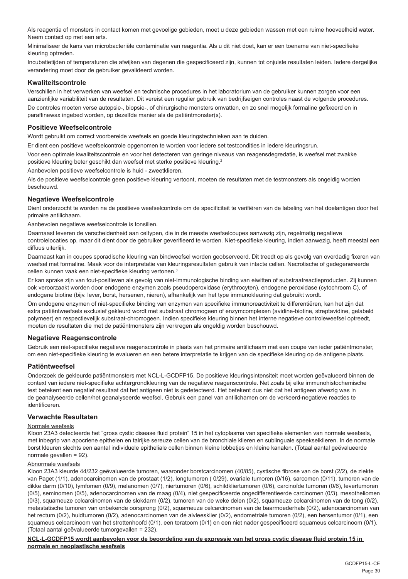Als reagentia of monsters in contact komen met gevoelige gebieden, moet u deze gebieden wassen met een ruime hoeveelheid water. Neem contact op met een arts.

Minimaliseer de kans van microbacteriële contaminatie van reagentia. Als u dit niet doet, kan er een toename van niet-specifieke kleuring optreden.

Incubatietijden of temperaturen die afwijken van degenen die gespecificeerd zijn, kunnen tot onjuiste resultaten leiden. Iedere dergelijke verandering moet door de gebruiker gevalideerd worden.

## **Kwaliteitscontrole**

Verschillen in het verwerken van weefsel en technische procedures in het laboratorium van de gebruiker kunnen zorgen voor een aanzienlijke variabiliteit van de resultaten. Dit vereist een regulier gebruik van bedrijfseigen controles naast de volgende procedures. De controles moeten verse autopsie-, biopsie-, of chirurgische monsters omvatten, en zo snel mogelijk formaline gefixeerd en in paraffinewax ingebed worden, op dezelfde manier als de patiëntmonster(s).

## **Positieve Weefselcontrole**

Wordt gebruikt om correct voorbereide weefsels en goede kleuringstechnieken aan te duiden.

Er dient een positieve weefselcontrole opgenomen te worden voor iedere set testcondities in iedere kleuringsrun.

Voor een optimale kwaliteitscontrole en voor het detecteren van geringe niveaus van reagensdegredatie, is weefsel met zwakke positieve kleuring beter geschikt dan weefsel met sterke positieve kleuring.<sup>2</sup>

Aanbevolen positieve weefselcontrole is huid - zweetklieren.

Als de positieve weefselcontrole geen positieve kleuring vertoont, moeten de resultaten met de testmonsters als ongeldig worden beschouwd.

## **Negatieve Weefselcontrole**

Dient onderzocht te worden na de positieve weefselcontrole om de specificiteit te verifiëren van de labeling van het doelantigen door het primaire antilichaam.

Aanbevolen negatieve weefselcontrole is tonsillen.

Daarnaast leveren de verscheidenheid aan celtypen, die in de meeste weefselcoupes aanwezig zijn, regelmatig negatieve controlelocaties op, maar dit dient door de gebruiker geverifieerd te worden. Niet-specifieke kleuring, indien aanwezig, heeft meestal een diffuus uiterlijk.

Daarnaast kan in coupes sporadische kleuring van bindweefsel worden geobserveerd. Dit treedt op als gevolg van overdadig fixeren van weefsel met formaline. Maak voor de interpretatie van kleuringsresultaten gebruik van intacte cellen. Necrotische of gedegenereerde cellen kunnen vaak een niet-specifieke kleuring vertonen.<sup>3</sup>

Er kan sprake zijn van fout-positieven als gevolg van niet-immunologische binding van eiwitten of substraatreactieproducten. Zij kunnen ook veroorzaakt worden door endogene enzymen zoals pseudoperoxidase (erythrocyten), endogene peroxidase (cytochroom C), of endogene biotine (bijv. lever, borst, hersenen, nieren), afhankelijk van het type immunokleuring dat gebruikt wordt.

Om endogene enzymen of niet-specifieke binding van enzymen van specifieke immunoreactiviteit te differentiëren, kan het zijn dat extra patiëntweefsels exclusief gekleurd wordt met substraat chromogeen of enzymcomplexen (avidine-biotine, streptavidine, gelabeld polymeer) en respectievelijk substraat-chromogeen. Indien specifieke kleuring binnen het interne negatieve controleweefsel optreedt, moeten de resultaten die met de patiëntmonsters zijn verkregen als ongeldig worden beschouwd.

## **Negatieve Reagenscontrole**

Gebruik een niet-specifieke negatieve reagenscontrole in plaats van het primaire antilichaam met een coupe van ieder patiëntmonster, om een niet-specifieke kleuring te evalueren en een betere interpretatie te krijgen van de specifieke kleuring op de antigene plaats.

## **Patiëntweefsel**

Onderzoek de gekleurde patiëntmonsters met NCL-L-GCDFP15. De positieve kleuringsintensiteit moet worden geëvalueerd binnen de context van iedere niet-specifieke achtergrondkleuring van de negatieve reagenscontrole. Net zoals bij elke immunohistochemische test betekent een negatief resultaat dat het antigeen niet is gedetecteerd. Het betekent dus niet dat het antigeen afwezig was in de geanalyseerde cellen/het geanalyseerde weefsel. Gebruik een panel van antilichamen om de verkeerd-negatieve reacties te identificeren.

## **Verwachte Resultaten**

#### Normale weefsels

Kloon 23A3 detecteerde het "gross cystic disease fluid protein" 15 in het cytoplasma van specifieke elementen van normale weefsels, met inbegrip van apocriene epithelen en talrijke sereuze cellen van de bronchiale klieren en sublinguale speekselklieren. In de normale borst kleuren slechts een aantal individuele epitheliale cellen binnen kleine lobbetjes en kleine kanalen. (Totaal aantal geëvalueerde normale gevallen = 92).

#### Abnormale weefsels

Kloon 23A3 kleurde 44/232 geëvalueerde tumoren, waaronder borstcarcinomen (40/85), cystische fibrose van de borst (2/2), de ziekte van Paget (1/1), adenocarcinomen van de prostaat (1/2), longtumoren ( 0/29), ovariale tumoren (0/16), sarcomen (0/11), tumoren van de dikke darm (0/10), lymfomen (0/9), melanomen (0/7), niertumoren (0/6), schildkliertumoren (0/6), carcinoïde tumoren (0/6), levertumoren (0/5), seminomen (0/5), adenocarcinomen van de maag (0/4), niet gespecificeerde ongedifferentieerde carcinomen (0/3), mesotheliomen (0/3), squameuze celcarcinomen van de slokdarm (0/2), tumoren van de weke delen (0/2), squameuze celcarcinomen van de tong (0/2), metastatische tumoren van onbekende oorsprong (0/2), squameuze celcarcinomen van de baarmoederhals (0/2), adenocarcinomen van het rectum (0/2), huidtumoren (0/2), adenocarcinomen van de alvleesklier (0/2), endometriale tumoren (0/2), een hersentumor (0/1), een squameus celcarcinoom van het strottenhoofd (0/1), een teratoom (0/1) en een niet nader gespecificeerd squameus celcarcinoom (0/1). (Totaal aantal geëvalueerde tumorgevallen = 232).

**NCL-L-GCDFP15 wordt aanbevolen voor de beoordeling van de expressie van het gross cystic disease fluid protein 15 in normale en neoplastische weefsels**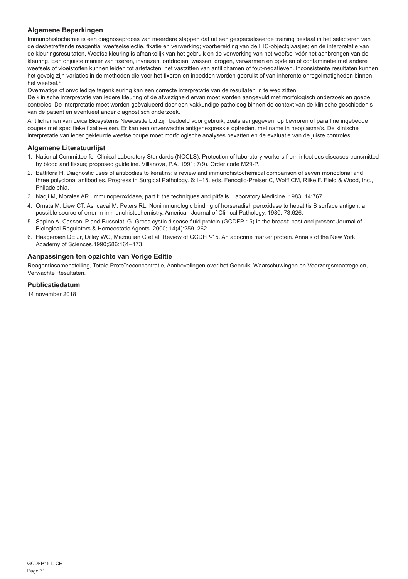## **Algemene Beperkingen**

Immunohistochemie is een diagnoseproces van meerdere stappen dat uit een gespecialiseerde training bestaat in het selecteren van de desbetreffende reagentia; weefselselectie, fixatie en verwerking; voorbereiding van de IHC-objectglaasjes; en de interpretatie van de kleuringsresultaten. Weefselkleuring is afhankelijk van het gebruik en de verwerking van het weefsel vóór het aanbrengen van de kleuring. Een onjuiste manier van fixeren, invriezen, ontdooien, wassen, drogen, verwarmen en opdelen of contaminatie met andere weefsels of vloeistoffen kunnen leiden tot artefacten, het vastzitten van antilichamen of fout-negatieven. Inconsistente resultaten kunnen het gevolg zijn variaties in de methoden die voor het fixeren en inbedden worden gebruikt of van inherente onregelmatigheden binnen het weefsel.<sup>4</sup>

Overmatige of onvolledige tegenkleuring kan een correcte interpretatie van de resultaten in te weg zitten.

De klinische interpretatie van iedere kleuring of de afwezigheid ervan moet worden aangevuld met morfologisch onderzoek en goede controles. De interpretatie moet worden geëvalueerd door een vakkundige patholoog binnen de context van de klinische geschiedenis van de patiënt en eventueel ander diagnostisch onderzoek.

Antilichamen van Leica Biosystems Newcastle Ltd zijn bedoeld voor gebruik, zoals aangegeven, op bevroren of paraffine ingebedde coupes met specifieke fixatie-eisen. Er kan een onverwachte antigenexpressie optreden, met name in neoplasma's. De klinische interpretatie van ieder gekleurde weefselcoupe moet morfologische analyses bevatten en de evaluatie van de juiste controles.

## **Algemene Literatuurlijst**

- 1. National Committee for Clinical Laboratory Standards (NCCLS). Protection of laboratory workers from infectious diseases transmitted by blood and tissue; proposed guideline. Villanova, P.A. 1991; 7(9). Order code M29-P.
- 2. Battifora H. Diagnostic uses of antibodies to keratins: a review and immunohistochemical comparison of seven monoclonal and three polyclonal antibodies. Progress in Surgical Pathology. 6:1–15. eds. Fenoglio-Preiser C, Wolff CM, Rilke F. Field & Wood, Inc., **Philadelphia**
- 3. Nadji M, Morales AR. Immunoperoxidase, part I: the techniques and pitfalls. Laboratory Medicine. 1983; 14:767.
- 4. Omata M, Liew CT, Ashcavai M, Peters RL. Nonimmunologic binding of horseradish peroxidase to hepatitis B surface antigen: a possible source of error in immunohistochemistry. American Journal of Clinical Pathology. 1980; 73:626.
- 5. Sapino A, Cassoni P and Bussolati G. Gross cystic disease fluid protein (GCDFP-15) in the breast: past and present Journal of Biological Regulators & Homeostatic Agents. 2000; 14(4):259–262.
- 6. Haagensen DE Jr, Dilley WG, Mazoujian G et al. Review of GCDFP-15. An apocrine marker protein. Annals of the New York Academy of Sciences.1990;586:161–173.

## **Aanpassingen ten opzichte van Vorige Editie**

Reagentiasamenstelling, Totale Proteïneconcentratie, Aanbevelingen over het Gebruik, Waarschuwingen en Voorzorgsmaatregelen, Verwachte Resultaten.

## **Publicatiedatum**

14 november 2018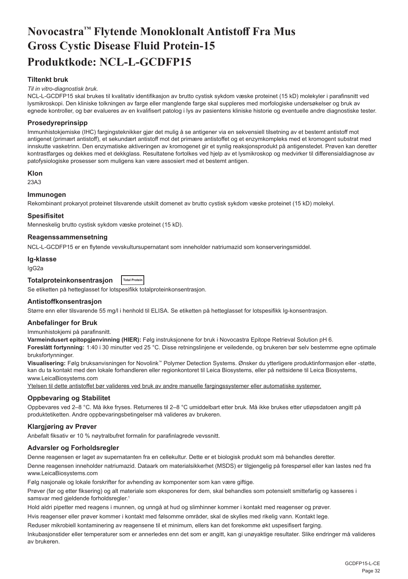## <span id="page-32-0"></span>**Novocastra™ Flytende Monoklonalt Antistoff Fra Mus Gross Cystic Disease Fluid Protein-15 Produktkode: NCL-L-GCDFP15**

## **Tiltenkt bruk**

#### *Til in vitro-diagnostisk bruk.*

NCL-L-GCDFP15 skal brukes til kvalitativ identifikasjon av brutto cystisk sykdom væske proteinet (15 kD) molekyler i parafinsnitt ved lysmikroskopi. Den kliniske tolkningen av farge eller manglende farge skal suppleres med morfologiske undersøkelser og bruk av egnede kontroller, og bør evalueres av en kvalifisert patolog i lys av pasientens kliniske historie og eventuelle andre diagnostiske tester.

## **Prosedyreprinsipp**

Immunhistokjemiske (IHC) fargingsteknikker gjør det mulig å se antigener via en sekvensiell tilsetning av et bestemt antistoff mot antigenet (primært antistoff), et sekundært antistoff mot det primære antistoffet og et enzymkompleks med et kromogent substrat med innskutte vasketrinn. Den enzymatiske aktiveringen av kromogenet gir et synlig reaksjonsprodukt på antigenstedet. Prøven kan deretter kontrastfarges og dekkes med et dekkglass. Resultatene fortolkes ved hjelp av et lysmikroskop og medvirker til differensialdiagnose av patofysiologiske prosesser som muligens kan være assosiert med et bestemt antigen.

#### **Klon**

23A3

## **Immunogen**

Rekombinant prokaryot proteinet tilsvarende utskilt domenet av brutto cystisk sykdom væske proteinet (15 kD) molekyl.

#### **Spesifisitet**

Menneskelig brutto cystisk sykdom væske proteinet (15 kD).

#### **Reagenssammensetning**

NCL-L-GCDFP15 er en flytende vevskultursupernatant som inneholder natriumazid som konserveringsmiddel.

#### **Ig-klasse**

IgG2a

#### **Totalproteinkonsentrasjon Total Protein**

Se etiketten på hetteglasset for lotspesifikk totalproteinkonsentrasjon.

#### **Antistoffkonsentrasjon**

Større enn eller tilsvarende 55 mg/l i henhold til ELISA. Se etiketten på hetteglasset for lotspesifikk Ig-konsentrasjon.

#### **Anbefalinger for Bruk**

Immunhistokjemi på parafinsnitt.

**Varmeindusert epitopgjenvinning (HIER):** Følg instruksjonene for bruk i Novocastra Epitope Retrieval Solution pH 6.

**Foreslått fortynning:** 1:40 i 30 minutter ved 25 °C. Disse retningslinjene er veiledende, og brukeren bør selv bestemme egne optimale bruksfortynninger.

**Visualisering:** Følg bruksanvisningen for Novolink™ Polymer Detection Systems. Ønsker du ytterligere produktinformasjon eller -støtte, kan du ta kontakt med den lokale forhandleren eller regionkontoret til Leica Biosystems, eller på nettsidene til Leica Biosystems, www.LeicaBiosystems.com

Ytelsen til dette antistoffet bør valideres ved bruk av andre manuelle fargingssystemer eller automatiske systemer.

## **Oppbevaring og Stabilitet**

Oppbevares ved 2–8 °C. Må ikke fryses. Returneres til 2–8 °C umiddelbart etter bruk. Må ikke brukes etter utløpsdatoen angitt på produktetiketten. Andre oppbevaringsbetingelser må valideres av brukeren.

#### **Klargjøring av Prøver**

Anbefalt fiksativ er 10 % nøytralbufret formalin for parafinlagrede vevssnitt.

## **Advarsler og Forholdsregler**

Denne reagensen er laget av supernatanten fra en cellekultur. Dette er et biologisk produkt som må behandles deretter. Denne reagensen inneholder natriumazid. Dataark om materialsikkerhet (MSDS) er tilgjengelig på forespørsel eller kan lastes ned fra www.LeicaBiosystems.com

Følg nasjonale og lokale forskrifter for avhending av komponenter som kan være giftige.

Prøver (før og etter fiksering) og alt materiale som eksponeres for dem, skal behandles som potensielt smittefarlig og kasseres i samsvar med gjeldende forholdsregler.<sup>1</sup>

Hold aldri pipetter med reagens i munnen, og unngå at hud og slimhinner kommer i kontakt med reagenser og prøver.

Hvis reagenser eller prøver kommer i kontakt med følsomme områder, skal de skylles med rikelig vann. Kontakt lege.

Reduser mikrobiell kontaminering av reagensene til et minimum, ellers kan det forekomme økt uspesifisert farging.

Inkubasjonstider eller temperaturer som er annerledes enn det som er angitt, kan gi unøyaktige resultater. Slike endringer må valideres av brukeren.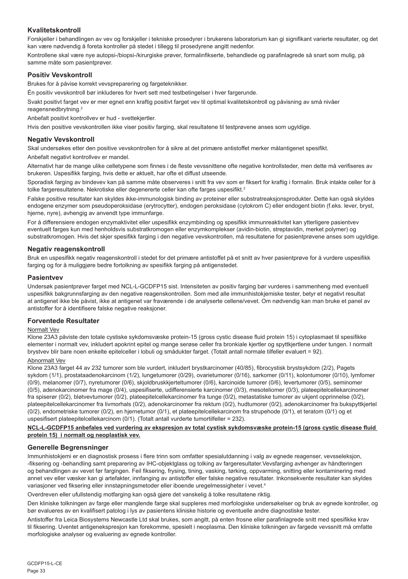## **Kvalitetskontroll**

Forskjeller i behandlingen av vev og forskjeller i tekniske prosedyrer i brukerens laboratorium kan gi signifikant varierte resultater, og det kan være nødvendig å foreta kontroller på stedet i tillegg til prosedyrene angitt nedenfor.

Kontrollene skal være nye autopsi-/biopsi-/kirurgiske prøver, formalinfikserte, behandlede og parafinlagrede så snart som mulig, på samme måte som pasientprøver.

#### **Positiv Vevskontroll**

Brukes for å påvise korrekt vevspreparering og fargeteknikker.

Én positiv vevskontroll bør inkluderes for hvert sett med testbetingelser i hver fargerunde.

Svakt positivt farget vev er mer egnet enn kraftig positivt farget vev til optimal kvalitetskontroll og påvisning av små nivåer reagensnedbrytning.<sup>2</sup>

Anbefalt positivt kontrollvev er hud - svettekjertler.

Hvis den positive vevskontrollen ikke viser positiv farging, skal resultatene til testprøvene anses som ugyldige.

## **Negativ Vevskontroll**

Skal undersøkes etter den positive vevskontrollen for å sikre at det primære antistoffet merker målantigenet spesifikt.

Anbefalt negativt kontrollvev er mandel.

Alternativt har de mange ulike celletypene som finnes i de fleste vevssnittene ofte negative kontrollsteder, men dette må verifiseres av brukeren. Uspesifikk farging, hvis dette er aktuelt, har ofte et diffust utseende.

Sporadisk farging av bindevev kan på samme måte observeres i snitt fra vev som er fiksert for kraftig i formalin. Bruk intakte celler for å tolke fargeresultatene. Nekrotiske eller degenererte celler kan ofte farges uspesifikt.<sup>3</sup>

Falske positive resultater kan skyldes ikke-immunologisk binding av proteiner eller substratreaksjonsprodukter. Dette kan også skyldes endogene enzymer som pseudoperoksidase (erytrocytter), endogen peroksidase (cytokrom C) eller endogent biotin (f.eks. lever, bryst, hjerne, nyre), avhengig av anvendt type immunfarge.

For å differensiere endogen enzymaktivitet eller uspesifikk enzymbinding og spesifikk immunreaktivitet kan ytterligere pasientvev eventuelt farges kun med henholdsvis substratkromogen eller enzymkomplekser (avidin-biotin, streptavidin, merket polymer) og substratkromogen. Hvis det skjer spesifikk farging i den negative vevskontrollen, må resultatene for pasientprøvene anses som ugyldige.

## **Negativ reagenskontroll**

Bruk en uspesifikk negativ reagenskontroll i stedet for det primære antistoffet på et snitt av hver pasientprøve for å vurdere uspesifikk farging og for å muliggjøre bedre fortolkning av spesifikk farging på antigenstedet.

## **Pasientvev**

Undersøk pasientprøver farget med NCL-L-GCDFP15 sist. Intensiteten av positiv farging bør vurderes i sammenheng med eventuell uspesifikk bakgrunnsfarging av den negative reagenskontrollen. Som med alle immunhistokjemiske tester, betyr et negativt resultat at antigenet ikke ble påvist, ikke at antigenet var fraværende i de analyserte cellene/vevet. Om nødvendig kan man bruke et panel av antistoffer for å identifisere falske negative reaksjoner.

## **Forventede Resultater**

#### Normalt Vev

Klone 23A3 påviste den totale cystiske sykdomsvæske protein-15 (gross cystic disease fluid protein 15) i cytoplasmaet til spesifikke elementer i normalt vev, inkludert apokrint epitel og mange serøse celler fra bronkiale kjertler og spyttkjertlene under tungen. I normalt brystvev blir bare noen enkelte epitelceller i lobuli og smådukter farget. (Totalt antall normale tilfeller evaluert = 92).

#### Abnormalt Vev

Klone 23A3 farget 44 av 232 tumorer som ble vurdert, inkludert brystkarcinomer (40/85), fibrocystisk brystsykdom (2/2), Pagets sykdom (1/1), prostataadenokarcinom (1/2), lungetumorer (0/29), ovarietumorer (0/16), sarkomer (0/11), kolontumorer (0/10), lymfomer (0/9), melanomer (0/7), nyretumorer (0/6), skjoldbruskkjerteltumorer (0/6), karcinoide tumorer (0/6), levertumorer (0/5), seminomer (0/5), adenokarcinomer fra mage (0/4), uspesifiserte, udifferensierte karcinomer (0/3), mesoteliomer (0/3), plateepitelcellekarcinomer fra spiserør (0/2), bløtvevtumorer (0/2), plateepitelcellekarcinomer fra tunge (0/2), metastatiske tumorer av ukjent opprinnelse (0/2), plateepitelcellekarcinomer fra livmorhals (0/2), adenokarcinomer fra rektum (0/2), hudtumorer (0/2), adenokarcinomer fra bukspyttkjertel (0/2), endometriske tumorer (0/2), en hjernetumor (0/1), et plateepitelcellekarcinom fra strupehode (0/1), et teratom (0/1) og et uspesifisert plateepitelcellekarcinom (0/1). (Totalt antall vurderte tumortilfeller = 232).

#### **NCL-L-GCDFP15 anbefales ved vurdering av ekspresjon av total cystisk sykdomsvæske protein-15 (gross cystic disease fluid protein 15) i normalt og neoplastisk vev.**

## **Generelle Begrensninger**

Immunhistokjemi er en diagnostisk prosess i flere trinn som omfatter spesialutdanning i valg av egnede reagenser, vevsseleksjon, -fiksering og -behandling samt preparering av IHC-objektglass og tolking av fargeresultater.Vevsfarging avhenger av håndteringen og behandlingen av vevet før fargingen. Feil fiksering, frysing, tining, vasking, tørking, oppvarming, snitting eller kontaminering med annet vev eller væsker kan gi artefakter, innfanging av antistoffer eller falske negative resultater. Inkonsekvente resultater kan skyldes variasjoner ved fiksering eller innstøpningsmetoder eller iboende uregelmessigheter i vevet.<sup>4</sup>

Overdreven eller ufullstendig motfarging kan også gjøre det vanskelig å tolke resultatene riktig.

Den kliniske tolkningen av farge eller manglende farge skal suppleres med morfologiske undersøkelser og bruk av egnede kontroller, og bør evalueres av en kvalifisert patolog i lys av pasientens kliniske historie og eventuelle andre diagnostiske tester.

Antistoffer fra Leica Biosystems Newcastle Ltd skal brukes, som angitt, på enten frosne eller parafinlagrede snitt med spesifikke krav til fiksering. Uventet antigenekspresjon kan forekomme, spesielt i neoplasma. Den kliniske tolkningen av fargede vevssnitt må omfatte morfologiske analyser og evaluering av egnede kontroller.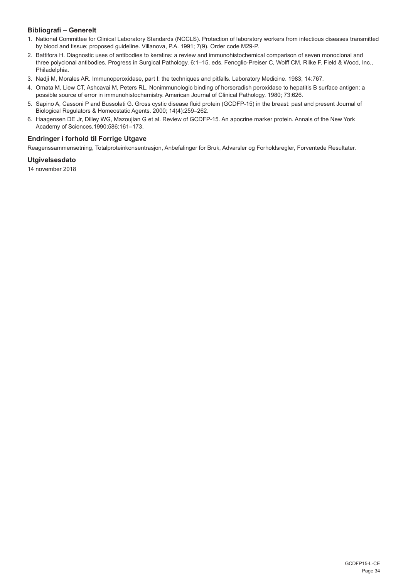## **Bibliografi – Generelt**

- 1. National Committee for Clinical Laboratory Standards (NCCLS). Protection of laboratory workers from infectious diseases transmitted by blood and tissue; proposed guideline. Villanova, P.A. 1991; 7(9). Order code M29-P.
- 2. Battifora H. Diagnostic uses of antibodies to keratins: a review and immunohistochemical comparison of seven monoclonal and three polyclonal antibodies. Progress in Surgical Pathology. 6:1–15. eds. Fenoglio-Preiser C, Wolff CM, Rilke F. Field & Wood, Inc., Philadelphia.
- 3. Nadji M, Morales AR. Immunoperoxidase, part I: the techniques and pitfalls. Laboratory Medicine. 1983; 14:767.
- 4. Omata M, Liew CT, Ashcavai M, Peters RL. Nonimmunologic binding of horseradish peroxidase to hepatitis B surface antigen: a possible source of error in immunohistochemistry. American Journal of Clinical Pathology. 1980; 73:626.
- 5. Sapino A, Cassoni P and Bussolati G. Gross cystic disease fluid protein (GCDFP-15) in the breast: past and present Journal of Biological Regulators & Homeostatic Agents. 2000; 14(4):259–262.
- 6. Haagensen DE Jr, Dilley WG, Mazoujian G et al. Review of GCDFP-15. An apocrine marker protein. Annals of the New York Academy of Sciences.1990;586:161–173.

## **Endringer i forhold til Forrige Utgave**

Reagenssammensetning, Totalproteinkonsentrasjon, Anbefalinger for Bruk, Advarsler og Forholdsregler, Forventede Resultater.

## **Utgivelsesdato**

14 november 2018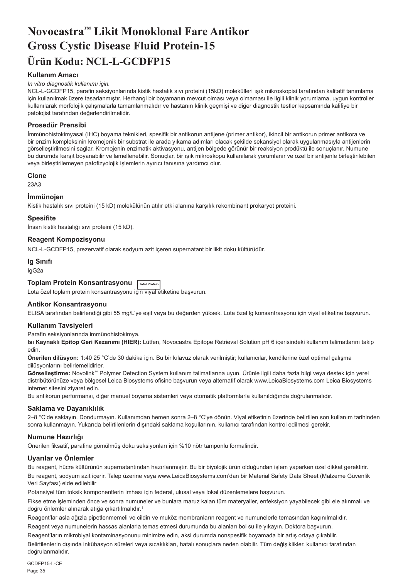## <span id="page-35-0"></span>**Novocastra™ Likit Monoklonal Fare Antikor Gross Cystic Disease Fluid Protein-15 Ürün Kodu: NCL-L-GCDFP15**

## **Kullanım Amacı**

#### *In vitro diagnostik kullanımı için.*

NCL-L-GCDFP15, parafin seksiyonlarında kistik hastalık sıvı proteini (15kD) molekülleri ışık mikroskopisi tarafından kalitatif tanımlama için kullanılmak üzere tasarlanmıştır. Herhangi bir boyamanın mevcut olması veya olmaması ile ilgili klinik yorumlama, uygun kontroller kullanılarak morfolojik çalışmalarla tamamlanmalıdır ve hastanın klinik geçmişi ve diğer diagnostik testler kapsamında kalifiye bir patolojist tarafından değerlendirilmelidir.

## **Prosedür Prensibi**

İmmünohistokimyasal (IHC) boyama teknikleri, spesifik bir antikorun antijene (primer antikor), ikincil bir antikorun primer antikora ve bir enzim kompleksinin kromojenik bir substrat ile arada yıkama adımları olacak şekilde sekansiyel olarak uygulanmasıyla antijenlerin görselleştirilmesini sağlar. Kromojenin enzimatik aktivasyonu, antijen bölgede görünür bir reaksiyon prodüktü ile sonuçlanır. Numune bu durumda karşıt boyanabilir ve lamellenebilir. Sonuçlar, bir ışık mikroskopu kullanılarak yorumlanır ve özel bir antijenle birleştirilebilen veya birleştirilemeyen patofizyolojik işlemlerin ayırıcı tanısına yardımcı olur.

## **Clone**

23A3

## **İmmünojen**

Kistik hastalık sıvı proteini (15 kD) molekülünün atılır etki alanına karşılık rekombinant prokaryot proteini.

## **Spesifite**

İnsan kistik hastalığı sıvı proteini (15 kD).

## **Reagent Kompozisyonu**

NCL-L-GCDFP15, prezervatif olarak sodyum azit içeren supernatant bir likit doku kültürüdür.

#### **Ig Sınıfı**

IgG2a

## **Toplam Protein Konsantrasyonu Total Protein**

Lota özel toplam protein konsantrasyonu için viyal etiketine başvurun.

### **Antikor Konsantrasyonu**

ELISA tarafından belirlendiği gibi 55 mg/L'ye eşit veya bu değerden yüksek. Lota özel lg konsantrasyonu için viyal etiketine başvurun.

## **Kullanım Tavsiyeleri**

Parafin seksiyonlarında immünohistokimya.

**Isı Kaynaklı Epitop Geri Kazanımı (HIER):** Lütfen, Novocastra Epitope Retrieval Solution pH 6 içerisindeki kullanım talimatlarını takip edin.

**Önerilen dilüsyon:** 1:40 25 °C'de 30 dakika için. Bu bir kılavuz olarak verilmiştir; kullanıcılar, kendilerine özel optimal çalışma dilüsyonlarını belirlemelidirler.

**Görselleştirme:** Novolink™ Polymer Detection System kullanım talimatlarına uyun. Ürünle ilgili daha fazla bilgi veya destek için yerel distribütörünüze veya bölgesel Leica Biosystems ofisine başvurun veya alternatif olarak www.LeicaBiosystems.com Leica Biosystems internet sitesini ziyaret edin.

Bu antikorun performansı, diğer manuel boyama sistemleri veya otomatik platformlarla kullanıldığında doğrulanmalıdır.

#### **Saklama ve Dayanıklılık**

2–8 °C'de saklayın. Dondurmayın. Kullanımdan hemen sonra 2–8 °C'ye dönün. Viyal etiketinin üzerinde belirtilen son kullanım tarihinden sonra kullanmayın. Yukarıda belirtilenlerin dışındaki saklama koşullarının, kullanıcı tarafından kontrol edilmesi gerekir.

## **Numune Hazırlığı**

Önerilen fiksatif, parafine gömülmüş doku seksiyonları için %10 nötr tamponlu formalindir.

#### **Uyarılar ve Önlemler**

Bu reagent, hücre kültürünün supernatantından hazırlanmıştır. Bu bir biyolojik ürün olduğundan işlem yaparken özel dikkat gerektirir. Bu reagent, sodyum azit içerir. Talep üzerine veya www.LeicaBiosystems.com'dan bir Material Safety Data Sheet (Malzeme Güvenlik Veri Sayfası) elde edilebilir

Potansiyel tüm toksik komponentlerin imhası için federal, ulusal veya lokal düzenlemelere başvurun.

Fikse etme işleminden önce ve sonra numuneler ve bunlara maruz kalan tüm materyaller, enfeksiyon yayabilecek gibi ele alınmalı ve doğru önlemler alınarak atığa çıkartılmalıdır.<sup>1</sup>

Reagent'lar asla ağızla pipetlenmemeli ve cildin ve muköz membranların reagent ve numunelerle temasından kaçınılmalıdır. Reagent veya numunelerin hassas alanlarla temas etmesi durumunda bu alanları bol su ile yıkayın. Doktora başvurun.

Reagent'ların mikrobiyal kontaminasyonunu minimize edin, aksi durumda nonspesifik boyamada bir artış ortaya çıkabilir.

Belirtilenlerin dışında inkübasyon süreleri veya sıcaklıkları, hatalı sonuçlara neden olabilir. Tüm değişiklikler, kullanıcı tarafından doğrulanmalıdır.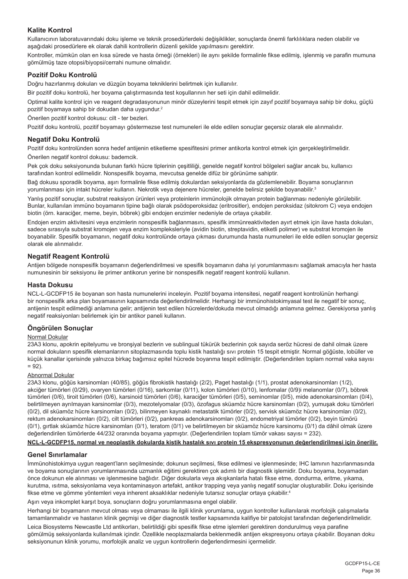## **Kalite Kontrol**

Kullanıcının laboratuvarındaki doku işleme ve teknik prosedürlerdeki değişiklikler, sonuçlarda önemli farklılıklara neden olabilir ve aşağıdaki prosedürlere ek olarak dahili kontrollerin düzenli şekilde yapılmasını gerektirir.

Kontroller, mümkün olan en kısa sürede ve hasta örneği (örnekleri) ile aynı şekilde formalinle fikse edilmiş, işlenmiş ve parafin mumuna gömülmüş taze otopsi/biyopsi/cerrahi numune olmalıdır.

#### **Pozitif Doku Kontrolü**

Doğru hazırlanmış dokuları ve düzgün boyama tekniklerini belirtmek için kullanılır.

Bir pozitif doku kontrolü, her boyama çalıştırmasında test koşullarının her seti için dahil edilmelidir.

Optimal kalite kontrol için ve reagent degradasyonunun minör düzeylerini tespit etmek için zayıf pozitif boyamaya sahip bir doku, güçlü pozitif boyamaya sahip bir dokudan daha uygundur.<sup>2</sup>

Önerilen pozitif kontrol dokusu: cilt - ter bezleri.

Pozitif doku kontrolü, pozitif boyamayı göstermezse test numuneleri ile elde edilen sonuçlar geçersiz olarak ele alınmalıdır.

#### **Negatif Doku Kontrolü**

Pozitif doku kontrolünden sonra hedef antijenin etiketleme spesifitesini primer antikorla kontrol etmek için gerçekleştirilmelidir. Önerilen negatif kontrol dokusu: bademcik.

Pek çok doku seksiyonunda bulunan farklı hücre tiplerinin çeşitliliği, genelde negatif kontrol bölgeleri sağlar ancak bu, kullanıcı tarafından kontrol edilmelidir. Nonspesifik boyama, mevcutsa genelde difüz bir görünüme sahiptir.

Bağ dokusu sporadik boyama, aşırı formalinle fikse edilmiş dokulardan seksiyonlarda da gözlemlenebilir. Boyama sonuçlarının yorumlanması için intakt hücreler kullanın. Nekrotik veya dejenere hücreler, genelde belirsiz şekilde boyanabilir.<sup>3</sup>

Yanlış pozitif sonuçlar, substrat reaksiyon ürünleri veya proteinlerin immünolojik olmayan protein bağlanması nedeniyle görülebilir. Bunlar, kullanılan immüno boyamanın tipine bağlı olarak psödoperoksidaz (eritrositler), endojen peroksidaz (sitokrom C) veya endojen biotin (örn. karaciğer, meme, beyin, böbrek) gibi endojen enzimler nedeniyle de ortaya çıkabilir.

Endojen enzim aktivitesini veya enzimlerin nonspesifik bağlanmasını, spesifik immünreaktiviteden ayırt etmek için ilave hasta dokuları, sadece sırasıyla substrat kromojen veya enzim kompleksleriyle (avidin biotin, streptavidin, etiketli polimer) ve substrat kromojen ile boyanabilir. Spesifik boyamanın, negatif doku kontrolünde ortaya çıkması durumunda hasta numuneleri ile elde edilen sonuçlar geçersiz olarak ele alınmalıdır.

#### **Negatif Reagent Kontrolü**

Antijen bölgede nonspesifik boyamanın değerlendirilmesi ve spesifik boyamanın daha iyi yorumlanmasını sağlamak amacıyla her hasta numunesinin bir seksiyonu ile primer antikorun yerine bir nonspesifik negatif reagent kontrolü kullanın.

#### **Hasta Dokusu**

NCL-L-GCDFP15 ile boyanan son hasta numunelerini inceleyin. Pozitif boyama intensitesi, negatif reagent kontrolünün herhangi bir nonspesifik arka plan boyamasının kapsamında değerlendirilmelidir. Herhangi bir immünohistokimyasal test ile negatif bir sonuç, antijenin tespit edilmediği anlamına gelir; antijenin test edilen hücrelerde/dokuda mevcut olmadığı anlamına gelmez. Gerekiyorsa yanlış negatif reaksiyonları belirlemek için bir antikor paneli kullanın.

## **Öngörülen Sonuçlar**

#### Normal Dokular

23A3 klonu, apokrin epitelyumu ve bronşiyal bezlerin ve sublingual tükürük bezlerinin çok sayıda seröz hücresi de dahil olmak üzere normal dokuların spesifik elemanlarının sitoplazmasında toplu kistik hastalığı sıvı protein 15 tespit etmiştir. Normal göğüste, lobüller ve küçük kanallar içerisinde yalnızca birkaç bağımsız epitel hücrede boyanma tespit edilmiştir. (Değerlendirilen toplam normal vaka sayısı  $= 92$ 

## Abnormal Dokular

23A3 klonu, göğüs karsinomları (40/85), göğüs fibrokistik hastalığı (2/2), Paget hastalığı (1/1), prostat adenokarsinomları (1/2), akciğer tümörleri (0/29), ovaryen tümörleri (0/16), sarkomlar (0/11), kolon tümörleri (0/10), lenfomalar (0/9)i melanomlar (0/7), böbrek tümörleri (0/6), tiroit tümörleri (0/6), karsinoid tümörleri (0/6), karaciğer tümörleri (0/5), seminomlar (0/5), mide adenokarsinomları (0/4), belirtilmeyen ayrılmayan karsinomlar (0/3), mezotelyomalar (0/3), özofagus sküamöz hücre karsinomları (0/2), yumuşak doku tümörleri (0/2), dil sküamöz hücre karsinomları (0/2), bilinmeyen kaynaklı metastatik tümörler (0/2), servisk sküamöz hücre karsinomları (0/2), rektum adenokarsinomları (0/2), cilt tümörleri (0/2), pankreas adenokarsinomları (0/2), endometriyal tümörler (0/2), beyin tümörü (0/1), gırtlak sküamöz hücre karsinomları (0/1), teratom (0/1) ve belirtilmeyen bir sküamöz hücre karsinomu (0/1) da dâhil olmak üzere değerlendirilen tümörlerde 44/232 oranında boyama yapmıştır. (Değerlendirilen toplam tümör vakası sayısı = 232).

## **NCL-L-GCDFP15, normal ve neoplastik dokularda kistik hastalık sıvı protein 15 ekspresyonunun değerlendirilmesi için önerilir.**

#### **Genel Sınırlamalar**

İmmünohistokimya uygun reagent'ların seçilmesinde; dokunun seçilmesi, fikse edilmesi ve işlenmesinde; IHC lamının hazırlanmasında ve boyama sonuçlarının yorumlanmasında uzmanlık eğitimi gerektiren çok adımlı bir diagnostik işlemidir. Doku boyama, boyamadan önce dokunun ele alınması ve işlenmesine bağlıdır. Diğer dokularla veya akışkanlarla hatalı fikse etme, dondurma, eritme, yıkama, kurutma, ısıtma, seksiyonlama veya kontaminasyon artefakt, antikor trapping veya yanlış negatif sonuçlar oluşturabilir. Doku içerisinde fikse etme ve gömme yöntemleri veya inherent aksaklıklar nedeniyle tutarsız sonuçlar ortaya çıkabilir. 4

Aşırı veya inkomplet karşıt boya, sonuçların doğru yorumlanmasına engel olabilir.

Herhangi bir boyamanın mevcut olması veya olmaması ile ilgili klinik yorumlama, uygun kontroller kullanılarak morfolojik çalışmalarla tamamlanmalıdır ve hastanın klinik geçmişi ve diğer diagnostik testler kapsamında kalifiye bir patolojist tarafından değerlendirilmelidir.

Leica Biosystems Newcastle Ltd antikorları, belirtildiği gibi spesifik fikse etme işlemleri gerektiren dondurulmuş veya parafine gömülmüş seksiyonlarda kullanılmak içindir. Özellikle neoplazmalarda beklenmedik antijen ekspresyonu ortaya çıkabilir. Boyanan doku seksiyonunun klinik yorumu, morfolojik analiz ve uygun kontrollerin değerlendirmesini içermelidir.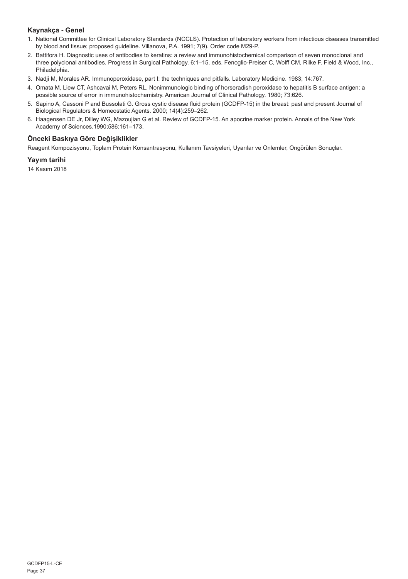## **Kaynakça - Genel**

- 1. National Committee for Clinical Laboratory Standards (NCCLS). Protection of laboratory workers from infectious diseases transmitted by blood and tissue; proposed guideline. Villanova, P.A. 1991; 7(9). Order code M29-P.
- 2. Battifora H. Diagnostic uses of antibodies to keratins: a review and immunohistochemical comparison of seven monoclonal and three polyclonal antibodies. Progress in Surgical Pathology. 6:1–15. eds. Fenoglio-Preiser C, Wolff CM, Rilke F. Field & Wood, Inc., Philadelphia.
- 3. Nadji M, Morales AR. Immunoperoxidase, part I: the techniques and pitfalls. Laboratory Medicine. 1983; 14:767.
- 4. Omata M, Liew CT, Ashcavai M, Peters RL. Nonimmunologic binding of horseradish peroxidase to hepatitis B surface antigen: a possible source of error in immunohistochemistry. American Journal of Clinical Pathology. 1980; 73:626.
- 5. Sapino A, Cassoni P and Bussolati G. Gross cystic disease fluid protein (GCDFP-15) in the breast: past and present Journal of Biological Regulators & Homeostatic Agents. 2000; 14(4):259–262.
- 6. Haagensen DE Jr, Dilley WG, Mazoujian G et al. Review of GCDFP-15. An apocrine marker protein. Annals of the New York Academy of Sciences.1990;586:161–173.

## **Önceki Baskıya Göre Değişiklikler**

Reagent Kompozisyonu, Toplam Protein Konsantrasyonu, Kullanım Tavsiyeleri, Uyarılar ve Önlemler, Öngörülen Sonuçlar.

## **Yayım tarihi**

14 Kasım 2018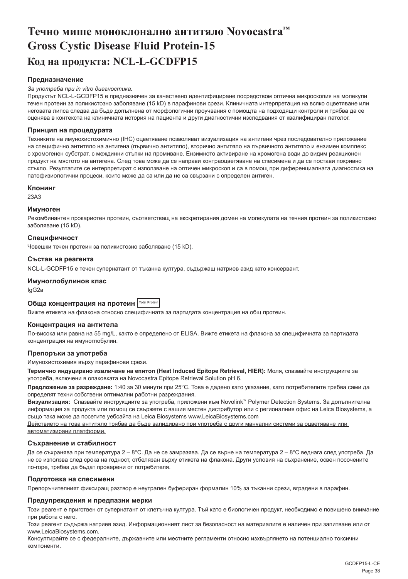## <span id="page-38-0"></span>**Течно мише моноклонално антитяло Novocastra™ Gross Cystic Disease Fluid Protein-15 Код на продукта: NCL-L-GCDFP15**

#### **Предназначение**

#### *За употреба при in vitro диагностика.*

Продуктът NCL-L-GCDFP15 е предназначен за качествено идентифициране посредством оптична микроскопия на молекули течен протеин за поликистозно заболяване (15 kD) в парафинови срези. Клиничната интерпретация на всяко оцветяване или неговата липса следва да бъде допълнена от морфологични проучвания с помощта на подходящи контроли и трябва да се оценява в контекста на клиничната история на пациента и други диагностични изследвания от квалифициран патолог.

#### **Принцип на процедурата**

Техниките на имунохистохимично (IHC) оцветяване позволяват визуализация на антигени чрез последователно приложение на специфично антитяло на антигена (първично антитяло), вторично антитяло на първичното антитяло и ензимен комплекс с хромогенен субстрат, с междинни стъпки на промиване. Ензимното активиране на хромогена води до видим реакционен продукт на мястото на антигена. След това може да се направи контраоцветяване на спесимена и да се постави покривно стъкло. Резултатите се интерпретират с използване на оптичен микроскоп и са в помощ при диференциалната диагностика на патофизиологични процеси, които може да са или да не са свързани с определен антиген.

#### **Клонинг**

23A3

#### **Имуноген**

Рекомбинантен прокариотен протеин, съответстващ на екскретирания домен на молекулата на течния протеин за поликистозно заболяване (15 kD).

## **Специфичност**

Човешки течен протеин за поликистозно заболяване (15 kD).

#### **Състав на реагента**

NCL-L-GCDFP15 е течен супернатант от тъканна култура, съдържащ натриев азид като консервант.

#### **Имуноглобулинов клас**

IgG2a

## **Обща концентрация на протеин Total Protein**

Вижте етикета на флакона относно специфичната за партидата концентрация на общ протеин.

#### **Концентрация на антитела**

По-висока или равна на 55 mg/L, както е определено от ELISA. Вижте етикета на флакона за специфичната за партидата концентрация на имуноглобулин.

#### **Препоръки за употреба**

Имунохистохимия върху парафинови срези.

**Термично индуцирано извличане на епитоп (Heat Induced Epitope Retrieval, HIER):** Моля, спазвайте инструкциите за употреба, включени в опаковката на Novocastra Epitope Retrieval Solution pH 6.

**Предложение за разреждане:** 1:40 за 30 минути при 25°C. Това е дадено като указание, като потребителите трябва сами да определят техни собствени оптимални работни разреждания.

**Визуализация:** Спазвайте инструкциите за употреба, приложени към Novolink™ Polymer Detection Systems. За допълнителна информация за продукта или помощ се свържете с вашия местен дистрибутор или с регионалния офис на Leica Biosystems, а също така може да посетите уебсайта на Leica Biosystems www.LeicaBiosystems.com

Действието на това антитяло трябва да бъде валидирано при употреба с други мануални системи за оцветяване или автоматизирани платформи.

#### **Съхранение и стабилност**

Да се съхранява при температура 2 – 8°C. Да не се замразява. Да се върне на температура 2 – 8°C веднага след употреба. Да не се използва след срока на годност, отбелязан върху етикета на флакона. Други условия на съхранение, освен посочените по-горе, трябва да бъдат проверени от потребителя.

#### **Подготовка на спесимени**

Препоръчителният фиксиращ разтвор е неутрален буфериран формалин 10% за тъканни срези, вградени в парафин.

#### **Предупреждения и предпазни мерки**

Този реагент е приготвен от супернатант от клетъчна култура. Тъй като е биологичен продукт, необходимо е повишено внимание при работа с него.

Този реагент съдържа натриев азид. Информационният лист за безопасност на материалите е наличен при запитване или от www.LeicaBiosystems.com.

Консултирайте се с федералните, държавните или местните регламенти относно изхвърлянето на потенциално токсични компоненти.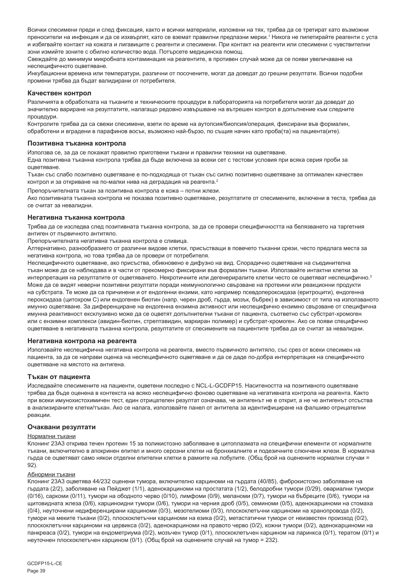Всички спесимени преди и след фиксация, както и всички материали, изложени на тях, трябва да се третират като възможни преносители на инфекция и да се изхвърлят, като се вземат правилни предпазни мерки.' Никога не пипетирайте реагенти с уста и избягвайте контакт на кожата и лигавиците с реагенти и спесимени. При контакт на реагенти или спесимени с чувствителни зони измийте зоните с обилно количество вода. Потърсете медицинска помощ.

Свеждайте до минимум микробната контаминация на реагентите, в противен случай може да се появи увеличаване на неспецифичното оцветяване.

Инкубационни времена или температури, различни от посочените, могат да доведат до грешни резултати. Всички подобни промени трябва да бъдат валидирани от потребителя.

#### **Качествен контрол**

Различията в обработката на тъканите и техническите процедури в лабораторията на потребителя могат да доведат до значително вариране на резултатите, налагащо редовно извършване на вътрешен контрол в допълнение към следните процедури.

Контролите трябва да са свежи спесимени, взети по време на аутопсия/биопсия/операция, фиксирани във формалин, обработени и вградени в парафинов восък, възможно най-бързо, по същия начин като проба(та) на пациента(ите).

#### **Позитивна тъканна контрола**

Използва се, за да се покажат правилно приготвени тъкани и правилни техники на оцветяване.

Една позитивна тъканна контрола трябва да бъде включена за всеки сет с тестови условия при всяка серия проби за оцветяване.

Тъкан със слабо позитивно оцветяване е по-подходяща от тъкан със силно позитивно оцветяване за оптимален качествен контрол и за откриване на по-малки нива на деградация на реагента.<sup>2</sup>

Препоръчителната тъкан за позитивна контрола е кожа – потни жлези.

Ако позитивната тъканна контрола не показва позитивно оцветяване, резултатите от спесимените, включени в теста, трябва да се считат за невалидни.

#### **Негативна тъканна контрола**

Трябва да се изследва след позитивната тъканна контрола, за да се провери специфичността на белязването на таргетния антиген от първичното антитяло.

Препоръчителната негативна тъканна контрола е сливица.

Алтернативно, разнообразието от различни видове клетки, присъстващи в повечето тъканни срези, често предлага места за негативна контрола, но това трябва да се провери от потребителя.

Неспецифичното оцветяване, ако присъства, обикновено е дифузно на вид. Спорадично оцветяване на съединителна тъкан може да се наблюдава и в части от прекомерно фиксирани във формалин тъкани. Използвайте интактни клетки за интерпретация на резултатите от оцветяването. Некротичните или дегенериралите клетки често се оцветяват неспецифично.<sup>3</sup> Може да се видят неверни позитивни резултати поради неимунологично свързване на протеини или реакционни продукти на субстрата. Те може да са причинени и от ендогенни ензими, като например псевдопероксидаза (еритроцити), ендогенна пероксидаза (цитохром C) или ендогенен биотин (напр. черен дроб, гърда, мозък, бъбрек) в зависимост от типа на използваното имунно оцветяване. За диференциране на ендогенна ензимна активност или неспецифично ензимно свързване от специфична имунна реактивност ексклузивно може да се оцветят допълнителни тъкани от пациента, съответно със субстрат-хромоген или с ензимни комплекси (авидин-биотин, стрептавидин, маркиран полимер) и субстрат-хромоген. Ако се появи специфично оцветяване в негативната тъканна контрола, резултатите от спесимените на пациентите трябва да се считат за невалидни.

#### **Негативна контрола на реагента**

Използвайте неспецифична негативна контрола на реагента, вместо първичното антитяло, със срез от всеки спесимен на пациента, за да се направи оценка на неспецифичното оцветяване и да се даде по-добра интерпретация на специфичното оцветяване на мястото на антигена.

#### **Тъкан от пациента**

Изследвайте спесимените на пациенти, оцветени последно с NCL-L-GCDFP15. Наситеността на позитивното оцветяване трябва да бъде оценена в контекста на всяко неспецифично фоново оцветяване на негативната контрола на реагента. Както при всеки имунохистохимичен тест, един отрицателен резултат означава, че антигенът не е открит, а не че антигенът отсъства в анализираните клетки/тъкан. Ако се налага, използвайте панел от антитела за идентифициране на фалшиво отрицателни реакции.

#### **Очаквани резултати**

#### Нормални тъкани

Клонинг 23A3 открива течен протеин 15 за поликистозно заболяване в цитоплазмата на специфични елементи от нормалните тъкани, включително в апокринен епител и много серозни клетки на бронхиалните и подезичните слюнчени жлези. В нормална гърда се оцветяват само някои отделни епителни клетки в рамките на лобулите. (Общ брой на оценените нормални случаи = 92).

#### Абнормни тъкани

Клонинг 23A3 оцветява 44/232 оценени тумора, включително карциноми на гърдата (40/85), фиброкистозно заболяване на гърдата (2/2), заболяване на Пейджет (1/1), аденокарциноми на простатата (1/2), белодробни тумори (0/29), овариални тумори (0/16), саркоми (0/11), тумори на ободното черво (0/10), лимфоми (0/9), меланоми (0/7), тумори на бъбреците (0/6), тумори на щитовидната жлеза (0/6), карциноидни тумори (0/6), тумори на черния дроб (0/5), семиноми (0/5), аденокарциноми на стомаха (0/4), неуточнени недиференцирани карциноми (0/3), мезотелиоми (0/3), плоскоклетъчни карциноми на хранопровода (0/2), тумори на меките тъкани (0/2), плоскоклетъчни карциноми на езика (0/2), метастатични тумори от неизвестен произход (0/2), плоскоклетъчни карциноми на цервикса (0/2), аденокарциноми на правото черво (0/2), кожни тумори (0/2), аденокарциноми на панкреаса (0/2), тумори на ендометриума (0/2), мозъчен тумор (0/1), плоскоклетъчен карцином на ларинкса (0/1), тератом (0/1) и неуточнен плоскоклетъчен карцином (0/1). (Общ брой на оценените случай на тумор = 232).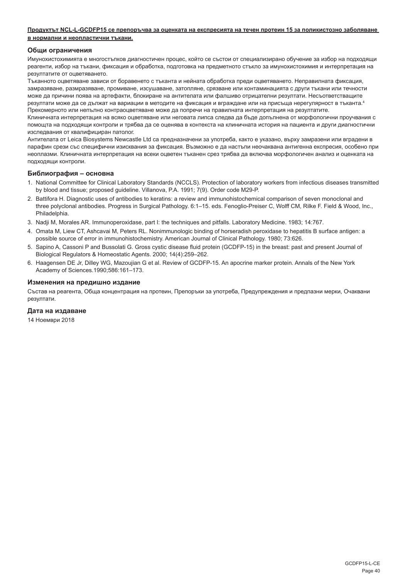#### **Продуктът NCL-L-GCDFP15 се препоръчва за оценката на експресията на течен протеин 15 за поликистозно заболяване в нормални и неопластични тъкани.**

#### **Общи ограничения**

Имунохистохимията е многостъпков диагностичен процес, който се състои от специализирано обучение за избор на подходящи реагенти, избор на тъкани, фиксация и обработка, подготовка на предметното стъкло за имунохистохимия и интерпретация на резултатите от оцветяването.

Тъканното оцветяване зависи от боравенето с тъканта и нейната обработка преди оцветяването. Неправилната фиксация, замразяване, размразяване, промиване, изсушаване, затопляне, срязване или контаминацията с други тъкани или течности може да причини поява на артефакти, блокиране на антителата или фалшиво отрицателни резултати. Несъответстващите резултати може да се дължат на вариации в методите на фиксация и вграждане или на присъща нерегулярност в тъканта.<sup>4</sup> Прекомерното или непълно контраоцветяване може да попречи на правилната интерпретация на резултатите.

Клиничната интерпретация на всяко оцветяване или неговата липса следва да бъде допълнена от морфологични проучвания с помощта на подходящи контроли и трябва да се оценява в контекста на клиничната история на пациента и други диагностични изследвания от квалифициран патолог.

Антителата от Leica Biosystems Newcastle Ltd са предназначени за употреба, както е указано, върху замразени или вградени в парафин срези със специфични изисквания за фиксация. Възможно е да настъпи неочаквана антигенна експресия, особено при неоплазми. Клиничната интерпретация на всеки оцветен тъканен срез трябва да включва морфологичен анализ и оценката на подходящи контроли.

#### **Библиография – основна**

- 1. National Committee for Clinical Laboratory Standards (NCCLS). Protection of laboratory workers from infectious diseases transmitted by blood and tissue; proposed guideline. Villanova, P.A. 1991; 7(9). Order code M29-P.
- 2. Battifora H. Diagnostic uses of antibodies to keratins: a review and immunohistochemical comparison of seven monoclonal and three polyclonal antibodies. Progress in Surgical Pathology. 6:1–15. eds. Fenoglio-Preiser C, Wolff CM, Rilke F. Field & Wood, Inc., Philadelphia.
- 3. Nadji M, Morales AR. Immunoperoxidase, part I: the techniques and pitfalls. Laboratory Medicine. 1983; 14:767.
- 4. Omata M, Liew CT, Ashcavai M, Peters RL. Nonimmunologic binding of horseradish peroxidase to hepatitis B surface antigen: a possible source of error in immunohistochemistry. American Journal of Clinical Pathology. 1980; 73:626.
- 5. Sapino A, Cassoni P and Bussolati G. Gross cystic disease fluid protein (GCDFP-15) in the breast: past and present Journal of Biological Regulators & Homeostatic Agents. 2000; 14(4):259–262.
- 6. Haagensen DE Jr, Dilley WG, Mazoujian G et al. Review of GCDFP-15. An apocrine marker protein. Annals of the New York Academy of Sciences.1990;586:161–173.

#### **Изменения на предишно издание**

Състав на реагента, Обща концентрация на протеин, Препоръки за употреба, Предупреждения и предпазни мерки, Очаквани резултати.

## **Дата на издаване**

14 Ноември 2018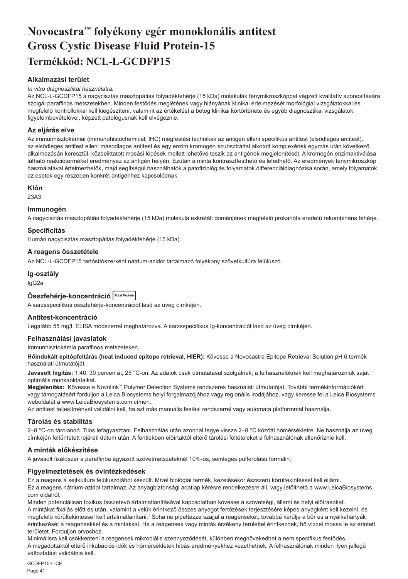## <span id="page-41-0"></span>**Novocastra™ folyékony egér monoklonális antitest Gross Cystic Disease Fluid Protein-15 Termékkód: NCL-L-GCDFP15**

## **Alkalmazási terület**

#### *In vitro diagnosztikai használatra.*

Az NCL-L-GCDFP15 a nagycisztás masztopátiás folyadékfehérje (15 kDa) molekulák fénymikroszkóppal végzett kvalitatív azonosítására szolgál paraffinos metszetekben. Minden festődés meglétének vagy hiányának klinikai értelmezését morfológiai vizsgálatokkal és megfelelő kontrollokkal kell kiegészíteni, valamint az értékelést a beteg klinikai kórtörténete és egyéb diagnosztikai vizsgálatok figyelembevételével, képzett patológusnak kell elvégeznie.

## **Az eljárás elve**

Az immunhisztokémiai (immunohistochemical, IHC) megfestési technikák az antigén elleni specifikus antitest (elsődleges antitest), az elsődleges antitest elleni másodlagos antitest és egy enzim kromogén szubsztráttal alkotott komplexének egymás után következő alkalmazásán keresztül, közbeiktatott mosási lépések mellett lehetővé teszik az antigének megjelenítését. A kromogén enzimaktiválása látható reakcióterméket eredményez az antigén helyén. Ezután a minta kontrasztfesthető és lefedhető. Az eredmények fénymikroszkóp használatával értelmezhetők, majd segítségül használhatók a patofiziológiás folyamatok differenciáldiagnózisa során, amely folyamatok az esetek egy részében konkrét antigénhez kapcsolódnak.

#### **Klón**

23A3

#### **Immunogén**

A nagycisztás masztopátiás folyadékfehérje (15 kDa) molekula exkretált doménjének megfelelő prokarióta eredetű rekombináns fehérje.

### **Specificitás**

Humán nagycisztás masztopátiás folyadékfehérje (15 kDa).

## **A reagens összetétele**

Az NCL-L-GCDFP15 tartósítószerként nátrium-azidot tartalmazó folyékony szövetkultúra felülúszó.

#### **Ig-osztály**

IgG2a

| Összfehérje-koncentráció Total Protein |  |  |
|----------------------------------------|--|--|
|----------------------------------------|--|--|

A sarzsspecifikus összfehérje-koncentrációt lásd az üveg címkéjén.

#### **Antitest-koncentráció**

Legalább 55 mg/l, ELISA módszerrel meghatározva. A sarzsspecifikus Ig-koncentrációt lásd az üveg címkéjén.

#### **Felhasználási javaslatok**

#### Immunhisztokémia paraffinos metszeteken.

**Hőindukált epitópfeltárás (heat induced epitope retrieval, HIER):** Kövesse a Novocastra Epitope Retrieval Solution pH 6 termék használati útmutatóját.

**Javasolt hígítás:** 1:40, 30 percen át, 25 °C-on. Az adatok csak útmutatásul szolgálnak, a felhasználóknak kell meghatározniuk saját optimális munkaoldataikat.

**Megjelenítés:** Kövesse a Novolink™ Polymer Detection Systems rendszerek használati útmutatóját. További termékinformációkért vagy támogatásért forduljon a Leica Biosystems helyi forgalmazójához vagy regionális irodájához, vagy keresse fel a Leica Biosystems weboldalát a www.LeicaBiosystems.com címen.

Az antitest teljesítményét validálni kell, ha azt más manuális festési rendszerrel vagy automata platformmal használja.

#### **Tárolás és stabilitás**

2–8 °C-on tárolandó. Tilos lefagyasztani. Felhasználás után azonnal tegye vissza 2–8 °C közötti hőmérsékletre. Ne használja az üveg címkéjén feltüntetett lejárati dátum után. A fentiekben előírtaktól eltérő tárolási feltételeket a felhasználónak ellenőriznie kell.

## **A minták előkészítése**

A javasolt fixálószer a paraffinba ágyazott szövetmetszeteknél 10%-os, semleges pufferolású formalin.

#### **Figyelmeztetések és óvintézkedések**

Ez a reagens a sejtkultúra felülúszójából készült. Mivel biológiai termék, kezelésekor észszerű körültekintéssel kell eljárni. Ez a reagens nátrium-azidot tartalmaz. Az anyagbiztonsági adatlap kérésre rendelkezésre áll, vagy letölthető a www.LeicaBiosystems. com oldalról.

Minden potenciálisan toxikus összetevő ártalmatlanításával kapcsolatban kövesse a szövetségi, állami és helyi előírásokat. A mintákat fixálás előtt és után, valamint a velük érintkező összes anyagot fertőzések terjesztésére képes anyagként kell kezelni, és megfelelő körültekintéssel kell ártalmatlanítani.1 Soha ne pipettázza szájjal a reagenseket, továbbá kerülje a bőr és a nyálkahártyák érintkezését a reagensekkel és a mintákkal. Ha a reagensek vagy minták érzékeny területtel érintkeznek, bő vízzel mossa le az érintett területet. Forduljon orvoshoz.

Minimálisra kell csökkenteni a reagensek mikrobiális szennyeződését, különben megnövekedhet a nem specifikus festődés. A megadottaktól eltérő inkubációs idők és hőmérsékletek hibás eredményekhez vezethetnek. A felhasználónak minden ilyen jellegű változtatást validálnia kell.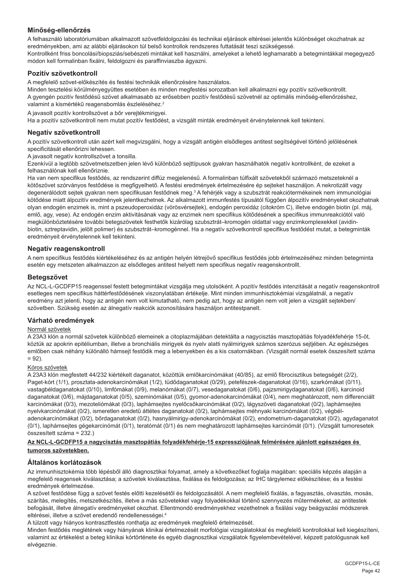## **Minőség-ellenőrzés**

A felhasználó laboratóriumában alkalmazott szövetfeldolgozási és technikai eljárások eltérései jelentős különbséget okozhatnak az eredményekben, ami az alábbi eljárásokon túl belső kontrollok rendszeres futtatását teszi szükségessé. Kontrollként friss boncolási/biopsziás/sebészeti mintákat kell használni, amelyeket a lehető leghamarabb a betegmintákkal megegyező módon kell formalinban fixálni, feldolgozni és paraffinviaszba ágyazni.

## **Pozitív szövetkontroll**

A megfelelő szövet-előkészítés és festési technikák ellenőrzésére használatos.

Minden tesztelési körülményegyüttes esetében és minden megfestési sorozatban kell alkalmazni egy pozitív szövetkontrollt. A gyengén pozitív festődésű szövet alkalmasabb az erősebben pozitív festődésű szövetnél az optimális minőség-ellenőrzéshez, valamint a kismértékű reagensbomlás észleléséhez.<sup>2</sup>

A javasolt pozitív kontrollszövet a bőr verejtékmirigyei.

Ha a pozitív szövetkontroll nem mutat pozitív festődést, a vizsgált minták eredményeit érvénytelennek kell tekinteni.

## **Negatív szövetkontroll**

A pozitív szövetkontroll után azért kell megvizsgálni, hogy a vizsgált antigén elsődleges antitest segítségével történő jelölésének specificitását ellenőrizni lehessen.

A javasolt negatív kontrollszövet a tonsilla.

Ezenkívül a legtöbb szövetmetszetben jelen lévő különböző sejttípusok gyakran használhatók negatív kontrollként, de ezeket a felhasználónak kell ellenőriznie.

Ha van nem specifikus festődés, az rendszerint diffúz megjelenésű. A formalinban túlfixált szövetekből származó metszeteknél a kötőszövet szórványos festődése is megfigyelhető. A festési eredmények értelmezésére ép sejteket használjon. A nekrotizált vagy degenerálódott sejtek gyakran nem specifikusan festődnek meg.<sup>3</sup> A fehérjék vagy a szubsztrát reakciótermékeinek nem immunológiai kötődése miatt álpozitív eredmények jelentkezhetnek. Az alkalmazott immunfestés típusától függően álpozitív eredményeket okozhatnak olyan endogén enzimek is, mint a pszeudoperoxidáz (vörösvérsejtek), endogén peroxidáz (citokróm C), illetve endogén biotin (pl. máj, emlő, agy, vese). Az endogén enzim aktivitásának vagy az enzimek nem specifikus kötődésének a specifikus immunreakciótól való megkülönböztetésére további betegszövetek festhetők kizárólag szubsztrát–kromogén oldattal vagy enzimkomplexekkel (avidinbiotin, sztreptavidin, jelölt polimer) és szubsztrát–kromogénnel. Ha a negatív szövetkontroll specifikus festődést mutat, a betegminták eredményeit érvénytelennek kell tekinteni.

## **Negatív reagenskontroll**

A nem specifikus festődés kiértékeléséhez és az antigén helyén létrejövő specifikus festődés jobb értelmezéséhez minden betegminta esetén egy metszeten alkalmazzon az elsődleges antitest helyett nem specifikus negatív reagenskontrollt.

## **Betegszövet**

Az NCL-L-GCDFP15 reagenssel festett betegmintákat vizsgálja meg utolsóként. A pozitív festődés intenzitását a negatív reagenskontroll esetleges nem specifikus háttérfestődésének viszonylatában értékelje. Mint minden immunhisztokémiai vizsgálatnál, a negatív eredmény azt jelenti, hogy az antigén nem volt kimutatható, nem pedig azt, hogy az antigén nem volt jelen a vizsgált sejtekben/ szövetben. Szükség esetén az álnegatív reakciók azonosítására használjon antitestpanelt.

## **Várható eredmények**

#### Normál szövetek

A 23A3 klón a normál szövetek különböző elemeinek a citoplazmájában detektálta a nagycisztás masztopátiás folyadékfehérje 15-öt, köztük az apokrin epitéliumban, illetve a bronchiális mirigyek és nyelv alatti nyálmirigyek számos szerózus sejtjében. Az egészséges emlőben csak néhány különálló hámsejt festődik meg a lebenyekben és a kis csatornákban. (Vizsgált normál esetek összesített száma  $= 92$ ).

#### Kóros szövetek

A 23A3 klón megfestett 44/232 kiértékelt daganatot, közöttük emlőkarcinómákat (40/85), az emlő fibrocisztikus betegségét (2/2), Paget-kórt (1/1), prosztata-adenokarcinómákat (1/2), tüdődaganatokat (0/29), petefészek-daganatokat (0/16), szarkómákat (0/11), vastagbéldaganatokat (0/10), limfómákat (0/9), melanómákat (0/7), vesedaganatokat (0/6), pajzsmirigydaganatokat (0/6), karcinoid daganatokat (0/6), májdaganatokat (0/5), szeminómákat (0/5), gyomor-adenokarcinómákat (0/4), nem meghatározott, nem differenciált karcinómákat (0/3), mezoteliómákat (0/3), laphámsejtes nyelőcsőkarcinómákat (0/2), lágyszöveti daganatokat (0/2), laphámsejtes nyelvkarcinómákat (0/2), ismeretlen eredetű áttétes daganatokat (0/2), laphámsejtes méhnyaki karcinómákat (0/2), végbéladenokarcinómákat (0/2), bőrdaganatokat (0/2), hasnyálmirigy-adenokarcinómákat (0/2), endometrium-daganatokat (0/2), agydaganatot (0/1), laphámsejtes gégekarcinómát (0/1), teratómát (0/1) és nem meghatározott laphámsejtes karcinómát (0/1). (Vizsgált tumoresetek összesített száma = 232.)

#### **Az NCL-L-GCDFP15 a nagycisztás masztopátiás folyadékfehérje-15 expressziójának felmérésére ajánlott egészséges és tumoros szövetekben.**

## **Általános korlátozások**

Az immunhisztokémia több lépésből álló diagnosztikai folyamat, amely a következőket foglalja magában: speciális képzés alapján a megfelelő reagensek kiválasztása; a szövetek kiválasztása, fixálása és feldolgozása; az IHC tárgylemez előkészítése; és a festési eredmények értelmezése.

A szövet festődése függ a szövet festés előtti kezelésétől és feldolgozásától. A nem megfelelő fixálás, a fagyasztás, olvasztás, mosás, szárítás, melegítés, metszetkészítés, illetve a más szövetekkel vagy folyadékokkal történő szennyezés műtermékeket, az antitestek befogását, illetve álnegatív eredményeket okozhat. Ellentmondó eredményekhez vezethetnek a fixálási vagy beágyazási módszerek eltérései, illetve a szövet eredendő rendellenességei.<sup>4</sup>

A túlzott vagy hiányos kontrasztfestés ronthatja az eredmények megfelelő értelmezését.

Minden festődés meglétének vagy hiányának klinikai értelmezését morfológiai vizsgálatokkal és megfelelő kontrollokkal kell kiegészíteni, valamint az értékelést a beteg klinikai kórtörténete és egyéb diagnosztikai vizsgálatok figyelembevételével, képzett patológusnak kell elvégeznie.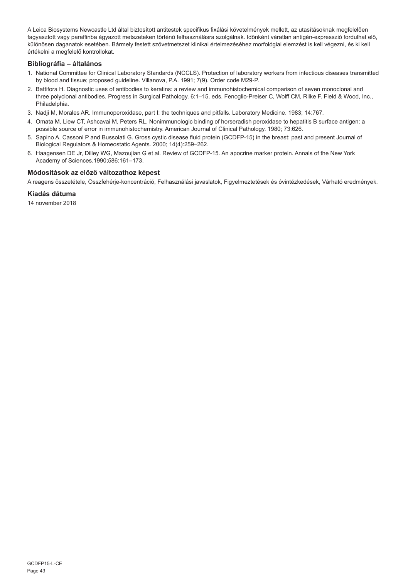A Leica Biosystems Newcastle Ltd által biztosított antitestek specifikus fixálási követelmények mellett, az utasításoknak megfelelően fagyasztott vagy paraffinba ágyazott metszeteken történő felhasználásra szolgálnak. Időnként váratlan antigén-expresszió fordulhat elő, különösen daganatok esetében. Bármely festett szövetmetszet klinikai értelmezéséhez morfológiai elemzést is kell végezni, és ki kell értékelni a megfelelő kontrollokat.

## **Bibliográfia – általános**

- 1. National Committee for Clinical Laboratory Standards (NCCLS). Protection of laboratory workers from infectious diseases transmitted by blood and tissue; proposed guideline. Villanova, P.A. 1991; 7(9). Order code M29-P.
- 2. Battifora H. Diagnostic uses of antibodies to keratins: a review and immunohistochemical comparison of seven monoclonal and three polyclonal antibodies. Progress in Surgical Pathology. 6:1–15. eds. Fenoglio-Preiser C, Wolff CM, Rilke F. Field & Wood, Inc., Philadelphia.
- 3. Nadji M, Morales AR. Immunoperoxidase, part I: the techniques and pitfalls. Laboratory Medicine. 1983; 14:767.
- 4. Omata M, Liew CT, Ashcavai M, Peters RL. Nonimmunologic binding of horseradish peroxidase to hepatitis B surface antigen: a possible source of error in immunohistochemistry. American Journal of Clinical Pathology. 1980; 73:626.
- 5. Sapino A, Cassoni P and Bussolati G. Gross cystic disease fluid protein (GCDFP-15) in the breast: past and present Journal of Biological Regulators & Homeostatic Agents. 2000; 14(4):259–262.
- 6. Haagensen DE Jr, Dilley WG, Mazoujian G et al. Review of GCDFP-15. An apocrine marker protein. Annals of the New York Academy of Sciences.1990;586:161–173.

## **Módosítások az előző változathoz képest**

A reagens összetétele, Összfehérje-koncentráció, Felhasználási javaslatok, Figyelmeztetések és óvintézkedések, Várható eredmények.

#### **Kiadás dátuma**

14 november 2018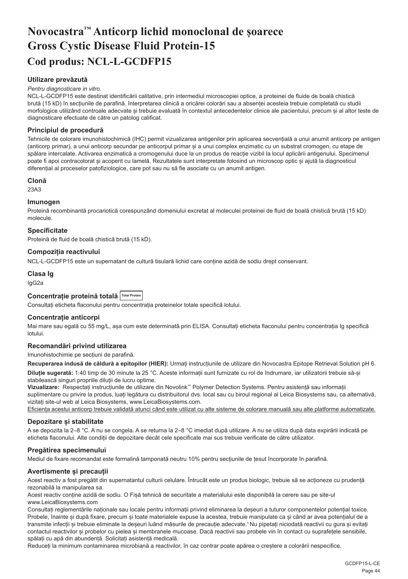## <span id="page-44-0"></span>**Novocastra™ Anticorp lichid monoclonal de șoarece Gross Cystic Disease Fluid Protein-15 Cod produs: NCL-L-GCDFP15**

## **Utilizare prevăzută**

#### *Pentru diagnosticare in vitro.*

NCL-L-GCDFP15 este destinat identificării calitative, prin intermediul microscopiei optice, a proteinei de fluide de boală chistică brută (15 kD) în secțiunile de parafină. Interpretarea clinică a oricărei colorări sau a absenței acesteia trebuie completată cu studii morfologice utilizând controale adecvate și trebuie evaluată în contextul antecedentelor clinice ale pacientului, precum și al altor teste de diagnosticare efectuate de către un patolog calificat.

#### **Principiul de procedură**

Tehnicile de colorare imunohistochimică (IHC) permit vizualizarea antigenilor prin aplicarea secvențială a unui anumit anticorp pe antigen (anticorp primar), a unui anticorp secundar pe anticorpul primar și a unui complex enzimatic cu un substrat cromogen, cu etape de spălare intercalate. Activarea enzimatică a cromogenului duce la un produs de reacție vizibil la locul aplicării antigenului. Specimenul poate fi apoi contracolorat și acoperit cu lamelă. Rezultatele sunt interpretate folosind un microscop optic și ajută la diagnosticul diferențial al proceselor patofiziologice, care pot sau nu să fie asociate cu un anumit antigen.

## **Clonă**

23A3

#### **Imunogen**

Proteină recombinantă procariotică corespunzând domeniului excretat al moleculei proteinei de fluid de boală chistică brută (15 kD) molecule.

#### **Specificitate**

Proteină de fluid de boală chistică brută (15 kD).

## **Compoziția reactivului**

NCL-L-GCDFP15 este un supernatant de cultură tisulară lichid care conține azidă de sodiu drept conservant.

#### **Clasa Ig**

IgG2a

## **Concentrație proteină totală Total Protein**

Consultați eticheta flaconului pentru concentrația proteinelor totale specifică lotului.

## **Concentrație anticorpi**

Mai mare sau egală cu 55 mg/L, așa cum este determinată prin ELISA. Consultați eticheta flaconului pentru concentrația lg specifică lotului.

## **Recomandări privind utilizarea**

Imunohistochimie pe secțiuni de parafină.

**Recuperarea indusă de căldură a epitopilor (HIER):** Urmați instrucțiunile de utilizare din Novocastra Epitope Retrieval Solution pH 6. **Diluție sugerată:** 1:40 timp de 30 minute la 25 °C. Aceste informații sunt furnizate cu rol de îndrumare, iar utilizatorii trebuie să-și stabilească singuri propriile diluții de lucru optime.

**Vizualizare:** Respectați instrucțiunile de utilizare din Novolink™ Polymer Detection Systems. Pentru asistență sau informații suplimentare cu privire la produs, luați legătura cu distribuitorul dvs. local sau cu biroul regional al Leica Biosystems sau, ca alternativă, vizitați site-ul web al Leica Biosystems, www.LeicaBiosystems.com.

Eficiența acestui anticorp trebuie validată atunci când este utilizat cu alte sisteme de colorare manuală sau alte platforme automatizate.

#### **Depozitare și stabilitate**

A se depozita la 2–8 °C. A nu se congela. A se returna la 2–8 °C imediat după utilizare. A nu se utiliza după data expirării indicată pe eticheta flaconului. Alte condiții de depozitare decât cele specificate mai sus trebuie verificate de către utilizator.

## **Pregătirea specimenului**

Mediul de fixare recomandat este formalină tamponată neutru 10% pentru secțiunile de țesut încorporate în parafină.

#### **Avertismente și precauții**

Acest reactiv a fost pregătit din supernatantul culturii celulare. Întrucât este un produs biologic, trebuie să se acționeze cu prudență rezonabilă la manipularea sa.

Acest reactiv conține azidă de sodiu. O Fișă tehnică de securitate a materialului este disponibilă la cerere sau pe site-ul www.LeicaBiosystems.com

Consultați reglementările naționale sau locale pentru informații privind eliminarea la deșeuri a tuturor componentelor potențial toxice. Probele, înainte și după fixare, precum și toate materialele expuse la acestea, trebuie manipulate ca și când ar avea potențialul de a transmite infecții și trebuie eliminate la deșeuri luând măsurile de precauție adecvate.<sup>1</sup>Nu pipetați niciodată reactivii cu gura și evitați contactul reactivilor și probelor cu pielea și membranele mucoase. Dacă reactivii sau probele vin în contact cu suprafețele sensibile, spălați cu apă din abundență. Solicitați asistență medicală.

Reduceți la minimum contaminarea microbiană a reactivilor, în caz contrar poate apărea o creștere a colorării nespecifice.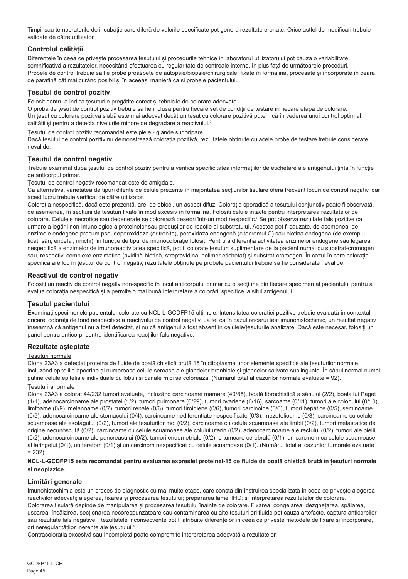Timpii sau temperaturile de incubație care diferă de valorile specificate pot genera rezultate eronate. Orice astfel de modificări trebuie validate de către utilizator.

## **Controlul calității**

Diferențele în ceea ce privește procesarea țesutului și procedurile tehnice în laboratorul utilizatorului pot cauza o variabilitate semnificativă a rezultatelor, necesitând efectuarea cu regularitate de controale interne, în plus față de următoarele proceduri. Probele de control trebuie să fie probe proaspete de autopsie/biopsie/chirurgicale, fixate în formalină, procesate și încorporate în ceară de parafină cât mai curând posibil și în aceeași manieră ca și probele pacientului.

## **Țesutul de control pozitiv**

Folosit pentru a indica țesuturile pregătite corect și tehnicile de colorare adecvate.

O probă de țesut de control pozitiv trebuie să fie inclusă pentru fiecare set de condiții de testare în fiecare etapă de colorare. Un țesut cu colorare pozitivă slabă este mai adecvat decât un țesut cu colorare pozitivă puternică în vederea unui control optim al calității și pentru a detecta nivelurile minore de degradare a reactivului.<sup>2</sup>

Țesutul de control pozitiv recomandat este piele - glande sudoripare.

Dacă țesutul de control pozitiv nu demonstrează colorația pozitivă, rezultatele obținute cu acele probe de testare trebuie considerate nevalide.

## **Țesutul de control negativ**

Trebuie examinat după țesutul de control pozitiv pentru a verifica specificitatea informațiilor de etichetare ale antigenului țintă în funcție de anticorpul primar.

Țesutul de control negativ recomandat este de amigdale.

Ca alternativă, varietatea de tipuri diferite de celule prezente în majoritatea secțiunilor tisulare oferă frecvent locuri de control negativ, dar acest lucru trebuie verificat de către utilizator.

Colorația nespecifică, dacă este prezentă, are, de obicei, un aspect difuz. Colorația sporadică a țesutului conjunctiv poate fi observată, de asemenea, în secțiuni de țesuturi fixate în mod excesiv în formalină. Folosiți celule intacte pentru interpretarea rezultatelor de colorare. Celulele necrotice sau degenerate se colorează deseori într-un mod nespecific.<sup>3</sup> Se pot observa rezultate fals pozitive ca urmare a legării non-imunologice a proteinelor sau produșilor de reacție ai substratului. Acestea pot fi cauzate, de asemenea, de enzimele endogene precum pseudoperoxidaza (eritrocite), peroxidaza endogenă (citocromul C) sau biotina endogenă (de exemplu, ficat, sân, encefal, rinichi), în funcție de tipul de imunocolorație folosit. Pentru a diferenția activitatea enzimelor endogene sau legarea nespecifică a enzimelor de imunoreactivitatea specifică, pot fi colorate tesuturi suplimentare de la pacient numai cu substrat-cromogen sau, respectiv, complexe enzimatice (avidină-biotină, streptavidină, polimer etichetat) și substrat-cromogen. În cazul în care colorația specifică are loc în țesutul de control negativ, rezultatele obținute pe probele pacientului trebuie să fie considerate nevalide.

## **Reactivul de control negativ**

Folosiți un reactiv de control negativ non-specific în locul anticorpului primar cu o secțiune din fiecare specimen al pacientului pentru a evalua colorația nespecifică și a permite o mai bună interpretare a colorării specifice la situl antigenului.

## **Țesutul pacientului**

Examinați specimenele pacientului colorate cu NCL-L-GCDFP15 ultimele. Intensitatea colorației pozitive trebuie evaluată în contextul oricărei colorații de fond nespecifice a reactivului de control negativ. La fel ca în cazul oricărui test imunohistochimic, un rezultat negativ înseamnă că antigenul nu a fost detectat, și nu că antigenul a fost absent în celulele/țesuturile analizate. Dacă este necesar, folosiți un panel pentru anticorpi pentru identificarea reacțiilor fals negative.

## **Rezultate așteptate**

## Țesuturi normale

Clona 23A3 a detectat proteina de fluide de boală chistică brută 15 în citoplasma unor elemente specifice ale țesuturilor normale, incluzând epiteliile apocrine și numeroase celule seroase ale glandelor bronhiale și glandelor salivare sublinguale. În sânul normal numai puține celule epiteliale individuale cu lobuli și canale mici se colorează. (Numărul total al cazurilor normale evaluate = 92).

## Țesuturi anormale

Clona 23A3 a colorat 44/232 tumori evaluate, incluzând carcinoame mamare (40/85), boală fibrochistică a sânului (2/2), boala lui Paget (1/1), adenocarcinoame ale prostatei (1/2), tumori pulmonare (0/29), tumori ovariene (0/16), sarcoame (0/11), tumori ale colonului (0/10), limfoame (0/9), melanoame (0/7), tumori renale (0/6), tumori tiroidiene (0/6), tumori carcinoide (0/6), tumori hepatice (0/5), seminoame (0/5), adenocarcinoame ale stomacului (0/4), carcinoame nediferențiate nespecificate (0/3), mezotelioame (0/3), carcinoame cu celule scuamoase ale esofagului (0/2), tumori ale țesuturilor moi (0/2), carcinoame cu celule scuamoase ale limbii (0/2), tumori metastatice de origine necunoscută (0/2), carcinoame cu celule scuamoase ale colului uterin (0/2), adenocarcinoame ale rectului (0/2), tumori ale pielii (0/2), adenocarcinoame ale pancreasului (0/2), tumori endometriale (0/2), o tumoare cerebrală (0/1), un carcinom cu celule scuamoase al laringelui (0/1), un teratom (0/1) și un carcinom nespecificat cu celule scuamoase (0/1). (Numărul total al cazurilor tumorale evaluate  $= 232$ ).

#### **NCL-L-GCDFP15 este recomandat pentru evaluarea expresiei proteinei-15 de fluide de boală chistică brută în țesuturi normale și neoplazice.**

## **Limitări generale**

Imunohistochimia este un proces de diagnostic cu mai multe etape, care constă din instruirea specializată în ceea ce privește alegerea reactivilor adecvați; alegerea, fixarea și procesarea țesutului; prepararea lamei IHC; și interpretarea rezultatelor de colorare. Colorarea tisulară depinde de manipularea și procesarea tesutului înainte de colorare. Fixarea, congelarea, dezghetarea, spălarea, uscarea, încălzirea, secționarea necorespunzătoare sau contaminarea cu alte țesuturi ori fluide pot cauza artefacte, captura anticorpilor sau rezultate fals negative. Rezultatele inconsecvente pot fi atribuite diferentelor în ceea ce priveste metodele de fixare și încorporare, ori neregularităților inerente ale tesutului.<sup>4</sup>

Contracolorația excesivă sau incompletă poate compromite interpretarea adecvată a rezultatelor.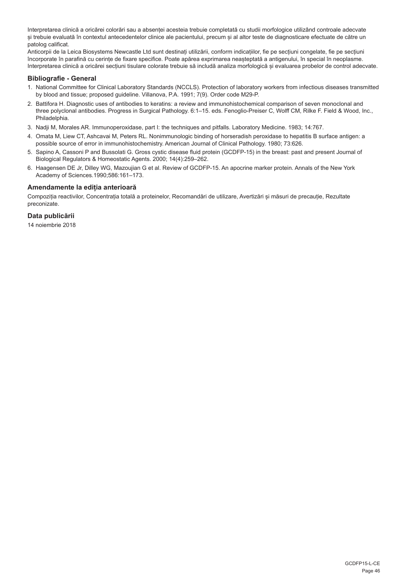Interpretarea clinică a oricărei colorări sau a absenței acesteia trebuie completată cu studii morfologice utilizând controale adecvate și trebuie evaluată în contextul antecedentelor clinice ale pacientului, precum și al altor teste de diagnosticare efectuate de către un patolog calificat.

Anticorpii de la Leica Biosystems Newcastle Ltd sunt destinați utilizării, conform indicațiilor, fie pe secțiuni congelate, fie pe secțiuni încorporate în parafină cu cerințe de fixare specifice. Poate apărea exprimarea neașteptată a antigenului, în special în neoplasme. Interpretarea clinică a oricărei secțiuni tisulare colorate trebuie să includă analiza morfologică și evaluarea probelor de control adecvate.

## **Bibliografie - General**

- 1. National Committee for Clinical Laboratory Standards (NCCLS). Protection of laboratory workers from infectious diseases transmitted by blood and tissue; proposed guideline. Villanova, P.A. 1991; 7(9). Order code M29-P.
- 2. Battifora H. Diagnostic uses of antibodies to keratins: a review and immunohistochemical comparison of seven monoclonal and three polyclonal antibodies. Progress in Surgical Pathology. 6:1–15. eds. Fenoglio-Preiser C, Wolff CM, Rilke F. Field & Wood, Inc., Philadelphia.
- 3. Nadji M, Morales AR. Immunoperoxidase, part I: the techniques and pitfalls. Laboratory Medicine. 1983; 14:767.
- 4. Omata M, Liew CT, Ashcavai M, Peters RL. Nonimmunologic binding of horseradish peroxidase to hepatitis B surface antigen: a possible source of error in immunohistochemistry. American Journal of Clinical Pathology. 1980; 73:626.
- 5. Sapino A, Cassoni P and Bussolati G. Gross cystic disease fluid protein (GCDFP-15) in the breast: past and present Journal of Biological Regulators & Homeostatic Agents. 2000; 14(4):259–262.
- 6. Haagensen DE Jr, Dilley WG, Mazoujian G et al. Review of GCDFP-15. An apocrine marker protein. Annals of the New York Academy of Sciences.1990;586:161–173.

## **Amendamente la ediția anterioară**

Compoziția reactivilor, Concentrația totală a proteinelor, Recomandări de utilizare, Avertizări și măsuri de precauție, Rezultate preconizate.

## **Data publicării**

14 noiembrie 2018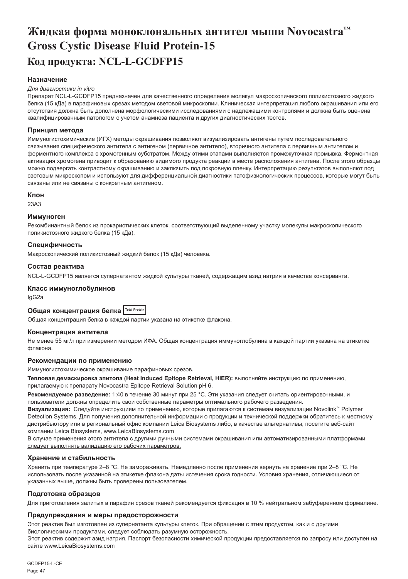## <span id="page-47-0"></span>**Жидкая форма моноклональных антител мыши Novocastra™ Gross Cystic Disease Fluid Protein-15 Код продукта: NCL-L-GCDFP15**

## **Назначение**

#### *Для диагностики in vitro*

Препарат NCL-L-GCDFP15 предназначен для качественного определения молекул макроскопического поликистозного жидкого белка (15 кДа) в парафиновых срезах методом световой микроскопии. Клиническая интерпретация любого окрашивания или его отсутствия должна быть дополнена морфологическими исследованиями с надлежащими контролями и должна быть оценена квалифицированным патологом с учетом анамнеза пациента и других диагностических тестов.

#### **Принцип метода**

Иммуногистохимические (ИГХ) методы окрашивания позволяют визуализировать антигены путем последовательного связывания специфического антитела с антигеном (первичное антитело), вторичного антитела с первичным антителом и ферментного комплекса с хромогенным субстратом. Между этими этапами выполняется промежуточная промывка. Ферментная активация хромогена приводит к образованию видимого продукта реакции в месте расположения антигена. После этого образцы можно подвергать контрастному окрашиванию и заключить под покровную пленку. Интерпретацию результатов выполняют под световым микроскопом и используют для дифференциальной диагностики патофизиологических процессов, которые могут быть связаны или не связаны с конкретным антигеном.

#### **Клон**

23A3

#### **Иммуноген**

Рекомбинантный белок из прокариотических клеток, соответствующий выделенному участку молекулы макроскопического поликистозного жидкого белка (15 кДа).

#### **Специфичность**

Макроскопический поликистозный жидкий белок (15 кДа) человека.

#### **Состав реактива**

NCL-L-GCDFP15 является супернатантом жидкой культуры тканей, содержащим азид натрия в качестве консерванта.

#### **Класс иммуноглобулинов**

IgG2a

## **Общая концентрация белка Total Protein**

Общая концентрация белка в каждой партии указана на этикетке флакона.

#### **Концентрация антитела**

Не менее 55 мг/л при измерении методом ИФА. Общая концентрация иммуноглобулина в каждой партии указана на этикетке флакона.

## **Рекомендации по применению**

Иммуногистохимическое окрашивание парафиновых срезов.

**Тепловая демаскировка эпитопа (Heat Induced Epitope Retrieval, HIER):** выполняйте инструкцию по применению, прилагаемую к препарату Novocastra Epitope Retrieval Solution pH 6.

**Рекомендуемое разведение:** 1:40 в течение 30 минут при 25 °C. Эти указания следует считать ориентировочными, и пользователи должны определить свои собственные параметры оптимального рабочего разведения.

**Визуализация:** Следуйте инструкциям по применению, которые прилагаются к системам визуализации Novolink™ Polymer Detection Systems. Для получения дополнительной информации о продукции и технической поддержки обратитесь к местному дистрибьютору или в региональный офис компании Leica Biosystems либо, в качестве альтернативы, посетите веб-сайт компании Leica Biosystems, www.LeicaBiosystems.com

В случае применения этого антитела с другими ручными системами окрашивания или автоматизированными платформами следует выполнять валидацию его рабочих параметров.

#### **Хранение и стабильность**

Хранить при температуре 2–8 °C. Не замораживать. Немедленно после применения вернуть на хранение при 2–8 °C. Не использовать после указанной на этикетке флакона даты истечения срока годности. Условия хранения, отличающиеся от указанных выше, должны быть проверены пользователем.

#### **Подготовка образцов**

Для приготовления залитых в парафин срезов тканей рекомендуется фиксация в 10 % нейтральном забуференном формалине.

#### **Предупреждения и меры предосторожности**

Этот реактив был изготовлен из супернатанта культуры клеток. При обращении с этим продуктом, как и с другими биологическими продуктами, следует соблюдать разумную осторожность. Этот реактив содержит азид натрия. Паспорт безопасности химической продукции предоставляется по запросу или доступен на

сайте www.LeicaBiosystems.com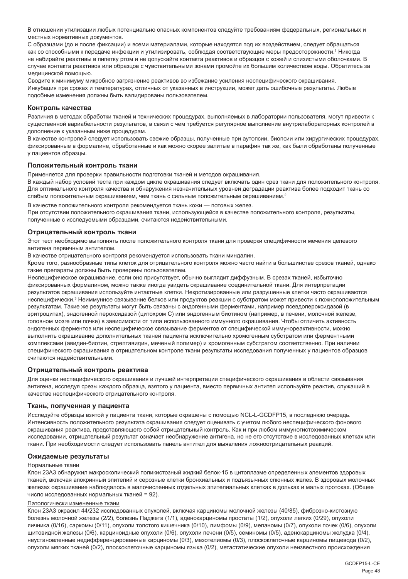В отношении утилизации любых потенциально опасных компонентов следуйте требованиям федеральных, региональных и местных нормативных документов.

С образцами (до и после фиксации) и всеми материалами, которые находятся под их воздействием, следует обращаться как со способными к передаче инфекции и утилизировать, соблюдая соответствующие меры предосторожности.1 Никогда не набирайте реактивы в пипетку ртом и не допускайте контакта реактивов и образцов с кожей и слизистыми оболочками. В случае контакта реактивов или образцов с чувствительными зонами промойте их большим количеством воды. Обратитесь за медицинской помощью.

Сводите к минимуму микробное загрязнение реактивов во избежание усиления неспецифического окрашивания. Инкубация при сроках и температурах, отличных от указанных в инструкции, может дать ошибочные результаты. Любые подобные изменения должны быть валидированы пользователем.

#### **Контроль качества**

Различия в методах обработки тканей и технических процедурах, выполняемых в лаборатории пользователя, могут привести к существенной вариабельности результатов, в связи с чем требуется регулярное выполнение внутрилабораторных контролей в дополнение к указанным ниже процедурам.

В качестве контролей следует использовать свежие образцы, полученные при аутопсии, биопсии или хирургических процедурах, фиксированные в формалине, обработанные и как можно скорее залитые в парафин так же, как были обработаны полученные у пациентов образцы.

#### **Положительный контроль ткани**

Применяется для проверки правильности подготовки тканей и методов окрашивания.

В каждый набор условий теста при каждом цикле окрашивания следует включать один срез ткани для положительного контроля. Для оптимального контроля качества и обнаружения незначительных уровней деградации реактива более подходит ткань со слабым положительным окрашиванием, чем ткань с сильным положительным окрашиванием.<sup>2</sup>

В качестве положительного контроля рекомендуется ткань кожи — потовых желез.

При отсутствии положительного окрашивания ткани, использующейся в качестве положительного контроля, результаты, полученные с исследуемыми образцами, считаются недействительными.

#### **Отрицательный контроль ткани**

Этот тест необходимо выполнять после положительного контроля ткани для проверки специфичности мечения целевого антигена первичным антителом.

В качестве отрицательного контроля рекомендуется использовать ткани миндалин.

Кроме того, разнообразные типы клеток для отрицательного контроля можно часто найти в большинстве срезов тканей, однако такие препараты должны быть проверены пользователем.

Неспецифическое окрашивание, если оно присутствует, обычно выглядит диффузным. В срезах тканей, избыточно фиксированных формалином, можно также иногда увидеть окрашивание соединительной ткани. Для интерпретации результатов окрашивания используйте интактные клетки. Некротизированные или разрушенные клетки часто окрашиваются неспецифически.<sup>з</sup> Неиммунное связывание белков или продуктов реакции с субстратом может привести к ложноположительным результатам. Такие же результаты могут быть связаны с эндогенными ферментами, например псевдопероксидазой (в эритроцитах), эндогенной пероксидазой (цитохром C) или эндогенным биотином (например, в печени, молочной железе, головном мозге или почке) в зависимости от типа использованного иммунного окрашивания. Чтобы отличить активность эндогенных ферментов или неспецифическое связывание ферментов от специфической иммунореактивности, можно выполнить окрашивание дополнительных тканей пациента исключительно хромогенным субстратом или ферментными комплексами (авидин-биотин, стрептавидин, меченый полимер) и хромогенным субстратом соответственно. При наличии специфического окрашивания в отрицательном контроле ткани результаты исследования полученных у пациентов образцов считаются недействительными.

#### **Отрицательный контроль реактива**

Для оценки неспецифического окрашивания и лучшей интерпретации специфического окрашивания в области связывания антигена, исследуя срезы каждого образца, взятого у пациента, вместо первичных антител используйте реактив, служащий в качестве неспецифического отрицательного контроля.

## **Ткань, полученная у пациента**

Исследуйте образцы взятой у пациента ткани, которые окрашены с помощью NCL-L-GCDFP15, в последнюю очередь. Интенсивность положительного результата окрашивания следует оценивать с учетом любого неспецифического фонового окрашивания реактива, представляющего собой отрицательный контроль. Как и при любом иммуногистохимическом исследовании, отрицательный результат означает необнаружение антигена, но не его отсутствие в исследованных клетках или ткани. При необходимости следует использовать панель антител для выявления ложноотрицательных реакций.

#### **Ожидаемые результаты**

#### Нормальные ткани

Клон 23A3 обнаружил макроскопический поликистозный жидкий белок-15 в цитоплазме определенных элементов здоровых тканей, включая апокринный эпителий и серозные клетки бронхиальных и подъязычных слюнных желез. В здоровых молочных железах окрашивание наблюдалось в малочисленных отдельных эпителиальных клетках в дольках и малых протоках. (Общее число исследованных нормальных тканей = 92).

#### Патологически измененные ткани

Клон 23A3 окрасил 44/232 исследованных опухолей, включая карциномы молочной железы (40/85), фиброзно-кистозную болезнь молочной железы (2/2), болезнь Паджета (1/1), аденокарциномы простаты (1/2), опухоли легких (0/29), опухоли яичника (0/16), саркомы (0/11), опухоли толстого кишечника (0/10), лимфомы (0/9), меланомы (0/7), опухоли почек (0/6), опухоли щитовидной железы (0/6), карциноидные опухоли (0/6), опухоли печени (0/5), семиномы (0/5), аденокарциномы желудка (0/4), неустановленные недифференцированные карциномы (0/3), мезотелиомы (0/3), плоскоклеточные карциномы пищевода (0/2), опухоли мягких тканей (0/2), плоскоклеточные карциномы языка (0/2), метастатические опухоли неизвестного происхождения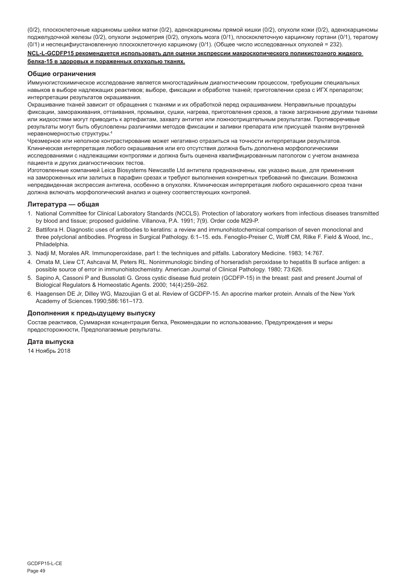(0/2), плоскоклеточные карциномы шейки матки (0/2), аденокарциномы прямой кишки (0/2), опухоли кожи (0/2), аденокарциномы поджелудочной железы (0/2), опухоли эндометрия (0/2), опухоль мозга (0/1), плоскоклеточную карциному гортани (0/1), тератому (0/1) и неспецифиустановленную плоскоклеточную карциному (0/1). (Общее число исследованных опухолей = 232).

#### **NCL-L-GCDFP15 рекомендуется использовать для оценки экспрессии макроскопического поликистозного жидкого белка-15 в здоровых и пораженных опухолью тканях.**

#### **Общие ограничения**

Иммуногистохимическое исследование является многостадийным диагностическим процессом, требующим специальных навыков в выборе надлежащих реактивов; выборе, фиксации и обработке тканей; приготовлении среза с ИГХ препаратом; интерпретации результатов окрашивания.

Окрашивание тканей зависит от обращения с тканями и их обработкой перед окрашиванием. Неправильные процедуры фиксации, замораживания, оттаивания, промывки, сушки, нагрева, приготовления срезов, а также загрязнение другими тканями или жидкостями могут приводить к артефактам, захвату антител или ложноотрицательным результатам. Противоречивые результаты могут быть обусловлены различиями методов фиксации и заливки препарата или присущей тканям внутренней неравномерностью структуры.<sup>4</sup>

Чрезмерное или неполное контрастирование может негативно отразиться на точности интерпретации результатов. Клиническая интерпретация любого окрашивания или его отсутствия должна быть дополнена морфологическими исследованиями с надлежащими контролями и должна быть оценена квалифицированным патологом с учетом анамнеза пациента и других диагностических тестов.

Изготовленные компанией Leica Biosystems Newcastle Ltd антитела предназначены, как указано выше, для применения на замороженных или залитых в парафин срезах и требуют выполнения конкретных требований по фиксации. Возможна непредвиденная экспрессия антигена, особенно в опухолях. Клиническая интерпретация любого окрашенного среза ткани должна включать морфологический анализ и оценку соответствующих контролей.

#### **Литература — общая**

- 1. National Committee for Clinical Laboratory Standards (NCCLS). Protection of laboratory workers from infectious diseases transmitted by blood and tissue; proposed guideline. Villanova, P.A. 1991; 7(9). Order code M29-P.
- 2. Battifora H. Diagnostic uses of antibodies to keratins: a review and immunohistochemical comparison of seven monoclonal and three polyclonal antibodies. Progress in Surgical Pathology. 6:1–15. eds. Fenoglio-Preiser C, Wolff CM, Rilke F. Field & Wood, Inc., Philadelphia.
- 3. Nadji M, Morales AR. Immunoperoxidase, part I: the techniques and pitfalls. Laboratory Medicine. 1983; 14:767.
- 4. Omata M, Liew CT, Ashcavai M, Peters RL. Nonimmunologic binding of horseradish peroxidase to hepatitis B surface antigen: a possible source of error in immunohistochemistry. American Journal of Clinical Pathology. 1980; 73:626.
- 5. Sapino A, Cassoni P and Bussolati G. Gross cystic disease fluid protein (GCDFP-15) in the breast: past and present Journal of Biological Regulators & Homeostatic Agents. 2000; 14(4):259–262.
- 6. Haagensen DE Jr, Dilley WG, Mazoujian G et al. Review of GCDFP-15. An apocrine marker protein. Annals of the New York Academy of Sciences.1990;586:161–173.

#### **Дополнения к предыдущему выпуску**

Состав реактивов, Суммарная концентрация белка, Рекомендации по использованию, Предупреждения и меры предосторожности, Предполагаемые результаты.

#### **Дата выпуска**

14 Ноябрь 2018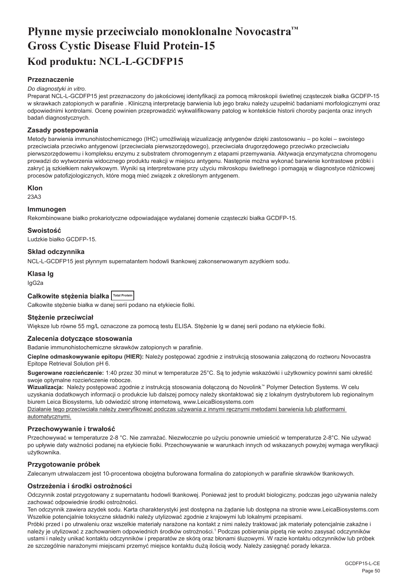## <span id="page-50-0"></span>**Płynne mysie przeciwciało monoklonalne Novocastra™ Gross Cystic Disease Fluid Protein-15 Kod produktu: NCL-L-GCDFP15**

## **Przeznaczenie**

#### *Do diagnostyki in vitro.*

Preparat NCL-L-GCDFP15 jest przeznaczony do jakościowej identyfikacji za pomocą mikroskopii świetlnej cząsteczek białka GCDFP-15 w skrawkach zatopionych w parafinie . Kliniczną interpretację barwienia lub jego braku należy uzupełnić badaniami morfologicznymi oraz odpowiednimi kontrolami. Ocenę powinien przeprowadzić wykwalifikowany patolog w kontekście historii choroby pacjenta oraz innych badań diagnostycznych.

#### **Zasady postepowania**

Metody barwienia immunohistochemicznego (IHC) umożliwiają wizualizację antygenów dzięki zastosowaniu – po kolei – swoistego przeciwciała przeciwko antygenowi (przeciwciała pierwszorzędowego), przeciwciała drugorzędowego przeciwko przeciwciału pierwszorzędowemu i kompleksu enzymu z substratem chromogennym z etapami przemywania. Aktywacja enzymatyczna chromogenu prowadzi do wytworzenia widocznego produktu reakcji w miejscu antygenu. Następnie można wykonać barwienie kontrastowe próbki i zakryć ją szkiełkiem nakrywkowym. Wyniki są interpretowane przy użyciu mikroskopu świetlnego i pomagają w diagnostyce różnicowej procesów patofizjologicznych, które mogą mieć związek z określonym antygenem.

#### **Klon**

23A3

#### **Immunogen**

Rekombinowane białko prokariotyczne odpowiadające wydalanej domenie cząsteczki białka GCDFP-15.

#### **Swoistość**

Ludzkie białko GCDFP-15.

## **Skład odczynnika**

NCL-L-GCDFP15 jest płynnym supernatantem hodowli tkankowej zakonserwowanym azydkiem sodu.

#### **Klasa Ig**

IgG2a

| Całkowite stężenia białka   Total Protein |  |  |
|-------------------------------------------|--|--|
|-------------------------------------------|--|--|

Całkowite stężenie białka w danej serii podano na etykiecie fiolki.

## **Stężenie przeciwciał**

Wieksze lub równe 55 mg/L oznaczone za pomocą testu ELISA. Stężenie lg w danej serii podano na etykiecie fiolki.

## **Zalecenia dotyczące stosowania**

Badanie immunohistochemiczne skrawków zatopionych w parafinie.

**Cieplne odmaskowywanie epitopu (HIER):** Należy postępować zgodnie z instrukcją stosowania załączoną do roztworu Novocastra Epitope Retrieval Solution pH 6.

**Sugerowane rozcieńczenie:** 1:40 przez 30 minut w temperaturze 25°C. Są to jedynie wskazówki i użytkownicy powinni sami określić swoje optymalne rozcieńczenie robocze.

**Wizualizacja:** Należy postępować zgodnie z instrukcją stosowania dołączoną do Novolink™ Polymer Detection Systems. W celu uzyskania dodatkowych informacji o produkcie lub dalszej pomocy należy skontaktować się z lokalnym dystrybutorem lub regionalnym biurem Leica Biosystems, lub odwiedzić stronę internetową, www.LeicaBiosystems.com

Działanie tego przeciwciała należy zweryfikować podczas używania z innymi ręcznymi metodami barwienia lub platformami automatycznymi.

#### **Przechowywanie i trwałość**

Przechowywać w temperaturze 2-8 °C. Nie zamrażać. Niezwłocznie po użyciu ponownie umieścić w temperaturze 2-8°C. Nie używać po upływie daty ważności podanej na etykiecie fiolki. Przechowywanie w warunkach innych od wskazanych powyżej wymaga weryfikacji użytkownika.

## **Przygotowanie próbek**

Zalecanym utrwalaczem jest 10-procentowa obojętna buforowana formalina do zatopionych w parafinie skrawków tkankowych.

## **Ostrzeżenia i środki ostrożności**

Odczynnik został przygotowany z supernatantu hodowli tkankowej. Ponieważ jest to produkt biologiczny, podczas jego używania należy zachować odpowiednie środki ostrożności.

Ten odczynnik zawiera azydek sodu. Karta charakterystyki jest dostępna na żądanie lub dostępna na stronie www.LeicaBiosystems.com Wszelkie potencjalnie toksyczne składniki należy utylizować zgodnie z krajowymi lub lokalnymi przepisami.

Próbki przed i po utrwaleniu oraz wszelkie materiały narażone na kontakt z nimi należy traktować jak materiały potencjalnie zakaźne i należy je utylizować z zachowaniem odpowiednich środków ostrożności.1 Podczas pobierania pipetą nie wolno zasysać odczynników ustami i należy unikać kontaktu odczynników i preparatów ze skórą oraz błonami śluzowymi. W razie kontaktu odczynników lub próbek ze szczególnie narażonymi miejscami przemyć miejsce kontaktu dużą ilością wody. Należy zasięgnąć porady lekarza.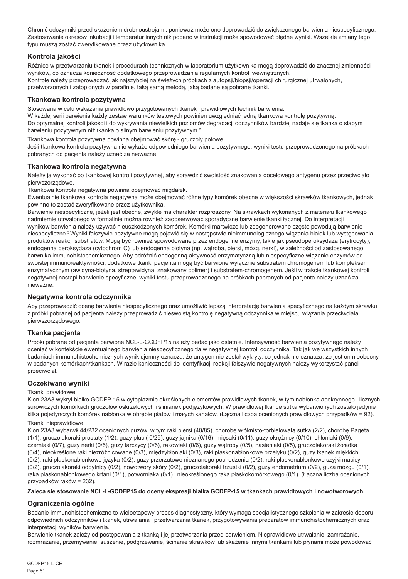Chronić odczynniki przed skażeniem drobnoustrojami, ponieważ może ono doprowadzić do zwiększonego barwienia niespecyficznego. Zastosowanie okresów inkubacji i temperatur innych niż podano w instrukcji może spowodować błędne wyniki. Wszelkie zmiany tego typu muszą zostać zweryfikowane przez użytkownika.

## **Kontrola jakości**

Różnice w przetwarzaniu tkanek i procedurach technicznych w laboratorium użytkownika mogą doprowadzić do znacznej zmienności wyników, co oznacza konieczność dodatkowego przeprowadzania regularnych kontroli wewnętrznych. Kontrole należy przeprowadzać jak najszybciej na świeżych próbkach z autopsji/biopsji/operacji chirurgicznej utrwalonych, przetworzonych i zatopionych w parafinie, taką samą metodą, jaką badane są pobrane tkanki.

## **Tkankowa kontrola pozytywna**

Stosowana w celu wskazania prawidłowo przygotowanych tkanek i prawidłowych technik barwienia.

W każdej serii barwienia każdy zestaw warunków testowych powinien uwzględniać jedną tkankową kontrolę pozytywną. Do optymalnej kontroli jakości i do wykrywania niewielkich poziomów degradacji odczynników bardziej nadaje się tkanka o słabym barwieniu pozytywnym niż tkanka o silnym barwieniu pozytywnym.<sup>2</sup>

Tkankowa kontrola pozytywna powinna obejmować skórę - gruczoły potowe.

Jeśli tkankowa kontrola pozytywna nie wykaże odpowiedniego barwienia pozytywnego, wyniki testu przeprowadzonego na próbkach pobranych od pacjenta należy uznać za nieważne.

## **Tkankowa kontrola negatywna**

Należy ja wykonać po tkankowej kontroli pozytywnej, aby sprawdzić swoistość znakowania docelowego antygenu przez przeciwciało pierwszorzędowe.

Tkankowa kontrola negatywna powinna obejmować migdałek.

Ewentualnie tkankowa kontrola negatywna może obejmować różne typy komórek obecne w większości skrawków tkankowych, jednak powinno to zostać zweryfikowane przez użytkownika.

Barwienie niespecyficzne, jeżeli jest obecne, zwykle ma charakter rozproszony. Na skrawkach wykonanych z materiału tkankowego nadmiernie utrwalonego w formalinie można również zaobserwować sporadyczne barwienie tkanki łącznej. Do interpretacji wyników barwienia należy używać nieuszkodzonych komórek. Komórki martwicze lub zdegenerowane często powodują barwienie niespecyficzne.<sup>3</sup>Wyniki fałszywie pozytywne mogą pojawić się w następstwie nieimmunologicznego wiązania białek lub występowania produktów reakcji substratów. Mogą być również spowodowane przez endogenne enzymy, takie jak pseudoperoksydaza (erytrocyty), endogenna peroksydaza (cytochrom C) lub endogenna biotyna (np. wątroba, piersi, mózg, nerki), w zależności od zastosowanego barwnika immunohistochemicznego. Aby odróżnić endogenną aktywność enzymatyczną lub niespecyficzne wiązanie enzymów od swoistej immunoreaktywności, dodatkowe tkanki pacjenta mogą być barwione wyłącznie substratem chromogenem lub kompleksem enzymatycznym (awidyna-biotyna, streptawidyna, znakowany polimer) i substratem-chromogenem. Jeśli w trakcie tkankowej kontroli negatywnej nastąpi barwienie specyficzne, wyniki testu przeprowadzonego na próbkach pobranych od pacjenta należy uznać za nieważne.

## **Negatywna kontrola odczynnika**

Aby przeprowadzić ocenę barwienia niespecyficznego oraz umożliwić lepszą interpretację barwienia specyficznego na każdym skrawku z próbki pobranej od pacjenta należy przeprowadzić nieswoistą kontrolę negatywną odczynnika w miejscu wiązania przeciwciała pierwszorzędowego.

## **Tkanka pacjenta**

Próbki pobrane od pacjenta barwione NCL-L-GCDFP15 należy badać jako ostatnie. Intensywność barwienia pozytywnego należy oceniać w kontekście ewentualnego barwienia niespecyficznego tła w negatywnej kontroli odczynnika. Tak jak we wszystkich innych badaniach immunohistochemicznych wynik ujemny oznacza, że antygen nie został wykryty, co jednak nie oznacza, że jest on nieobecny w badanych komórkach/tkankach. W razie konieczności do identyfikacji reakcji fałszywie negatywnych należy wykorzystać panel przeciwciał.

## **Oczekiwane wyniki**

#### Tkanki prawidłowe

Klon 23A3 wykrył białko GCDFP-15 w cytoplazmie określonych elementów prawidłowych tkanek, w tym nabłonka apokrynnego i licznych surowiczych komórkach gruczołów oskrzelowych i ślinianek podjęzykowych. W prawidłowej tkance sutka wybarwionych zostało jedynie kilka pojedynczych komórek nabłonka w obrębie płatów i małych kanałów. (Łączna liczba ocenionych prawidłowych przypadków = 92).

## Tkanki nieprawidłowe

Klon 23A3 wybarwił 44/232 ocenionych guzów, w tym raki piersi (40/85), chorobę włóknisto-torbielowatą sutka (2/2), chorobę Pageta (1/1), gruczolakoraki prostaty (1/2), guzy płuc ( 0/29), guzy jajnika (0/16), mięsaki (0/11), guzy okrężnicy (0/10), chłoniaki (0/9), czerniaki (0/7), guzy nerki (0/6), guzy tarczycy (0/6), rakowiaki (0/6), guzy wątroby (0/5), nasieniaki (0/5), gruczolakoraki żołądka (0/4), nieokreślone raki niezróżnicowane (0/3), międzybłoniaki (0/3), raki płaskonabłonkowe przełyku (0/2), guzy tkanek miękkich (0/2), raki płaskonabłonkowe języka (0/2), guzy przerzutowe nieznanego pochodzenia (0/2), raki płaskonabłonkowe szyjki macicy (0/2), gruczolakoraki odbytnicy (0/2), nowotwory skóry (0/2), gruczolakoraki trzustki (0/2), guzy endometrium (0/2), guza mózgu (0/1), raka płaskonabłonkowego krtani (0/1), potworniaka (0/1) i nieokreślonego raka płaskokomórkowego (0/1). (Łączna liczba ocenionych przypadków raków = 232).

## **Zaleca się stosowanie NCL-L-GCDFP15 do oceny ekspresji białka GCDFP-15 w tkankach prawidłowych i nowotworowych.**

## **Ograniczenia ogólne**

Badanie immunohistochemiczne to wieloetapowy proces diagnostyczny, który wymaga specjalistycznego szkolenia w zakresie doboru odpowiednich odczynników i tkanek, utrwalania i przetwarzania tkanek, przygotowywania preparatów immunohistochemicznych oraz interpretacji wyników barwienia.

Barwienie tkanek zależy od postępowania z tkanką i jej przetwarzania przed barwieniem. Nieprawidłowe utrwalanie, zamrażanie, rozmrażanie, przemywanie, suszenie, podgrzewanie, ścinanie skrawków lub skażenie innymi tkankami lub płynami może powodować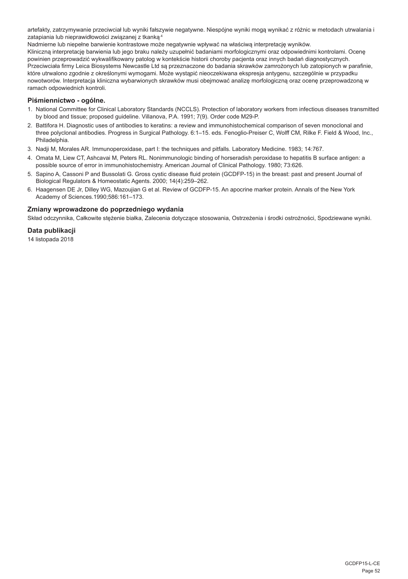artefakty, zatrzymywanie przeciwciał lub wyniki fałszywie negatywne. Niespójne wyniki mogą wynikać z różnic w metodach utrwalania i zatapiania lub nieprawidłowości związanej z tkanką<sup>4</sup>

Nadmierne lub niepełne barwienie kontrastowe może negatywnie wpływać na właściwą interpretację wyników. Kliniczną interpretację barwienia lub jego braku należy uzupełnić badaniami morfologicznymi oraz odpowiednimi kontrolami. Ocenę powinien przeprowadzić wykwalifikowany patolog w kontekście historii choroby pacjenta oraz innych badań diagnostycznych. Przeciwciała firmy Leica Biosystems Newcastle Ltd są przeznaczone do badania skrawków zamrożonych lub zatopionych w parafinie, które utrwalono zgodnie z określonymi wymogami. Może wystąpić nieoczekiwana ekspresja antygenu, szczególnie w przypadku nowotworów. Interpretacja kliniczna wybarwionych skrawków musi obejmować analizę morfologiczną oraz ocenę przeprowadzoną w ramach odpowiednich kontroli.

## **Piśmiennictwo - ogólne.**

- 1. National Committee for Clinical Laboratory Standards (NCCLS). Protection of laboratory workers from infectious diseases transmitted by blood and tissue; proposed guideline. Villanova, P.A. 1991; 7(9). Order code M29-P.
- 2. Battifora H. Diagnostic uses of antibodies to keratins: a review and immunohistochemical comparison of seven monoclonal and three polyclonal antibodies. Progress in Surgical Pathology. 6:1–15. eds. Fenoglio-Preiser C, Wolff CM, Rilke F. Field & Wood, Inc., Philadelphia.
- 3. Nadji M, Morales AR. Immunoperoxidase, part I: the techniques and pitfalls. Laboratory Medicine. 1983; 14:767.
- 4. Omata M, Liew CT, Ashcavai M, Peters RL. Nonimmunologic binding of horseradish peroxidase to hepatitis B surface antigen: a possible source of error in immunohistochemistry. American Journal of Clinical Pathology. 1980; 73:626.
- 5. Sapino A, Cassoni P and Bussolati G. Gross cystic disease fluid protein (GCDFP-15) in the breast: past and present Journal of Biological Regulators & Homeostatic Agents. 2000; 14(4):259–262.
- 6. Haagensen DE Jr, Dilley WG, Mazoujian G et al. Review of GCDFP-15. An apocrine marker protein. Annals of the New York Academy of Sciences.1990;586:161–173.

#### **Zmiany wprowadzone do poprzedniego wydania**

Skład odczynnika, Całkowite stężenie białka, Zalecenia dotyczące stosowania, Ostrzeżenia i środki ostrożności, Spodziewane wyniki.

### **Data publikacji**

14 listopada 2018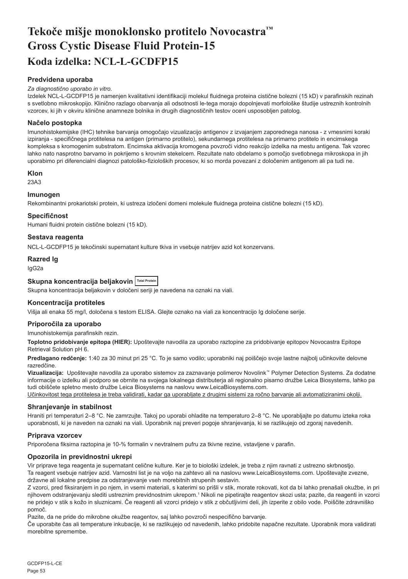## <span id="page-53-0"></span>**Tekoče mišje monoklonsko protitelo Novocastra™ Gross Cystic Disease Fluid Protein-15 Koda izdelka: NCL-L-GCDFP15**

## **Predvidena uporaba**

#### *Za diagnostično uporabo in vitro.*

Izdelek NCL-L-GCDFP15 je namenjen kvalitativni identifikaciji molekul fluidnega proteina cistične bolezni (15 kD) v parafinskih rezinah s svetlobno mikroskopijo. Klinično razlago obarvanja ali odsotnosti le-tega morajo dopolnjevati morfološke študije ustreznih kontrolnih vzorcev, ki jih v okviru klinične anamneze bolnika in drugih diagnostičnih testov oceni usposobljen patolog.

## **Načelo postopka**

Imunohistokemijske (IHC) tehnike barvanja omogočajo vizualizacijo antigenov z izvajanjem zaporednega nanosa - z vmesnimi koraki izpiranja - specifičnega protitelesa na antigen (primarno protitelo), sekundarnega protitelesa na primarno protitelo in encimskega kompleksa s kromogenim substratom. Encimska aktivacija kromogena povzroči vidno reakcijo izdelka na mestu antigena. Tak vzorec lahko nato nasprotno barvamo in pokrijemo s krovnim stekelcem. Rezultate nato obdelamo s pomočjo svetlobnega mikroskopa in jih uporabimo pri diferencialni diagnozi patološko-fizioloških procesov, ki so morda povezani z določenim antigenom ali pa tudi ne.

#### **Klon**

23A3

## **Imunogen**

Rekombinantni prokariotski protein, ki ustreza izločeni domeni molekule fluidnega proteina cistične bolezni (15 kD).

#### **Specifičnost**

Humani fluidni protein cistične bolezni (15 kD).

## **Sestava reagenta**

NCL-L-GCDFP15 je tekočinski supernatant kulture tkiva in vsebuje natrijev azid kot konzervans.

#### **Razred Ig**

IgG2a

## **Skupna koncentracija beljakovin Total Protein**

Skupna koncentracija beljakovin v določeni seriji je navedena na oznaki na viali.

#### **Koncentracija protiteles**

Višja ali enaka 55 mg/l, določena s testom ELISA. Glejte oznako na viali za koncentracijo Ig določene serije.

## **Priporočila za uporabo**

Imunohistokemija parafinskih rezin.

**Toplotno pridobivanje epitopa (HIER):** Upoštevajte navodila za uporabo raztopine za pridobivanje epitopov Novocastra Epitope Retrieval Solution pH 6.

**Predlagano redčenje:** 1:40 za 30 minut pri 25 °C. To je samo vodilo; uporabniki naj poiščejo svoje lastne najbolj učinkovite delovne razredčine.

**Vizualizacija:** Upoštevajte navodila za uporabo sistemov za zaznavanje polimerov Novolink™ Polymer Detection Systems. Za dodatne informacije o izdelku ali podporo se obrnite na svojega lokalnega distributerja ali regionalno pisarno družbe Leica Biosystems, lahko pa tudi obiščete spletno mesto družbe Leica Biosystems na naslovu www.LeicaBiosystems.com.

Učinkovitost tega protitelesa je treba validirati, kadar ga uporabljate z drugimi sistemi za ročno barvanje ali avtomatiziranimi okolji.

## **Shranjevanje in stabilnost**

Hraniti pri temperaturi 2–8 °C. Ne zamrzujte. Takoj po uporabi ohladite na temperaturo 2–8 °C. Ne uporabljajte po datumu izteka roka uporabnosti, ki je naveden na oznaki na viali. Uporabnik naj preveri pogoje shranjevanja, ki se razlikujejo od zgoraj navedenih.

## **Priprava vzorcev**

Priporočena fiksirna raztopina je 10-% formalin v nevtralnem pufru za tkivne rezine, vstavljene v parafin.

#### **Opozorila in previdnostni ukrepi**

Vir priprave tega reagenta je supernatant celične kulture. Ker je to biološki izdelek, je treba z njim ravnati z ustrezno skrbnostjo. Ta reagent vsebuje natrijev azid. Varnostni list je na voljo na zahtevo ali na naslovu www.LeicaBiosystems.com. Upoštevajte zvezne, državne ali lokalne predpise za odstranjevanje vseh morebitnih strupenih sestavin.

Z vzorci, pred fiksiranjem in po njem, in vsemi materiali, s katerimi so prišli v stik, morate rokovati, kot da bi lahko prenašali okužbe, in pri njihovem odstranjevanju slediti ustreznim previdnostnim ukrepom.1 Nikoli ne pipetirajte reagentov skozi usta; pazite, da reagenti in vzorci ne pridejo v stik s kožo in sluznicami. Če reagenti ali vzorci pridejo v stik z občutljivimi deli, jih izperite z obilo vode. Poiščite zdravniško pomoč.

Pazite, da ne pride do mikrobne okužbe reagentov, saj lahko povzroči nespecifično barvanje.

Če uporabite čas ali temperature inkubacije, ki se razlikujejo od navedenih, lahko pridobite napačne rezultate. Uporabnik mora validirati morebitne spremembe.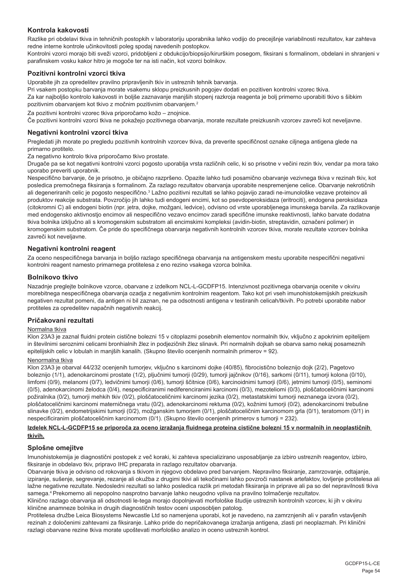## **Kontrola kakovosti**

Razlike pri obdelavi tkiva in tehničnih postopkih v laboratoriju uporabnika lahko vodijo do precejšnje variabilnosti rezultatov, kar zahteva redne interne kontrole učinkovitosti poleg spodaj navedenih postopkov.

Kontrolni vzorci morajo biti sveži vzorci, pridobljeni z obdukcijo/biopsijo/kirurškim posegom, fiksirani s formalinom, obdelani in shranjeni v parafinskem vosku kakor hitro je mogoče ter na isti način, kot vzorci bolnikov.

## **Pozitivni kontrolni vzorci tkiva**

Uporabite jih za opredelitev pravilno pripravljenih tkiv in ustreznih tehnik barvanja.

Pri vsakem postopku barvanja morate vsakemu sklopu preizkusnih pogojev dodati en pozitiven kontrolni vzorec tkiva. Za kar najboljšo kontrolo kakovosti in boljše zaznavanje manjših stopenj razkroja reagenta je bolj primerno uporabiti tkivo s šibkim pozitivnim obarvanjem kot tkivo z močnim pozitivnim obarvanjem.<sup>2</sup>

Za pozitivni kontrolni vzorec tkiva priporočamo kožo – znojnice.

Če pozitivni kontrolni vzorci tkiva ne pokažejo pozitivnega obarvanja, morate rezultate preizkusnih vzorcev zavreči kot neveljavne.

#### **Negativni kontrolni vzorci tkiva**

Pregledati jih morate po pregledu pozitivnih kontrolnih vzorcev tkiva, da preverite specifičnost oznake ciljnega antigena glede na primarno protitelo.

Za negativno kontrolo tkiva priporočamo tkivo prostate.

Drugače pa se kot negativni kontrolni vzorci pogosto uporablja vrsta različnih celic, ki so prisotne v večini rezin tkiv, vendar pa mora tako uporabo preveriti uporabnik.

Nespecifično barvanje, če je prisotno, je običajno razpršeno. Opazite lahko tudi posamično obarvanje vezivnega tkiva v rezinah tkiv, kot posledica premočnega fiksiranja s formalinom. Za razlago rezultatov obarvanja uporabite nespremenjene celice. Obarvanje nekrotičnih ali degeneriranih celic je pogosto nespecifično.<sup>3</sup> Lažno pozitivni rezultati se lahko pojavijo zaradi ne-imunološke vezave proteinov ali produktov reakcije substrata. Povzročijo jih lahko tudi endogeni encimi, kot so psevdoperoksidaza (eritrociti), endogena peroksidaza (citokromni C) ali endogeni biotin (npr. jetra, dojke, možgani, ledvice), odvisno od vrste uporabljenega imunskega barvila. Za razlikovanje med endogensko aktivnostjo encimov ali nespecifično vezavo encimov zaradi specifične imunske reaktivnosti, lahko barvate dodatna tkiva bolnika izključno ali s kromogenskim substratom ali encimskimi kompleksi (avidin-biotin, streptavidin, označeni polimer) in kromogenskim substratom. Če pride do specifičnega obarvanja negativnih kontrolnih vzorcev tkiva, morate rezultate vzorcev bolnika zavreči kot neveljavne.

## **Negativni kontrolni reagent**

Za oceno nespecifičnega barvanja in boljšo razlago specifičnega obarvanja na antigenskem mestu uporabite nespecifični negativni kontrolni reagent namesto primarnega protitelesa z eno rezino vsakega vzorca bolnika.

#### **Bolnikovo tkivo**

Nazadnje preglejte bolnikove vzorce, obarvane z izdelkom NCL-L-GCDFP15. Intenzivnost pozitivnega obarvanja ocenite v okviru morebitnega nespecifičnega obarvanja ozadja z negativnim kontrolnim reagentom. Tako kot pri vseh imunohistokemijskih preizkusih negativen rezultat pomeni, da antigen ni bil zaznan, ne pa odsotnosti antigena v testiranih celicah/tkivih. Po potrebi uporabite nabor protiteles za opredelitev napačnih negativnih reakcij.

#### **Pričakovani rezultati**

#### Normalna tkiva

Klon 23A3 je zaznal fluidni protein cistične bolezni 15 v citoplazmi posebnih elementov normalnih tkiv, vključno z apokrinim epitelijem in številnimi seroznimi celicami bronhialnih žlez in podjezičnih žlez slinavk. Pri normalnih dojkah se obarva samo nekaj posameznih epitelijskih celic v lobulah in manjših kanalih. (Skupno število ocenjenih normalnih primerov = 92).

#### Nenormalna tkiva

Klon 23A3 je obarval 44/232 ocenjenih tumorjev, vključno s karcinomi dojke (40/85), fibrocistično boleznijo dojk (2/2), Pagetovo boleznijo (1/1), adenokarcinomi prostate (1/2), pljučnimi tumorji (0/29), tumorji jajčnikov (0/16), sarkomi (0/11), tumorji kolona (0/10), limfomi (0/9), melanomi (0/7), ledvičnimi tumorji (0/6), tumorji ščitnice (0/6), karcinoidnimi tumorji (0/6), jetrnimi tumorji (0/5), seminomi (0/5), adenokarcinomi želodca (0/4), nespecificiranimi nediferenciranimi karcinomi (0/3), mezoteliomi (0/3), ploščatoceličnimi karcinomi požiralnika (0/2), tumorji mehkih tkiv (0/2), ploščatoceličnimi karcinomi jezika (0/2), metastatskimi tumorji neznanega izvora (0/2), ploščatoceličnimi karcinomi materničnega vratu (0/2), adenokarcinomi rektuma (0/2), kožnimi tumorji (0/2), adenokarcinomi trebušne slinavke (0/2), endometrijskimi tumorji (0/2), možganskim tumorjem (0/1), ploščatoceličnim karcinomom grla (0/1), teratomom (0/1) in nespecificiranim ploščatoceličnim karcinomom (0/1). (Skupno število ocenjenih primerov s tumorji = 232).

#### **Izdelek NCL-L-GCDFP15 se priporoča za oceno izražanja fluidnega proteina cistične bolezni 15 v normalnih in neoplastičnih tkivih.**

## **Splošne omejitve**

Imunohistokemija je diagnostični postopek z več koraki, ki zahteva specializirano usposabljanje za izbiro ustreznih reagentov, izbiro, fiksiranje in obdelavo tkiv, pripravo IHC preparata in razlago rezultatov obarvanja.

Obarvanje tkiva je odvisno od rokovanja s tkivom in njegovo obdelavo pred barvanjem. Nepravilno fiksiranje, zamrzovanje, odtajanje, izpiranje, sušenje, segrevanje, rezanje ali okužba z drugimi tkivi ali tekočinami lahko povzroči nastanek artefaktov, lovljenje protitelesa ali lažne negativne rezultate. Nedosledni rezultati so lahko posledica razlik pri metodah fiksiranja in priprave ali pa so del nepravilnosti tkiva samega.<sup>4</sup> Prekomerno ali nepopolno nasprotno barvanje lahko neugodno vpliva na pravilno tolmačenje rezultatov.

Klinično razlago obarvanja ali odsotnosti le-tega morajo dopolnjevati morfološke študije ustreznih kontrolnih vzorcev, ki jih v okviru klinične anamneze bolnika in drugih diagnostičnih testov oceni usposobljen patolog.

Protitelesa družbe Leica Biosystems Newcastle Ltd so namenjena uporabi, kot je navedeno, na zamrznjenih ali v parafin vstavljenih rezinah z določenimi zahtevami za fiksiranje. Lahko pride do nepričakovanega izražanja antigena, zlasti pri neoplazmah. Pri klinični razlagi obarvane rezine tkiva morate upoštevati morfološko analizo in oceno ustreznih kontrol.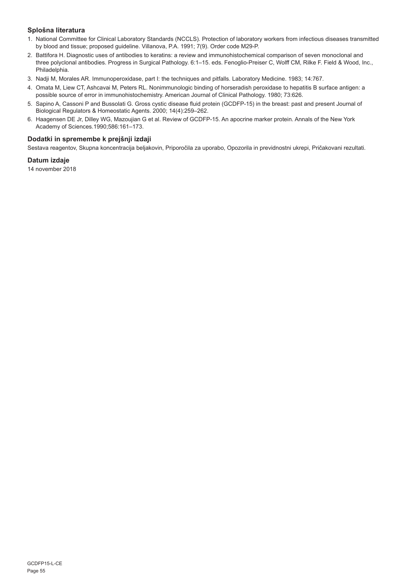## **Splošna literatura**

- 1. National Committee for Clinical Laboratory Standards (NCCLS). Protection of laboratory workers from infectious diseases transmitted by blood and tissue; proposed guideline. Villanova, P.A. 1991; 7(9). Order code M29-P.
- 2. Battifora H. Diagnostic uses of antibodies to keratins: a review and immunohistochemical comparison of seven monoclonal and three polyclonal antibodies. Progress in Surgical Pathology. 6:1–15. eds. Fenoglio-Preiser C, Wolff CM, Rilke F. Field & Wood, Inc., Philadelphia.
- 3. Nadji M, Morales AR. Immunoperoxidase, part I: the techniques and pitfalls. Laboratory Medicine. 1983; 14:767.
- 4. Omata M, Liew CT, Ashcavai M, Peters RL. Nonimmunologic binding of horseradish peroxidase to hepatitis B surface antigen: a possible source of error in immunohistochemistry. American Journal of Clinical Pathology. 1980; 73:626.
- 5. Sapino A, Cassoni P and Bussolati G. Gross cystic disease fluid protein (GCDFP-15) in the breast: past and present Journal of Biological Regulators & Homeostatic Agents. 2000; 14(4):259–262.
- 6. Haagensen DE Jr, Dilley WG, Mazoujian G et al. Review of GCDFP-15. An apocrine marker protein. Annals of the New York Academy of Sciences.1990;586:161–173.

## **Dodatki in spremembe k prejšnji izdaji**

Sestava reagentov, Skupna koncentracija beljakovin, Priporočila za uporabo, Opozorila in previdnostni ukrepi, Pričakovani rezultati.

## **Datum izdaje**

14 november 2018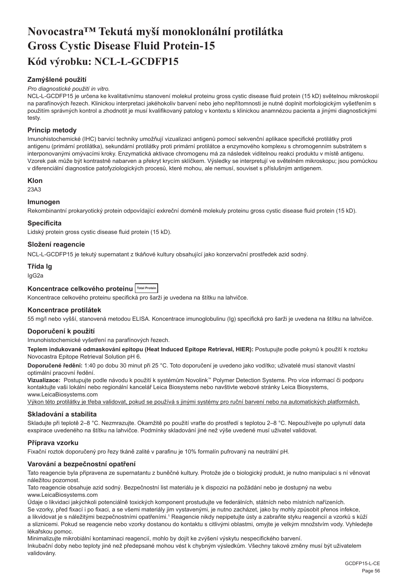## <span id="page-56-0"></span>**Novocastra™ Tekutá myší monoklonální protilátka Gross Cystic Disease Fluid Protein-15 Kód výrobku: NCL-L-GCDFP15**

## **Zamýšlené použití**

#### *Pro diagnostické použití in vitro.*

NCL-L-GCDFP15 je určena ke kvalitativnímu stanovení molekul proteinu gross cystic disease fluid protein (15 kD) světelnou mikroskopií na parafínových řezech. Klinickou interpretaci jakéhokoliv barvení nebo jeho nepřítomnosti je nutné doplnit morfologickým vyšetřením s použitím správných kontrol a zhodnotit je musí kvalifikovaný patolog v kontextu s klinickou anamnézou pacienta a jinými diagnostickými testy.

## **Princip metody**

Imunohistochemické (IHC) barvicí techniky umožňují vizualizaci antigenů pomocí sekvenční aplikace specifické protilátky proti antigenu (primární protilátka), sekundární protilátky proti primární protilátce a enzymového komplexu s chromogenním substrátem s interponovanými omývacími kroky. Enzymatická aktivace chromogenu má za následek viditelnou reakci produktu v místě antigenu. Vzorek pak může být kontrastně nabarven a překryt krycím sklíčkem. Výsledky se interpretují ve světelném mikroskopu; jsou pomůckou v diferenciální diagnostice patofyziologických procesů, které mohou, ale nemusí, souviset s příslušným antigenem.

## **Klon**

23A3

## **Imunogen**

Rekombinantní prokaryotický protein odpovídající exkreční doméně molekuly proteinu gross cystic disease fluid protein (15 kD).

## **Specificita**

Lidský protein gross cystic disease fluid protein (15 kD).

## **Složení reagencie**

NCL-L-GCDFP15 je tekutý supernatant z tkáňové kultury obsahující jako konzervační prostředek azid sodný.

## **Třída Ig**

IgG2a

#### **Koncentrace celkového proteinu Total Protein**

Koncentrace celkového proteinu specifická pro šarži je uvedena na štítku na lahvičce.

## **Koncentrace protilátek**

55 mg/l nebo vyšší, stanovená metodou ELISA. Koncentrace imunoglobulinu (Ig) specifická pro šarži je uvedena na štítku na lahvičce.

## **Doporučení k použití**

Imunohistochemické vyšetření na parafínových řezech.

**Teplem indukované odmaskování epitopu (Heat Induced Epitope Retrieval, HIER):** Postupujte podle pokynů k použití k roztoku Novocastra Epitope Retrieval Solution pH 6.

**Doporučené ředění:** 1:40 po dobu 30 minut při 25 °C. Toto doporučení je uvedeno jako vodítko; uživatelé musí stanovit vlastní optimální pracovní ředění.

**Vizualizace:** Postupujte podle návodu k použití k systémům Novolink™ Polymer Detection Systems. Pro více informací či podporu kontaktujte vaši lokální nebo regionální kancelář Leica Biosystems nebo navštivte webové stránky Leica Biosystems, www.LeicaBiosystems.com

Výkon této protilátky je třeba validovat, pokud se používá s jinými systémy pro ruční barvení nebo na automatických platformách.

## **Skladování a stabilita**

Skladujte při teplotě 2–8 °C. Nezmrazujte. Okamžitě po použití vraťte do prostředí s teplotou 2–8 °C. Nepoužívejte po uplynutí data exspirace uvedeného na štítku na lahvičce. Podmínky skladování jiné než výše uvedené musí uživatel validovat.

## **Příprava vzorku**

Fixační roztok doporučený pro řezy tkáně zalité v parafinu je 10% formalín pufrovaný na neutrální pH.

## **Varování a bezpečnostní opatření**

Tato reagencie byla připravena ze supernatantu z buněčné kultury. Protože jde o biologický produkt, je nutno manipulaci s ní věnovat náležitou pozornost.

Tato reagencie obsahuje azid sodný. Bezpečnostní list materiálu je k dispozici na požádání nebo je dostupný na webu www.LeicaBiosystems.com

Údaje o likvidaci jakýchkoli potenciálně toxických komponent prostudujte ve federálních, státních nebo místních nařízeních.

Se vzorky, před fixací i po fixaci, a se všemi materiály jim vystavenými, je nutno zacházet, jako by mohly způsobit přenos infekce,

a likvidovat je s náležitými bezpečnostními opatřeními.1 Reagencie nikdy nepipetujte ústy a zabraňte styku reagencií a vzorků s kůží a sliznicemi. Pokud se reagencie nebo vzorky dostanou do kontaktu s citlivými oblastmi, omyjte je velkým množstvím vody. Vyhledejte lékařskou pomoc.

Minimalizujte mikrobiální kontaminaci reagencií, mohlo by dojít ke zvýšení výskytu nespecifického barvení.

Inkubační doby nebo teploty jiné než předepsané mohou vést k chybným výsledkům. Všechny takové změny musí být uživatelem validovány.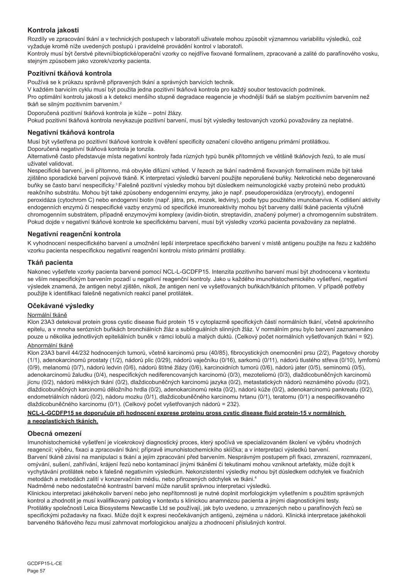## **Kontrola jakosti**

Rozdíly ve zpracování tkání a v technických postupech v laboratoři uživatele mohou způsobit významnou variabilitu výsledků, což vyžaduje kromě níže uvedených postupů i pravidelné provádění kontrol v laboratoři.

Kontroly musí být čerstvé pitevní/bioptické/operační vzorky co nejdříve fixované formalínem, zpracované a zalité do parafínového vosku, stejným způsobem jako vzorek/vzorky pacienta.

## **Pozitivní tkáňová kontrola**

Používá se k průkazu správně připravených tkání a správných barvicích technik.

V každém barvicím cyklu musí být použita jedna pozitivní tkáňová kontrola pro každý soubor testovacích podmínek.

Pro optimální kontrolu jakosti a k detekci menšího stupně degradace reagencie je vhodnější tkáň se slabým pozitivním barvením než tkáň se silným pozitivním barvením.<sup>2</sup>

Doporučená pozitivní tkáňová kontrola je kůže – potní žlázy.

Pokud pozitivní tkáňová kontrola nevykazuje pozitivní barvení, musí být výsledky testovaných vzorků považovány za neplatné.

## **Negativní tkáňová kontrola**

Musí být vyšetřena po pozitivní tkáňové kontrole k ověření specificity označení cílového antigenu primární protilátkou. Doporučená negativní tkáňová kontrola je tonzila.

Alternativně často představuje místa negativní kontroly řada různých typů buněk přítomných ve většině tkáňových řezů, to ale musí uživatel validovat.

Nespecifické barvení, je-li přítomno, má obvykle difúzní vzhled. V řezech ze tkání nadměrně fixovaných formalínem může být také zjištěno sporadické barvení pojivové tkáně. K interpretaci výsledků barvení použijte neporušené buňky. Nekrotické nebo degenerované buňky se často barví nespecificky.<sup>3</sup>Falešně pozitivní výsledky mohou být důsledkem neimunologické vazby proteinů nebo produktů reakčního substrátu. Mohou být také způsobeny endogenními enzymy, jako je např. pseudoperoxidáza (erytrocyty), endogenní peroxidáza (cytochrom C) nebo endogenní biotin (např. játra, prs, mozek, ledviny), podle typu použitého imunobarviva. K odlišení aktivity endogenních enzymů či nespecifické vazby enzymů od specifické imunoreaktivity mohou být barveny další tkáně pacienta výlučně chromogenním substrátem, případně enzymovými komplexy (avidin-biotin, streptavidin, značený polymer) a chromogenním substrátem. Pokud dojde v negativní tkáňové kontrole ke specifickému barvení, musí být výsledky vzorků pacienta považovány za neplatné.

## **Negativní reagenční kontrola**

K vyhodnocení nespecifického barvení a umožnění lepší interpretace specifického barvení v místě antigenu použijte na řezu z každého vzorku pacienta nespecifickou negativní reagenční kontrolu místo primární protilátky.

## **Tkáň pacienta**

Nakonec vyšetřete vzorky pacienta barvené pomocí NCL-L-GCDFP15. Intenzita pozitivního barvení musí být zhodnocena v kontextu se vším nespecifickým barvením pozadí u negativní reagenční kontroly. Jako u každého imunohistochemického vyšetření, negativní výsledek znamená, že antigen nebyl zjištěn, nikoli, že antigen není ve vyšetřovaných buňkách/tkáních přítomen. V případě potřeby použijte k identifikaci falešně negativních reakcí panel protilátek.

## **Očekávané výsledky**

## Normální tkáně

Klon 23A3 detekoval protein gross cystic disease fluid protein 15 v cytoplazmě specifických částí normálních tkání, včetně apokrinního epitelu, a v mnoha serózních buňkách bronchiálních žláz a sublinguálních slinných žláz. V normálním prsu bylo barvení zaznamenáno pouze u několika jednotlivých epiteliálních buněk v rámci lobulů a malých duktů. (Celkový počet normálních vyšetřovaných tkání = 92).

## Abnormální tkáně

Klon 23A3 barvil 44/232 hodnocených tumorů, včetně karcinomů prsu (40/85), fibrocystických onemocnění prsu (2/2), Pagetovy choroby (1/1), adenokarcinomů prostaty (1/2), nádorů plic (0/29), nádorů vaječníku (0/16), sarkomů (0/11), nádorů tlustého střeva (0/10), lymfomů (0/9), melanomů (0/7), nádorů ledvin (0/6), nádorů štítné žlázy (0/6), karcinoidních tumorů (0/6), nádorů jater (0/5), seminomů (0/5), adenokarcinomů žaludku (0/4), nespecifických nediferencovaných karcinomů (0/3), mezoteliomů (0/3), dlaždicobuněčných karcinomů jícnu (0/2), nádorů měkkých tkání (0/2), dlaždicobuněčných karcinomů jazyka (0/2), metastatických nádorů neznámého původu (0/2), dlaždicobuněčných karcinomů děložního hrdla (0/2), adenokarcinomů rekta (0/2), nádorů kůže (0/2), adenokarcinomů pankreatu (0/2), endometriálních nádorů (0/2), nádoru mozku (0/1), dlaždicobuněčného karcinomu hrtanu (0/1), teratomu (0/1) a nespecifikovaného dlaždicobuněčného karcinomu (0/1). (Celkový počet vyšetřovaných nádorů = 232).

## **NCL-L-GCDFP15 se doporučuje při hodnocení exprese proteinu gross cystic disease fluid protein-15 v normálních a neoplastických tkáních.**

## **Obecná omezení**

Imunohistochemické vyšetření je vícekrokový diagnostický proces, který spočívá ve specializovaném školení ve výběru vhodných reagencií; výběru, fixaci a zpracování tkání; přípravě imunohistochemickího sklíčka; a v interpretaci výsledků barvení. Barvení tkáně závisí na manipulaci s tkání a jejím zpracování před barvením. Nesprávným postupem při fixaci, zmrazení, rozmrazení, omývání, sušení, zahřívání, krájení řezů nebo kontaminací jinými tkáněmi či tekutinami mohou vzniknout artefakty, může dojít k vychytávání protilátek nebo k falešně negativním výsledkům. Nekonzistentní výsledky mohou být důsledkem odchylek ve fixačních metodách a metodách zalití v konzervačním médiu, nebo přirozených odchylek ve tkáni.<sup>4</sup>

Nadměrné nebo nedostatečné kontrastní barvení může narušit správnou interpretaci výsledků.

Klinickou interpretaci jakéhokoliv barvení nebo jeho nepřítomnosti je nutné doplnit morfologickým vyšetřením s použitím správných kontrol a zhodnotit je musí kvalifikovaný patolog v kontextu s klinickou anamnézou pacienta a jinými diagnostickými testy. Protilátky společnosti Leica Biosystems Newcastle Ltd se používají, jak bylo uvedeno, u zmrazených nebo u parafínových řezů se specifickými požadavky na fixaci. Může dojít k expresi neočekávaných antigenů, zejména u nádorů. Klinická interpretace jakéhokoli barveného tkáňového řezu musí zahrnovat morfologickou analýzu a zhodnocení příslušných kontrol.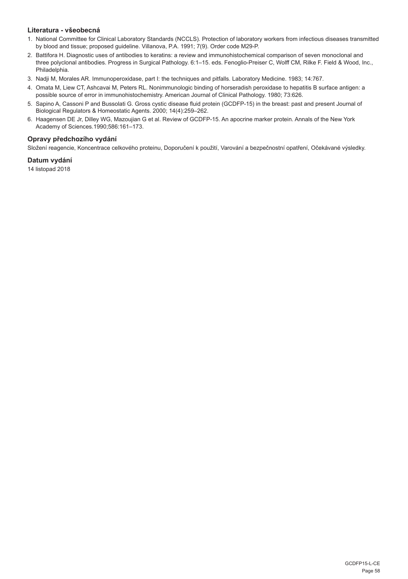## **Literatura - všeobecná**

- 1. National Committee for Clinical Laboratory Standards (NCCLS). Protection of laboratory workers from infectious diseases transmitted by blood and tissue; proposed guideline. Villanova, P.A. 1991; 7(9). Order code M29-P.
- 2. Battifora H. Diagnostic uses of antibodies to keratins: a review and immunohistochemical comparison of seven monoclonal and three polyclonal antibodies. Progress in Surgical Pathology. 6:1–15. eds. Fenoglio-Preiser C, Wolff CM, Rilke F. Field & Wood, Inc., Philadelphia.
- 3. Nadji M, Morales AR. Immunoperoxidase, part I: the techniques and pitfalls. Laboratory Medicine. 1983; 14:767.
- 4. Omata M, Liew CT, Ashcavai M, Peters RL. Nonimmunologic binding of horseradish peroxidase to hepatitis B surface antigen: a possible source of error in immunohistochemistry. American Journal of Clinical Pathology. 1980; 73:626.
- 5. Sapino A, Cassoni P and Bussolati G. Gross cystic disease fluid protein (GCDFP-15) in the breast: past and present Journal of Biological Regulators & Homeostatic Agents. 2000; 14(4):259–262.
- 6. Haagensen DE Jr, Dilley WG, Mazoujian G et al. Review of GCDFP-15. An apocrine marker protein. Annals of the New York Academy of Sciences.1990;586:161–173.

## **Opravy předchozího vydání**

Složení reagencie, Koncentrace celkového proteinu, Doporučení k použití, Varování a bezpečnostní opatření, Očekávané výsledky.

## **Datum vydání**

14 listopad 2018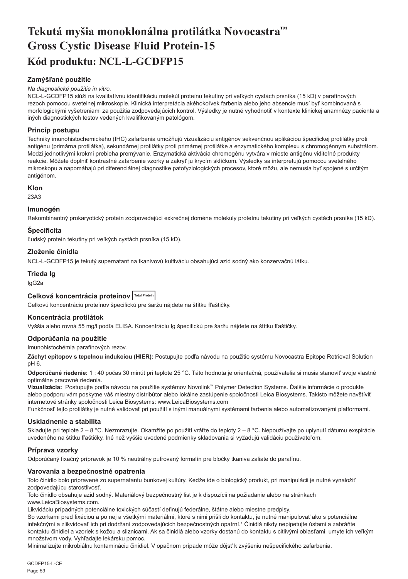## <span id="page-59-0"></span>**Tekutá myšia monoklonálna protilátka Novocastra™ Gross Cystic Disease Fluid Protein-15 Kód produktu: NCL-L-GCDFP15**

## **Zamýšľané použitie**

#### *Na diagnostické použitie in vitro.*

NCL-L-GCDFP15 slúži na kvalitatívnu identifikáciu molekúl proteínu tekutiny pri veľkých cystách prsníka (15 kD) v parafínových rezoch pomocou svetelnej mikroskopie. Klinická interpretácia akéhokoľvek farbenia alebo jeho absencie musí byť kombinovaná s morfologickými vyšetreniami za použitia zodpovedajúcich kontrol. Výsledky je nutné vyhodnotiť v kontexte klinickej anamnézy pacienta a iných diagnostických testov vedených kvalifikovaným patológom.

## **Princíp postupu**

Techniky imunohistochemického (IHC) zafarbenia umožňujú vizualizáciu antigénov sekvenčnou aplikáciou špecifickej protilátky proti antigénu (primárna protilátka), sekundárnej protilátky proti primárnej protilátke a enzymatického komplexu s chromogénnym substrátom. Medzi jednotlivými krokmi prebieha premývanie. Enzymatická aktivácia chromogénu vytvára v mieste antigénu viditeľné produkty reakcie. Môžete doplniť kontrastné zafarbenie vzorky a zakryť ju krycím sklíčkom. Výsledky sa interpretujú pomocou svetelného mikroskopu a napomáhajú pri diferenciálnej diagnostike patofyziologických procesov, ktoré môžu, ale nemusia byť spojené s určitým antigénom.

## **Klon**

23A3

## **Imunogén**

Rekombinantný prokaryotický proteín zodpovedajúci exkrečnej doméne molekuly proteínu tekutiny pri veľkých cystách prsníka (15 kD).

## **Špecificita**

Ľudský proteín tekutiny pri veľkých cystách prsníka (15 kD).

## **Zloženie činidla**

NCL-L-GCDFP15 je tekutý supernatant na tkanivovú kultiváciu obsahujúci azid sodný ako konzervačnú látku.

## **Trieda Ig**

IgG2a

## **Celková koncentrácia proteínov Total Protein**

Celkovú koncentráciu proteínov špecifickú pre šaržu nájdete na štítku fľaštičky.

## **Koncentrácia protilátok**

Vyššia alebo rovná 55 mg/l podľa ELISA. Koncentráciu Ig špecifickú pre šaržu nájdete na štítku fľaštičky.

## **Odporúčania na použitie**

Imunohistochémia parafínových rezov.

**Záchyt epitopov s tepelnou indukciou (HIER):** Postupujte podľa návodu na použitie systému Novocastra Epitope Retrieval Solution pH 6.

**Odporúčané riedenie:** 1 : 40 počas 30 minút pri teplote 25 °C. Táto hodnota je orientačná, používatelia si musia stanoviť svoje vlastné optimálne pracovné riedenia.

**Vizualizácia:** Postupujte podľa návodu na použitie systémov Novolink™ Polymer Detection Systems. Ďalšie informácie o produkte alebo podporu vám poskytne váš miestny distribútor alebo lokálne zastúpenie spoločnosti Leica Biosystems. Takisto môžete navštíviť internetové stránky spoločnosti Leica Biosystems: www.LeicaBiosystems.com

Funkčnosť tejto protilátky je nutné validovať pri použití s inými manuálnymi systémami farbenia alebo automatizovanými platformami.

## **Uskladnenie a stabilita**

Skladujte pri teplote 2 – 8 °C. Nezmrazujte. Okamžite po použití vráťte do teploty 2 – 8 °C. Nepoužívajte po uplynutí dátumu exspirácie uvedeného na štítku fľaštičky. Iné než vyššie uvedené podmienky skladovania si vyžadujú validáciu používateľom.

## **Príprava vzorky**

Odporúčaný fixačný prípravok je 10 % neutrálny pufrovaný formalín pre bločky tkaniva zaliate do parafínu.

## **Varovania a bezpečnostné opatrenia**

Toto činidlo bolo pripravené zo supernatantu bunkovej kultúry. Keďže ide o biologický produkt, pri manipulácii je nutné vynaložiť zodpovedajúcu starostlivosť.

Toto činidlo obsahuje azid sodný. Materiálový bezpečnostný list je k dispozícii na požiadanie alebo na stránkach www.LeicaBiosystems.com.

Likvidáciu prípadných potenciálne toxických súčastí definujú federálne, štátne alebo miestne predpisy.

So vzorkami pred fixáciou a po nej a všetkými materiálmi, ktoré s nimi prišli do kontaktu, je nutné manipulovať ako s potenciálne infekčnými a zlikvidovať ich pri dodržaní zodpovedajúcich bezpečnostných opatrní.<sup>1</sup> Činidlá nikdy nepipetujte ústami a zabráňte kontaktu činidiel a vzoriek s kožou a sliznicami. Ak sa činidlá alebo vzorky dostanú do kontaktu s citlivými oblasťami, umyte ich veľkým množstvom vody. Vyhľadajte lekársku pomoc.

Minimalizujte mikrobiálnu kontamináciu činidiel. V opačnom prípade môže dôjsť k zvýšeniu nešpecifického zafarbenia.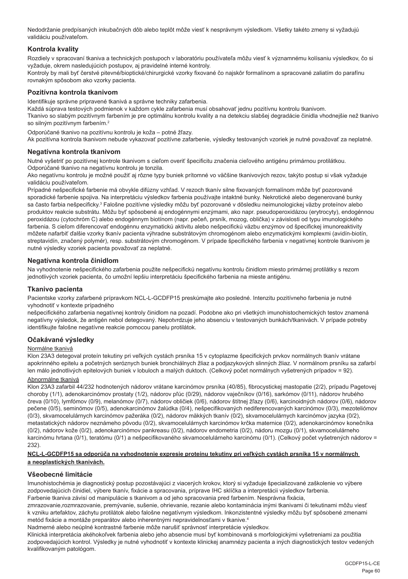Nedodržanie predpísaných inkubačných dôb alebo teplôt môže viesť k nesprávnym výsledkom. Všetky takéto zmeny si vyžadujú validáciu používateľom.

## **Kontrola kvality**

Rozdiely v spracovaní tkaniva a technických postupoch v laboratóriu používateľa môžu viesť k významnému kolísaniu výsledkov, čo si vyžaduje, okrem nasledujúcich postupov, aj pravidelné interné kontroly.

Kontroly by mali byť čerstvé pitevné/bioptické/chirurgické vzorky fixované čo najskôr formalínom a spracované zaliatím do parafínu rovnakým spôsobom ako vzorky pacienta.

## **Pozitívna kontrola tkanivom**

Identifikuje správne pripravené tkanivá a správne techniky zafarbenia.

Každá súprava testových podmienok v každom cykle zafarbenia musí obsahovať jednu pozitívnu kontrolu tkanivom. Tkanivo so slabým pozitívnym farbením je pre optimálnu kontrolu kvality a na detekciu slabšej degradácie činidla vhodnejšie než tkanivo

so silným pozitívnym farbením.<sup>2</sup>

Odporúčané tkanivo na pozitívnu kontrolu je koža – potné žľazy.

Ak pozitívna kontrola tkanivom nebude vykazovať pozitívne zafarbenie, výsledky testovaných vzoriek je nutné považovať za neplatné.

#### **Negatívna kontrola tkanivom**

Nutné vyšetriť po pozitívnej kontrole tkanivom s cieľom overiť špecificitu značenia cieľového antigénu primárnou protilátkou. Odporúčané tkanivo na negatívnu kontrolu je tonzila.

Ako negatívnu kontrolu je možné použiť aj rôzne typy buniek prítomné vo väčšine tkanivových rezov, takýto postup si však vyžaduje validáciu používateľom.

Prípadné nešpecifické farbenie má obvykle difúzny vzhľad. V rezoch tkanív silne fixovaných formalínom môže byť pozorované sporadické farbenie spojiva. Na interpretáciu výsledkov farbenia používajte intaktné bunky. Nekrotické alebo degenerované bunky sa často farbia nešpecificky.<sup>3</sup> Falošne pozitívne výsledky môžu byť pozorované v dôsledku neimunologickej väzby proteínov alebo produktov reakcie substrátu. Môžu byť spôsobené aj endogénnymi enzýmami, ako napr. pseudoperoxidázou (erytrocyty), endogénnou peroxidázou (cytochróm C) alebo endogénnym biotínom (napr. pečeň, prsník, mozog, oblička) v závislosti od typu imunologického farbenia. S cieľom diferencovať endogénnu enzymatickú aktivitu alebo nešpecifickú väzbu enzýmov od špecifickej imunoreaktivity môžete nafarbiť ďalšie vzorky tkanív pacienta výhradne substrátovým chromogénom alebo enzymatickými komplexmi (avidín-biotín, streptavidín, značený polymér), resp. substrátovým chromogénom. V prípade špecifického farbenia v negatívnej kontrole tkanivom je nutné výsledky vzoriek pacienta považovať za neplatné.

#### **Negatívna kontrola činidlom**

Na vyhodnotenie nešpecifického zafarbenia použite nešpecifickú negatívnu kontrolu činidlom miesto primárnej protilátky s rezom jednotlivých vzoriek pacienta, čo umožní lepšiu interpretáciu špecifického farbenia na mieste antigénu.

#### **Tkanivo pacienta**

Pacientske vzorky zafarbené prípravkom NCL-L-GCDFP15 preskúmajte ako posledné. Intenzitu pozitívneho farbenia je nutné vyhodnotiť v kontexte prípadného

nešpecifického zafarbenia negatívnej kontroly činidlom na pozadí. Podobne ako pri všetkých imunohistochemických testov znamená negatívny výsledok, že antigén nebol detegovaný. Nepotvrdzuje jeho absenciu v testovaných bunkách/tkanivách. V prípade potreby identifikujte falošne negatívne reakcie pomocou panelu protilátok.

## **Očakávané výsledky**

#### Normálne tkanivá

Klon 23A3 detegoval proteín tekutiny pri veľkých cystách prsníka 15 v cytoplazme špecifických prvkov normálnych tkanív vrátane apokrinného epitelu a početných seróznych buniek bronchiálnych žliaz a podjazykových slinných žliaz. V normálnom prsníku sa zafarbí len málo jednotlivých epitelových buniek v lobuloch a malých duktoch. (Celkový počet normálnych vyšetrených prípadov = 92).

#### Abnormálne tkanivá

Klon 23A3 zafarbil 44/232 hodnotených nádorov vrátane karcinómov prsníka (40/85), fibrocystickej mastopatie (2/2), prípadu Pagetovej choroby (1/1), adenokarcinómov prostaty (1/2), nádorov pľúc (0/29), nádorov vaječníkov (0/16), sarkómov (0/11), nádorov hrubého čreva (0/10), lymfómov (0/9), melanómov (0/7), nádorov obličiek (0/6), nádorov štítnej žľazy (0/6), karcinoidných nádorov (0/6), nádorov pečene (0/5), seminómov (0/5), adenokarcinómov žalúdka (0/4), nešpecifikovaných nediferencovaných karcinómov (0/3), mezoteliómov (0/3), skvamocelulárnych karcinómov pažeráka (0/2), nádorov mäkkých tkanív (0/2), skvamocelulárnych karcinómov jazyka (0/2), metastatických nádorov neznámeho pôvodu (0/2), skvamocelulárnych karcinómov krčka maternice (0/2), adenokarcinómov konečníka (0/2), nádorov kože (0/2), adenokarcinómov pankreasu (0/2), nádorov endometria (0/2), nádoru mozgu (0/1), skvamocelulárneho karcinómu hrtana (0/1), teratómu (0/1) a nešpecifikovaného skvamocelulárneho karcinómu (0/1). (Celkový počet vyšetrených nádorov = 232).

#### **NCL-L-GCDFP15 sa odporúča na vyhodnotenie expresie proteínu tekutiny pri veľkých cystách prsníka 15 v normálnych a neoplastických tkanivách.**

## **Všeobecné limitácie**

Imunohistochémia je diagnostický postup pozostávajúci z viacerých krokov, ktorý si vyžaduje špecializované zaškolenie vo výbere zodpovedajúcich činidiel, výbere tkanív, fixácie a spracovania, príprave IHC sklíčka a interpretácii výsledkov farbenia. Farbenie tkaniva závisí od manipulácie s tkanivom a od jeho spracovania pred farbením. Nesprávna fixácia,

zmrazovanie,rozmrazovanie, premývanie, sušenie, ohrievanie, rezanie alebo kontaminácia inými tkanivami či tekutinami môžu viesť k vzniku artefaktov, záchytu protilátok alebo falošne negatívnym výsledkom. Inkonzistentné výsledky môžu byť spôsobené zmenami metód fixácie a montáže preparátov alebo inherentnými nepravidelnosťami v tkanive.<sup>4</sup>

Nadmerné alebo neúplné kontrastné farbenie môže narušiť správnosť interpretácie výsledkov.

Klinická interpretácia akéhokoľvek farbenia alebo jeho absencie musí byť kombinovaná s morfologickými vyšetreniami za použitia zodpovedajúcich kontrol. Výsledky je nutné vyhodnotiť v kontexte klinickej anamnézy pacienta a iných diagnostických testov vedených kvalifikovaným patológom.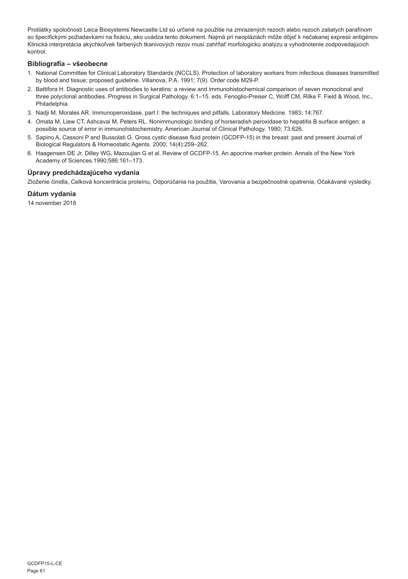Protilátky spoločnosti Leica Biosystems Newcastle Ltd sú určené na použitie na zmrazených rezoch alebo rezoch zaliatych parafínom so špecifickými požiadavkami na fixáciu, ako uvádza tento dokument. Najmä pri neopláziách môže dôjsť k nečakanej expresii antigénov. Klinická interpretácia akýchkoľvek farbených tkanivových rezov musí zahŕňať morfologickú analýzu a vyhodnotenie zodpovedajúcich kontrol.

## **Bibliografia – všeobecne**

- 1. National Committee for Clinical Laboratory Standards (NCCLS). Protection of laboratory workers from infectious diseases transmitted by blood and tissue; proposed guideline. Villanova, P.A. 1991; 7(9). Order code M29-P.
- 2. Battifora H. Diagnostic uses of antibodies to keratins: a review and immunohistochemical comparison of seven monoclonal and three polyclonal antibodies. Progress in Surgical Pathology. 6:1–15. eds. Fenoglio-Preiser C, Wolff CM, Rilke F. Field & Wood, Inc., Philadelphia.
- 3. Nadji M, Morales AR. Immunoperoxidase, part I: the techniques and pitfalls. Laboratory Medicine. 1983; 14:767.
- 4. Omata M, Liew CT, Ashcavai M, Peters RL. Nonimmunologic binding of horseradish peroxidase to hepatitis B surface antigen: a possible source of error in immunohistochemistry. American Journal of Clinical Pathology. 1980; 73:626.
- 5. Sapino A, Cassoni P and Bussolati G. Gross cystic disease fluid protein (GCDFP-15) in the breast: past and present Journal of Biological Regulators & Homeostatic Agents. 2000; 14(4):259–262.
- 6. Haagensen DE Jr, Dilley WG, Mazoujian G et al. Review of GCDFP-15. An apocrine marker protein. Annals of the New York Academy of Sciences.1990;586:161–173.

## **Úpravy predchádzajúceho vydania**

Zloženie činidla, Celková koncentrácia proteínu, Odporúčania na použitie, Varovania a bezpečnostné opatrenia, Očakávané výsledky.

#### **Dátum vydania**

14 november 2018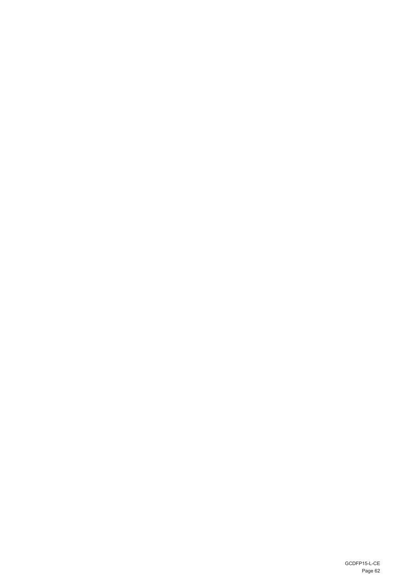GCDFP15-L-CE Page 62